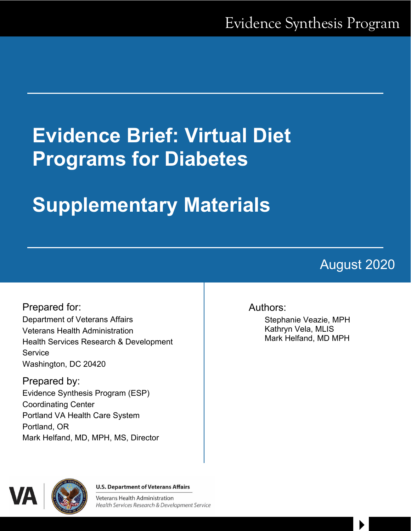# **Evidence Brief: Virtual Diet Programs for Diabetes**

# **Supplementary Materials**

# August 2020

 $\begin{array}{c} \hline \end{array}$ 

Prepared for: Department of Veterans Affairs Veterans Health Administration Health Services Research & Development **Service** Washington, DC 20420

Prepared by: Evidence Synthesis Program (ESP) Coordinating Center Portland VA Health Care System Portland, OR Mark Helfand, MD, MPH, MS, Director

## Authors:

Stephanie Veazie, MPH Kathryn Vela, MLIS Mark Helfand, MD MPH



**U.S. Department of Veterans Affairs** 

**Veterans Health Administration** Health Services Research & Development Service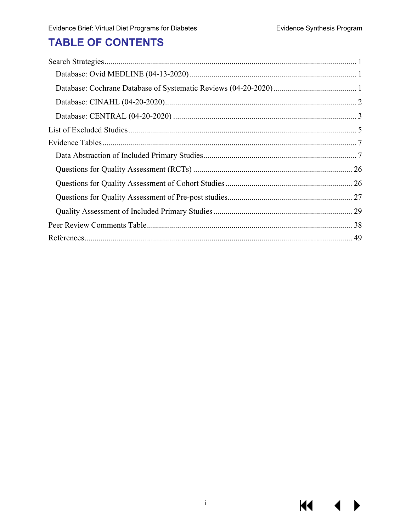**KK** 

 $\blacktriangleright$ 

# **TABLE OF CONTENTS**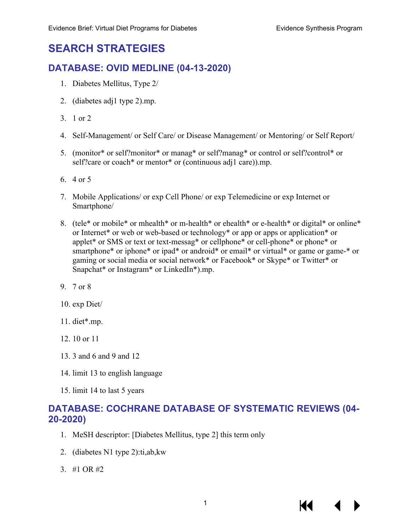# <span id="page-2-0"></span>**SEARCH STRATEGIES**

### <span id="page-2-1"></span>**DATABASE: OVID MEDLINE (04-13-2020)**

- 1. Diabetes Mellitus, Type 2/
- 2. (diabetes adj1 type 2).mp.
- 3. 1 or 2
- 4. Self-Management/ or Self Care/ or Disease Management/ or Mentoring/ or Self Report/
- 5. (monitor\* or self?monitor\* or manag\* or self?manag\* or control or self?control\* or self?care or coach\* or mentor\* or (continuous adj1 care)).mp.
- 6. 4 or 5
- 7. Mobile Applications/ or exp Cell Phone/ or exp Telemedicine or exp Internet or Smartphone/
- 8. (tele\* or mobile\* or mhealth\* or m-health\* or ehealth\* or e-health\* or digital\* or online\* or Internet\* or web or web-based or technology\* or app or apps or application\* or applet\* or SMS or text or text-messag\* or cellphone\* or cell-phone\* or phone\* or smartphone\* or iphone\* or ipad\* or android\* or email\* or virtual\* or game or game-\* or gaming or social media or social network\* or Facebook\* or Skype\* or Twitter\* or Snapchat\* or Instagram\* or LinkedIn\*).mp.
- 9. 7 or 8
- 10. exp Diet/
- 11. diet\*.mp.
- 12. 10 or 11
- 13. 3 and 6 and 9 and 12
- 14. limit 13 to english language
- 15. limit 14 to last 5 years

## <span id="page-2-2"></span>**DATABASE: COCHRANE DATABASE OF SYSTEMATIC REVIEWS (04- 20-2020)**

- 1. MeSH descriptor: [Diabetes Mellitus, type 2] this term only
- 2. (diabetes N1 type 2):ti,ab,kw
- 3. #1 OR #2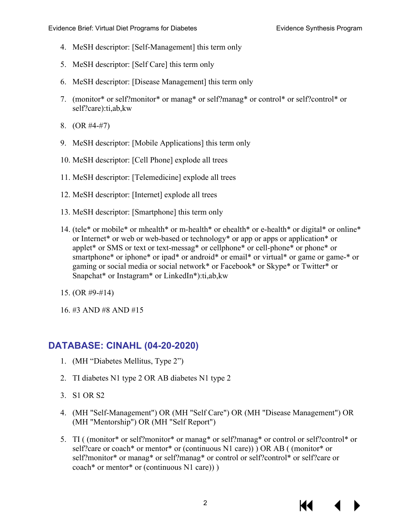- 4. MeSH descriptor: [Self-Management] this term only
- 5. MeSH descriptor: [Self Care] this term only
- 6. MeSH descriptor: [Disease Management] this term only
- 7. (monitor\* or self?monitor\* or manag\* or self?manag\* or control\* or self?control\* or self?care):ti,ab,kw
- 8. (OR #4-#7)
- 9. MeSH descriptor: [Mobile Applications] this term only
- 10. MeSH descriptor: [Cell Phone] explode all trees
- 11. MeSH descriptor: [Telemedicine] explode all trees
- 12. MeSH descriptor: [Internet] explode all trees
- 13. MeSH descriptor: [Smartphone] this term only
- 14. (tele\* or mobile\* or mhealth\* or m-health\* or ehealth\* or e-health\* or digital\* or online\* or Internet\* or web or web-based or technology\* or app or apps or application\* or applet\* or SMS or text or text-messag\* or cellphone\* or cell-phone\* or phone\* or smartphone\* or iphone\* or ipad\* or android\* or email\* or virtual\* or game or game-\* or gaming or social media or social network\* or Facebook\* or Skype\* or Twitter\* or Snapchat\* or Instagram\* or LinkedIn\*):ti,ab,kw
- 15. (OR #9-#14)
- 16. #3 AND #8 AND #15

## <span id="page-3-0"></span>**DATABASE: CINAHL (04-20-2020)**

- 1. (MH "Diabetes Mellitus, Type 2")
- 2. TI diabetes N1 type 2 OR AB diabetes N1 type 2
- 3. S1 OR S2
- 4. (MH "Self-Management") OR (MH "Self Care") OR (MH "Disease Management") OR (MH "Mentorship") OR (MH "Self Report")
- 5. TI ( (monitor\* or self?monitor\* or manag\* or self?manag\* or control or self?control\* or self?care or coach\* or mentor\* or (continuous N1 care)) ) OR AB ( (monitor\* or self?monitor\* or manag\* or self?manag\* or control or self?control\* or self?care or coach\* or mentor\* or (continuous N1 care)) )

KI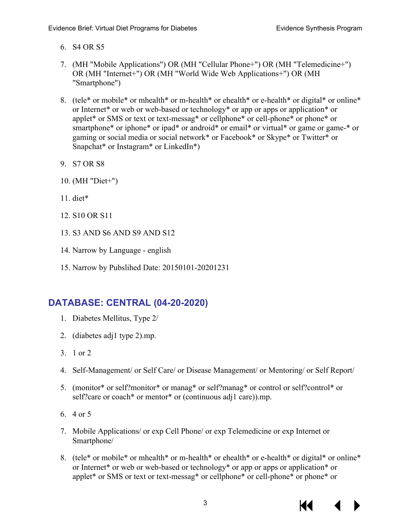- 6. S4 OR S5
- 7. (MH "Mobile Applications") OR (MH "Cellular Phone+") OR (MH "Telemedicine+") OR (MH "Internet+") OR (MH "World Wide Web Applications+") OR (MH "Smartphone")
- 8. (tele\* or mobile\* or mhealth\* or m-health\* or ehealth\* or e-health\* or digital\* or online\* or Internet\* or web or web-based or technology\* or app or apps or application\* or applet\* or SMS or text or text-messag\* or cellphone\* or cell-phone\* or phone\* or smartphone\* or iphone\* or ipad\* or android\* or email\* or virtual\* or game or game-\* or gaming or social media or social network\* or Facebook\* or Skype\* or Twitter\* or Snapchat\* or Instagram\* or LinkedIn\*)
- 9. S7 OR S8
- 10. (MH "Diet+")
- 11. diet\*
- 12. S10 OR S11
- 13. S3 AND S6 AND S9 AND S12
- 14. Narrow by Language english
- 15. Narrow by Pubslihed Date: 20150101-20201231

## <span id="page-4-0"></span>**DATABASE: CENTRAL (04-20-2020)**

- 1. Diabetes Mellitus, Type 2/
- 2. (diabetes adj1 type 2).mp.
- 3. 1 or 2
- 4. Self-Management/ or Self Care/ or Disease Management/ or Mentoring/ or Self Report/
- 5. (monitor\* or self?monitor\* or manag\* or self?manag\* or control or self?control\* or self?care or coach\* or mentor\* or (continuous adj1 care)).mp.
- 6. 4 or 5
- 7. Mobile Applications/ or exp Cell Phone/ or exp Telemedicine or exp Internet or Smartphone/
- 8. (tele\* or mobile\* or mhealth\* or m-health\* or ehealth\* or e-health\* or digital\* or online\* or Internet\* or web or web-based or technology\* or app or apps or application\* or applet\* or SMS or text or text-messag\* or cellphone\* or cell-phone\* or phone\* or

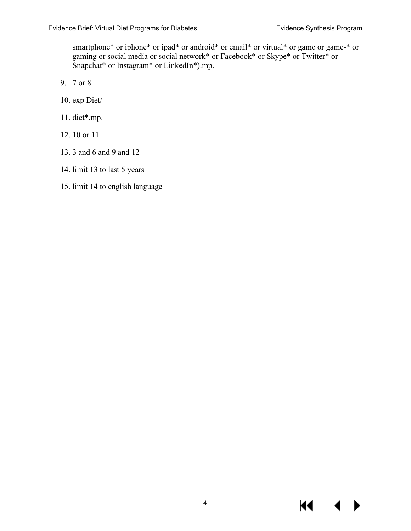smartphone\* or iphone\* or ipad\* or android\* or email\* or virtual\* or game or game-\* or gaming or social media or social network\* or Facebook\* or Skype\* or Twitter\* or Snapchat\* or Instagram\* or LinkedIn\*).mp.

- 9. 7 or 8
- 10. exp Diet/
- 11. diet\*.mp.
- 12. 10 or 11
- 13. 3 and 6 and 9 and 12
- 14. limit 13 to last 5 years
- 15. limit 14 to english language

KI.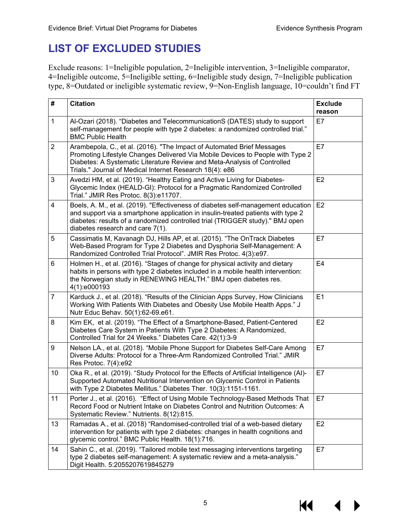# <span id="page-6-0"></span>**LIST OF EXCLUDED STUDIES**

Exclude reasons: 1=Ineligible population, 2=Ineligible intervention, 3=Ineligible comparator, 4=Ineligible outcome, 5=Ineligible setting, 6=Ineligible study design, 7=Ineligible publication type, 8=Outdated or ineligible systematic review, 9=Non-English language, 10=couldn't find FT

| #              | <b>Citation</b>                                                                                                                                                                                                                                                                                  | <b>Exclude</b><br>reason |
|----------------|--------------------------------------------------------------------------------------------------------------------------------------------------------------------------------------------------------------------------------------------------------------------------------------------------|--------------------------|
| $\mathbf{1}$   | Al-Ozari (2018). "Diabetes and TelecommunicationS (DATES) study to support<br>self-management for people with type 2 diabetes: a randomized controlled trial."<br><b>BMC Public Health</b>                                                                                                       | E7                       |
| $\overline{2}$ | Arambepola, C., et al. (2016). "The Impact of Automated Brief Messages<br>Promoting Lifestyle Changes Delivered Via Mobile Devices to People with Type 2<br>Diabetes: A Systematic Literature Review and Meta-Analysis of Controlled<br>Trials." Journal of Medical Internet Research 18(4): e86 | E7                       |
| $\mathbf{3}$   | Avedzi HM, et al. (2019). "Healthy Eating and Active Living for Diabetes-<br>Glycemic Index (HEALD-GI): Protocol for a Pragmatic Randomized Controlled<br>Trial." JMIR Res Protoc. 8(3):e11707.                                                                                                  | E2                       |
| 4              | Boels, A. M., et al. (2019). "Effectiveness of diabetes self-management education<br>and support via a smartphone application in insulin-treated patients with type 2<br>diabetes: results of a randomized controlled trial (TRIGGER study)." BMJ open<br>diabetes research and care 7(1).       | E <sub>2</sub>           |
| 5              | Cassimatis M, Kavanagh DJ, Hills AP, et al. (2015). "The OnTrack Diabetes<br>Web-Based Program for Type 2 Diabetes and Dysphoria Self-Management: A<br>Randomized Controlled Trial Protocol". JMIR Res Protoc. 4(3):e97.                                                                         | E7                       |
| 6              | Holmen H., et al. (2016). "Stages of change for physical activity and dietary<br>habits in persons with type 2 diabetes included in a mobile health intervention:<br>the Norwegian study in RENEWING HEALTH." BMJ open diabetes res.<br>4(1):e000193                                             | E <sub>4</sub>           |
| $\overline{7}$ | Karduck J., et al. (2018). "Results of the Clinician Apps Survey, How Clinicians<br>Working With Patients With Diabetes and Obesity Use Mobile Health Apps." J<br>Nutr Educ Behav. 50(1):62-69.e61.                                                                                              | E1                       |
| 8              | Kim EK, et al. (2019). "The Effect of a Smartphone-Based, Patient-Centered<br>Diabetes Care System in Patients With Type 2 Diabetes: A Randomized,<br>Controlled Trial for 24 Weeks." Diabetes Care. 42(1):3-9                                                                                   | E2                       |
| 9              | Nelson LA., et al. (2018). "Mobile Phone Support for Diabetes Self-Care Among<br>Diverse Adults: Protocol for a Three-Arm Randomized Controlled Trial." JMIR<br>Res Protoc. 7(4):e92                                                                                                             | E7                       |
| 10             | Oka R., et al. (2019). "Study Protocol for the Effects of Artificial Intelligence (AI)-<br>Supported Automated Nutritional Intervention on Glycemic Control in Patients<br>with Type 2 Diabetes Mellitus." Diabetes Ther. 10(3):1151-1161.                                                       | E7                       |
| 11             | Porter J., et al. (2016). "Effect of Using Mobile Technology-Based Methods That<br>Record Food or Nutrient Intake on Diabetes Control and Nutrition Outcomes: A<br>Systematic Review." Nutrients. 8(12):815.                                                                                     | E7                       |
| 13             | Ramadas A., et al. (2018) "Randomised-controlled trial of a web-based dietary<br>intervention for patients with type 2 diabetes: changes in health cognitions and<br>glycemic control." BMC Public Health. 18(1):716.                                                                            | E <sub>2</sub>           |
| 14             | Sahin C., et al. (2019). "Tailored mobile text messaging interventions targeting<br>type 2 diabetes self-management: A systematic review and a meta-analysis."<br>Digit Health. 5:2055207619845279                                                                                               | E7                       |

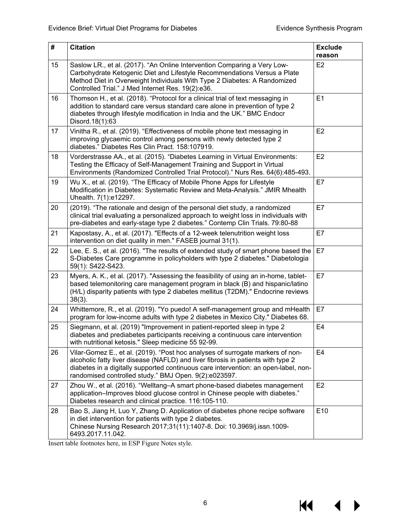$M \rightarrow$ 

| $\sharp$ | <b>Citation</b>                                                                                                                                                                                                                                                                                                    | <b>Exclude</b><br>reason |  |  |  |  |
|----------|--------------------------------------------------------------------------------------------------------------------------------------------------------------------------------------------------------------------------------------------------------------------------------------------------------------------|--------------------------|--|--|--|--|
| 15       | Saslow LR., et al. (2017). "An Online Intervention Comparing a Very Low-<br>Carbohydrate Ketogenic Diet and Lifestyle Recommendations Versus a Plate<br>Method Diet in Overweight Individuals With Type 2 Diabetes: A Randomized<br>Controlled Trial." J Med Internet Res. 19(2):e36.                              | E <sub>2</sub>           |  |  |  |  |
| 16       | Thomson H., et al. (2018). "Protocol for a clinical trial of text messaging in<br>addition to standard care versus standard care alone in prevention of type 2<br>diabetes through lifestyle modification in India and the UK." BMC Endocr<br>Disord.18(1):63                                                      |                          |  |  |  |  |
| 17       | Vinitha R., et al. (2019). "Effectiveness of mobile phone text messaging in<br>improving glycaemic control among persons with newly detected type 2<br>diabetes." Diabetes Res Clin Pract. 158:107919.                                                                                                             | E <sub>2</sub>           |  |  |  |  |
| 18       | Vorderstrasse AA., et al. (2015). "Diabetes Learning in Virtual Environments:<br>Testing the Efficacy of Self-Management Training and Support in Virtual<br>Environments (Randomized Controlled Trial Protocol)." Nurs Res. 64(6):485-493.                                                                         | E2                       |  |  |  |  |
| 19       | Wu X., et al. (2019). "The Efficacy of Mobile Phone Apps for Lifestyle<br>Modification in Diabetes: Systematic Review and Meta-Analysis." JMIR Mhealth<br>Uhealth. 7(1):e12297.                                                                                                                                    | E7                       |  |  |  |  |
| 20       | (2019). "The rationale and design of the personal diet study, a randomized<br>clinical trial evaluating a personalized approach to weight loss in individuals with<br>pre-diabetes and early-stage type 2 diabetes." Contemp Clin Trials. 79:80-88                                                                 | E7                       |  |  |  |  |
| 21       | Kapostasy, A., et al. (2017). "Effects of a 12-week telenutrition weight loss<br>intervention on diet quality in men." FASEB journal 31(1).                                                                                                                                                                        | E7                       |  |  |  |  |
| 22       | Lee, E. S., et al. (2016). "The results of extended study of smart phone based the<br>S-Diabetes Care programme in policyholders with type 2 diabetes." Diabetologia<br>59(1): S422-S423.                                                                                                                          | E7                       |  |  |  |  |
| 23       | Myers, A. K., et al. (2017). "Assessing the feasibility of using an in-home, tablet-<br>based telemonitoring care management program in black (B) and hispanic/latino<br>(H/L) disparity patients with type 2 diabetes mellitus (T2DM)." Endocrine reviews<br>$38(3)$ .                                            | E7                       |  |  |  |  |
| 24       | Whittemore, R., et al. (2019). "Yo puedo! A self-management group and mHealth<br>program for low-income adults with type 2 diabetes in Mexico City." Diabetes 68.                                                                                                                                                  | E7                       |  |  |  |  |
| 25       | Siegmann, et al. (2019) "Improvement in patient-reported sleep in type 2<br>diabetes and prediabetes participants receiving a continuous care intervention<br>with nutritional ketosis." Sleep medicine 55 92-99.                                                                                                  | E4                       |  |  |  |  |
| 26       | Vilar-Gomez E., et al. (2019). "Post hoc analyses of surrogate markers of non-<br>alcoholic fatty liver disease (NAFLD) and liver fibrosis in patients with type 2<br>diabetes in a digitally supported continuous care intervention: an open-label, non-<br>randomised controlled study." BMJ Open. 9(2):e023597. | E <sub>4</sub>           |  |  |  |  |
| 27       | Zhou W., et al. (2016). "Welltang–A smart phone-based diabetes management<br>application-Improves blood glucose control in Chinese people with diabetes."<br>Diabetes research and clinical practice. 116:105-110.                                                                                                 | E <sub>2</sub>           |  |  |  |  |
| 28       | Bao S, Jiang H, Luo Y, Zhang D. Application of diabetes phone recipe software<br>in diet intervention for patients with type 2 diabetes.<br>Chinese Nursing Research 2017;31(11):1407-8. Doi: 10.3969/j.issn.1009-<br>6493.2017.11.042.                                                                            | E10                      |  |  |  |  |

Insert table footnotes here, in ESP Figure Notes style.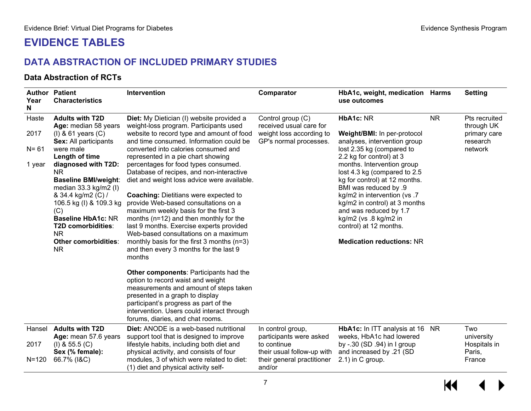# **EVIDENCE TABLES**

## **DATA ABSTRACTION OF INCLUDED PRIMARY STUDIES**

#### **Data Abstraction of RCTs**

<span id="page-8-1"></span><span id="page-8-0"></span>

| Year<br>N                           | <b>Author Patient</b><br><b>Characteristics</b>                                                                                                                                                                                                                                                                                                                                                                                                                                                                                                                                                                                                                                                                                                                                                                                                                                                                                                                                                                                                                                                                                                       | Intervention                                                                                                                                                                                                                                                                               | Comparator                                                                                                                        | HbA1c, weight, medication Harms<br>use outcomes                                                                                                                                                                                                                                                                                                                                                                                                   |           | <b>Setting</b>                                                     |
|-------------------------------------|-------------------------------------------------------------------------------------------------------------------------------------------------------------------------------------------------------------------------------------------------------------------------------------------------------------------------------------------------------------------------------------------------------------------------------------------------------------------------------------------------------------------------------------------------------------------------------------------------------------------------------------------------------------------------------------------------------------------------------------------------------------------------------------------------------------------------------------------------------------------------------------------------------------------------------------------------------------------------------------------------------------------------------------------------------------------------------------------------------------------------------------------------------|--------------------------------------------------------------------------------------------------------------------------------------------------------------------------------------------------------------------------------------------------------------------------------------------|-----------------------------------------------------------------------------------------------------------------------------------|---------------------------------------------------------------------------------------------------------------------------------------------------------------------------------------------------------------------------------------------------------------------------------------------------------------------------------------------------------------------------------------------------------------------------------------------------|-----------|--------------------------------------------------------------------|
| Haste<br>2017<br>$N = 61$<br>1 year | <b>Adults with T2D</b><br>Diet: My Dietician (I) website provided a<br>Age: median 58 years<br>weight-loss program. Participants used<br>website to record type and amount of food<br>$(I)$ & 61 years $(C)$<br>and time consumed. Information could be<br>Sex: All participants<br>were male<br>converted into calories consumed and<br>Length of time<br>represented in a pie chart showing<br>diagnosed with T2D:<br>percentages for food types consumed.<br>Database of recipes, and non-interactive<br>NR.<br><b>Baseline BMI/weight:</b><br>diet and weight loss advice were available.<br>median $33.3$ kg/m2 (I)<br><b>Coaching: Dietitians were expected to</b><br>& 34.4 kg/m2 (C) /<br>provide Web-based consultations on a<br>106.5 kg (I) & 109.3 kg<br>maximum weekly basis for the first 3<br>(C)<br><b>Baseline HbA1c: NR</b><br>months (n=12) and then monthly for the<br>T2D comorbidities:<br>last 9 months. Exercise experts provided<br><b>NR</b><br>Web-based consultations on a maximum<br>monthly basis for the first $3$ months ( $n=3$ )<br>Other comorbidities:<br>NR.<br>and then every 3 months for the last 9<br>months |                                                                                                                                                                                                                                                                                            | Control group (C)<br>received usual care for<br>weight loss according to<br>GP's normal processes.                                | HbA1c: NR<br>Weight/BMI: In per-protocol<br>analyses, intervention group<br>lost 2.35 kg (compared to<br>2.2 kg for control) at 3<br>months. Intervention group<br>lost 4.3 kg (compared to 2.5<br>kg for control) at 12 months.<br><b>BMI</b> was reduced by .9<br>kg/m2 in intervention (vs.7<br>kg/m2 in control) at 3 months<br>and was reduced by 1.7<br>kg/m2 (vs .8 kg/m2 in<br>control) at 12 months.<br><b>Medication reductions: NR</b> | <b>NR</b> | Pts recruited<br>through UK<br>primary care<br>research<br>network |
|                                     |                                                                                                                                                                                                                                                                                                                                                                                                                                                                                                                                                                                                                                                                                                                                                                                                                                                                                                                                                                                                                                                                                                                                                       | <b>Other components: Participants had the</b><br>option to record waist and weight<br>measurements and amount of steps taken<br>presented in a graph to display<br>participant's progress as part of the<br>intervention. Users could interact through<br>forums, diaries, and chat rooms. |                                                                                                                                   |                                                                                                                                                                                                                                                                                                                                                                                                                                                   |           |                                                                    |
| Hansel<br>2017<br>$N = 120$         | <b>Adults with T2D</b><br>Age: mean 57.6 years<br>$(I)$ & 55.5 $(C)$<br>Sex (% female):<br>66.7% (I&C)                                                                                                                                                                                                                                                                                                                                                                                                                                                                                                                                                                                                                                                                                                                                                                                                                                                                                                                                                                                                                                                | <b>Diet:</b> ANODE is a web-based nutritional<br>support tool that is designed to improve<br>lifestyle habits, including both diet and<br>physical activity, and consists of four<br>modules, 3 of which were related to diet:<br>(1) diet and physical activity self-                     | In control group,<br>participants were asked<br>to continue<br>their usual follow-up with<br>their general practitioner<br>and/or | HbA1c: In ITT analysis at 16 NR<br>weeks, HbA1c had lowered<br>by -.30 (SD .94) in I group<br>and increased by .21 (SD<br>$2.1$ ) in C group.                                                                                                                                                                                                                                                                                                     |           | Two<br>university<br>Hospitals in<br>Paris,<br>France              |

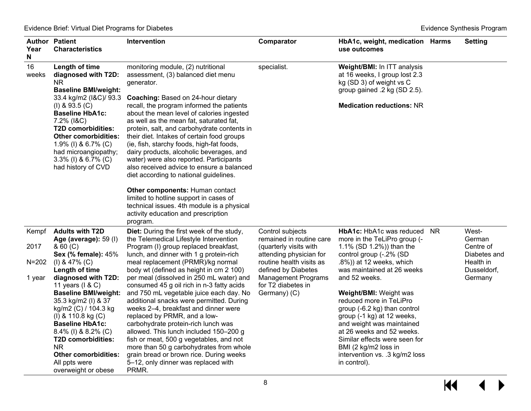| Year<br>N   | <b>Author Patient</b><br><b>Characteristics</b>                                                                                                                                                                                                                                                                                     | Intervention                                                                                                                                                                                                                                                                                                                                                                                                                                                                                                                                                                                                                                                                                                                | Comparator                                                                              | HbA1c, weight, medication Harms<br>use outcomes                                                                                                                                                                                                                                                                                            |           | <b>Setting</b>            |
|-------------|-------------------------------------------------------------------------------------------------------------------------------------------------------------------------------------------------------------------------------------------------------------------------------------------------------------------------------------|-----------------------------------------------------------------------------------------------------------------------------------------------------------------------------------------------------------------------------------------------------------------------------------------------------------------------------------------------------------------------------------------------------------------------------------------------------------------------------------------------------------------------------------------------------------------------------------------------------------------------------------------------------------------------------------------------------------------------------|-----------------------------------------------------------------------------------------|--------------------------------------------------------------------------------------------------------------------------------------------------------------------------------------------------------------------------------------------------------------------------------------------------------------------------------------------|-----------|---------------------------|
| 16<br>weeks | Length of time<br>diagnosed with T2D:<br><b>NR</b><br><b>Baseline BMI/weight:</b><br>33.4 kg/m2 (I&C)/ 93.3<br>$(I)$ & 93.5 $(C)$<br><b>Baseline HbA1c:</b><br>7.2% (I&C)<br><b>T2D comorbidities:</b><br><b>Other comorbidities:</b><br>1.9% (I) & 6.7% (C)<br>had microangiopathy;<br>3.3% (I) & 6.7% (C)<br>had history of CVD   | monitoring module, (2) nutritional<br>assessment, (3) balanced diet menu<br>generator.<br>Coaching: Based on 24-hour dietary<br>recall, the program informed the patients<br>about the mean level of calories ingested<br>as well as the mean fat, saturated fat,<br>protein, salt, and carbohydrate contents in<br>their diet. Intakes of certain food groups<br>(ie, fish, starchy foods, high-fat foods,<br>dairy products, alcoholic beverages, and<br>water) were also reported. Participants<br>also received advice to ensure a balanced<br>diet according to national guidelines.<br><b>Other components: Human contact</b><br>limited to hotline support in cases of<br>technical issues. 4th module is a physical | specialist.                                                                             | Weight/BMI: In ITT analysis<br>at 16 weeks, I group lost 2.3<br>kg (SD 3) of weight vs C<br>group gained .2 kg (SD 2.5).<br><b>Medication reductions: NR</b>                                                                                                                                                                               |           |                           |
|             |                                                                                                                                                                                                                                                                                                                                     | activity education and prescription<br>program.                                                                                                                                                                                                                                                                                                                                                                                                                                                                                                                                                                                                                                                                             |                                                                                         |                                                                                                                                                                                                                                                                                                                                            |           |                           |
| Kempf       | <b>Adults with T2D</b><br>Age (average): 59 (I)                                                                                                                                                                                                                                                                                     | Diet: During the first week of the study,<br>the Telemedical Lifestyle Intervention                                                                                                                                                                                                                                                                                                                                                                                                                                                                                                                                                                                                                                         | Control subjects<br>remained in routine care                                            | HbA1c: HbA1c was reduced<br>more in the TeLiPro group (-                                                                                                                                                                                                                                                                                   | <b>NR</b> | West-<br>German           |
| 2017        | & 60 (C)<br><b>Sex (% female): 45%</b>                                                                                                                                                                                                                                                                                              | Program (I) group replaced breakfast,<br>lunch, and dinner with 1 g protein-rich                                                                                                                                                                                                                                                                                                                                                                                                                                                                                                                                                                                                                                            | (quarterly visits with<br>attending physician for                                       | 1.1% (SD 1.2%)) than the<br>control group (-.2% (SD                                                                                                                                                                                                                                                                                        |           | Centre of<br>Diabetes and |
| $N = 202$   | $(I)$ & 47% $(C)$                                                                                                                                                                                                                                                                                                                   | meal replacement (PRMR)/kg normal                                                                                                                                                                                                                                                                                                                                                                                                                                                                                                                                                                                                                                                                                           | routine health visits as                                                                | $.8\%)$ ) at 12 weeks, which                                                                                                                                                                                                                                                                                                               |           | Health in                 |
| 1 year      | Length of time<br>diagnosed with T2D:<br>11 years $(1 & C)$<br><b>Baseline BMI/weight:</b><br>35.3 kg/m2 (I) & 37<br>kg/m2 (C) / 104.3 kg<br>(I) & 110.8 kg $(C)$<br><b>Baseline HbA1c:</b><br>8.4% (I) & 8.2% (C)<br><b>T2D comorbidities:</b><br><b>NR</b><br><b>Other comorbidities:</b><br>All ppts were<br>overweight or obese | body wt (defined as height in cm 2 100)<br>per meal (dissolved in 250 mL water) and<br>consumed 45 g oil rich in n-3 fatty acids<br>and 750 mL vegetable juice each day. No<br>additional snacks were permitted. During<br>weeks 2-4, breakfast and dinner were<br>replaced by PRMR, and a low-<br>carbohydrate protein-rich lunch was<br>allowed. This lunch included 150-200 g<br>fish or meat, 500 g vegetables, and not<br>more than 50 g carbohydrates from whole<br>grain bread or brown rice. During weeks<br>5-12, only dinner was replaced with<br>PRMR.                                                                                                                                                           | defined by Diabetes<br><b>Management Programs</b><br>for T2 diabetes in<br>Germany) (C) | was maintained at 26 weeks<br>and 52 weeks.<br><b>Weight/BMI: Weight was</b><br>reduced more in TeLiPro<br>group (-6.2 kg) than control<br>group (-1 kg) at 12 weeks,<br>and weight was maintained<br>at 26 weeks and 52 weeks.<br>Similar effects were seen for<br>BMI (2 kg/m2 loss in<br>intervention vs. .3 kg/m2 loss<br>in control). |           | Dusseldorf,<br>Germany    |

 $M$  $\leftrightarrow$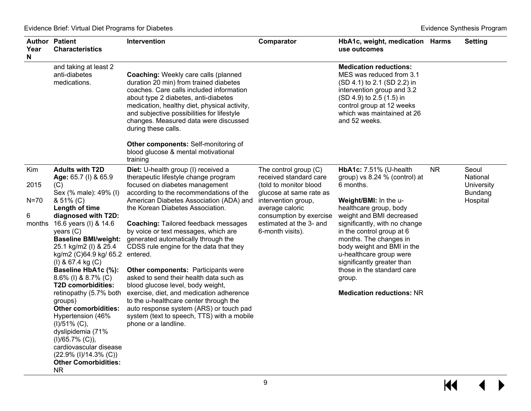| Year<br>N  | <b>Author Patient</b><br><b>Characteristics</b>          | Intervention                                                                                                                                                                                                                                                                                                                            | Comparator                                        | HbA1c, weight, medication Harms<br>use outcomes                                                                                                                                                                                |           | <b>Setting</b>               |
|------------|----------------------------------------------------------|-----------------------------------------------------------------------------------------------------------------------------------------------------------------------------------------------------------------------------------------------------------------------------------------------------------------------------------------|---------------------------------------------------|--------------------------------------------------------------------------------------------------------------------------------------------------------------------------------------------------------------------------------|-----------|------------------------------|
|            | and taking at least 2<br>anti-diabetes<br>medications.   | <b>Coaching: Weekly care calls (planned</b><br>duration 20 min) from trained diabetes<br>coaches. Care calls included information<br>about type 2 diabetes, anti-diabetes<br>medication, healthy diet, physical activity,<br>and subjective possibilities for lifestyle<br>changes. Measured data were discussed<br>during these calls. |                                                   | <b>Medication reductions:</b><br>MES was reduced from 3.1<br>(SD 4.1) to 2.1 (SD 2.2) in<br>intervention group and 3.2<br>(SD 4.9) to 2.5 (1.5) in<br>control group at 12 weeks<br>which was maintained at 26<br>and 52 weeks. |           |                              |
|            |                                                          | Other components: Self-monitoring of<br>blood glucose & mental motivational<br>training                                                                                                                                                                                                                                                 |                                                   |                                                                                                                                                                                                                                |           |                              |
| <b>Kim</b> | <b>Adults with T2D</b><br>Age: 65.7 (I) & 65.9           | Diet: U-health group (I) received a<br>therapeutic lifestyle change program                                                                                                                                                                                                                                                             | The control group $(C)$<br>received standard care | <b>HbA1c: 7.51% (U-health</b><br>group) vs 8.24 % (control) at                                                                                                                                                                 | <b>NR</b> | Seoul<br>National            |
| 2015       | (C)<br>Sex (% male): 49% (I)                             | focused on diabetes management<br>according to the recommendations of the                                                                                                                                                                                                                                                               | (told to monitor blood<br>glucose at same rate as | 6 months.                                                                                                                                                                                                                      |           | University<br><b>Bundang</b> |
| $N=70$     | & 51% (C)                                                | American Diabetes Association (ADA) and                                                                                                                                                                                                                                                                                                 | intervention group,                               | Weight/BMI: In the u-                                                                                                                                                                                                          |           | Hospital                     |
| 6          | Length of time<br>diagnosed with T2D:                    | the Korean Diabetes Association.                                                                                                                                                                                                                                                                                                        | average caloric<br>consumption by exercise        | healthcare group, body<br>weight and BMI decreased                                                                                                                                                                             |           |                              |
| months     | 16.6 years (I) & 14.6<br>years $(C)$                     | <b>Coaching: Tailored feedback messages</b><br>by voice or text messages, which are                                                                                                                                                                                                                                                     | estimated at the 3- and<br>6-month visits).       | significantly, with no change<br>in the control group at 6                                                                                                                                                                     |           |                              |
|            | <b>Baseline BMI/weight:</b>                              | generated automatically through the                                                                                                                                                                                                                                                                                                     |                                                   | months. The changes in                                                                                                                                                                                                         |           |                              |
|            | 25.1 kg/m2 (I) & 25.4<br>kg/m2 (C)64.9 kg/ 65.2 entered. | CDSS rule engine for the data that they                                                                                                                                                                                                                                                                                                 |                                                   | body weight and BMI in the<br>u-healthcare group were                                                                                                                                                                          |           |                              |
|            | $(I)$ & 67.4 kg $(C)$                                    |                                                                                                                                                                                                                                                                                                                                         |                                                   | significantly greater than                                                                                                                                                                                                     |           |                              |
|            | Baseline HbA1c (%):<br>8.6% (I) & 8.7% (C)               | <b>Other components: Participants were</b><br>asked to send their health data such as                                                                                                                                                                                                                                                   |                                                   | those in the standard care<br>group.                                                                                                                                                                                           |           |                              |
|            | T2D comorbidities:                                       | blood glucose level, body weight,                                                                                                                                                                                                                                                                                                       |                                                   |                                                                                                                                                                                                                                |           |                              |
|            | retinopathy (5.7% both<br>groups)                        | exercise, diet, and medication adherence<br>to the u-healthcare center through the                                                                                                                                                                                                                                                      |                                                   | <b>Medication reductions: NR</b>                                                                                                                                                                                               |           |                              |
|            | <b>Other comorbidities:</b>                              | auto response system (ARS) or touch pad                                                                                                                                                                                                                                                                                                 |                                                   |                                                                                                                                                                                                                                |           |                              |
|            | Hypertension (46%<br>$(I)/51\%$ (C),                     | system (text to speech, TTS) with a mobile<br>phone or a landline.                                                                                                                                                                                                                                                                      |                                                   |                                                                                                                                                                                                                                |           |                              |
|            | dyslipidemia (71%<br>$(I)/65.7\% (C),$                   |                                                                                                                                                                                                                                                                                                                                         |                                                   |                                                                                                                                                                                                                                |           |                              |
|            | cardiovascular disease                                   |                                                                                                                                                                                                                                                                                                                                         |                                                   |                                                                                                                                                                                                                                |           |                              |
|            | $(22.9\%$ (I)/14.3% (C))<br><b>Other Comorbidities:</b>  |                                                                                                                                                                                                                                                                                                                                         |                                                   |                                                                                                                                                                                                                                |           |                              |
|            | NR.                                                      |                                                                                                                                                                                                                                                                                                                                         |                                                   |                                                                                                                                                                                                                                |           |                              |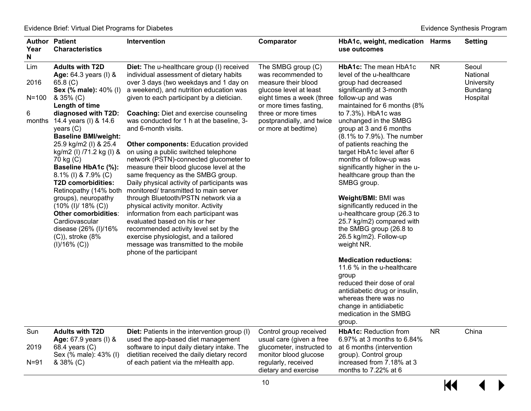| Year<br>N                               | <b>Author Patient</b><br><b>Characteristics</b>                                                                                                                                                                                                                                                                                                                                                                                                                                                                                                        | Intervention                                                                                                                                                                                                                                                                                                                                                                                                                                                                                                                                                                                                                                                                                                                                                                                                                                                                                                                                                         | Comparator                                                                                                                                                                                                                  | HbA1c, weight, medication Harms<br>use outcomes                                                                                                                                                                                                                                                                                                                                                                                                                                                                                                                                                                                                                                                                                                                                                                                                                 |           | <b>Setting</b>                                                |
|-----------------------------------------|--------------------------------------------------------------------------------------------------------------------------------------------------------------------------------------------------------------------------------------------------------------------------------------------------------------------------------------------------------------------------------------------------------------------------------------------------------------------------------------------------------------------------------------------------------|----------------------------------------------------------------------------------------------------------------------------------------------------------------------------------------------------------------------------------------------------------------------------------------------------------------------------------------------------------------------------------------------------------------------------------------------------------------------------------------------------------------------------------------------------------------------------------------------------------------------------------------------------------------------------------------------------------------------------------------------------------------------------------------------------------------------------------------------------------------------------------------------------------------------------------------------------------------------|-----------------------------------------------------------------------------------------------------------------------------------------------------------------------------------------------------------------------------|-----------------------------------------------------------------------------------------------------------------------------------------------------------------------------------------------------------------------------------------------------------------------------------------------------------------------------------------------------------------------------------------------------------------------------------------------------------------------------------------------------------------------------------------------------------------------------------------------------------------------------------------------------------------------------------------------------------------------------------------------------------------------------------------------------------------------------------------------------------------|-----------|---------------------------------------------------------------|
| Lim<br>2016<br>$N = 100$<br>6<br>months | <b>Adults with T2D</b><br>Age: 64.3 years (I) &<br>65.8 $(C)$<br><b>Sex (% male): 40% (l)</b><br>& 35% (C)<br>Length of time<br>diagnosed with T2D:<br>14.4 years (I) & 14.6<br>years $(C)$<br><b>Baseline BMI/weight:</b><br>25.9 kg/m2 (l) & 25.4<br>kg/m2 (l) /71.2 kg (l) &<br>70 kg (C)<br>Baseline HbA1c (%):<br>8.1% (I) & 7.9% (C)<br>T2D comorbidities:<br>Retinopathy (14% both<br>groups), neuropathy<br>$(10\%$ (I)/ 18% (C))<br>Other comorbidities:<br>Cardiovascular<br>disease (26% (I)/16%<br>$(C)$ , stroke $(8\%$<br>$(I)/16\% (C)$ | Diet: The u-healthcare group (I) received<br>individual assessment of dietary habits<br>over 3 days (two weekdays and 1 day on<br>a weekend), and nutrition education was<br>given to each participant by a dietician.<br><b>Coaching: Diet and exercise counseling</b><br>was conducted for 1 h at the baseline, 3-<br>and 6-month visits.<br><b>Other components: Education provided</b><br>on using a public switched telephone<br>network (PSTN)-connected glucometer to<br>measure their blood glucose level at the<br>same frequency as the SMBG group.<br>Daily physical activity of participants was<br>monitored/transmitted to main server<br>through Bluetooth/PSTN network via a<br>physical activity monitor. Activity<br>information from each participant was<br>evaluated based on his or her<br>recommended activity level set by the<br>exercise physiologist, and a tailored<br>message was transmitted to the mobile<br>phone of the participant | The SMBG group (C)<br>was recommended to<br>measure their blood<br>glucose level at least<br>eight times a week (three<br>or more times fasting,<br>three or more times<br>postprandially, and twice<br>or more at bedtime) | <b>HbA1c:</b> The mean HbA1c<br>level of the u-healthcare<br>group had decreased<br>significantly at 3-month<br>follow-up and was<br>maintained for 6 months (8%<br>to 7.3%). HbA1c was<br>unchanged in the SMBG<br>group at 3 and 6 months<br>(8.1% to 7.9%). The number<br>of patients reaching the<br>target HbA1c level after 6<br>months of follow-up was<br>significantly higher in the u-<br>healthcare group than the<br>SMBG group.<br>Weight/BMI: BMI was<br>significantly reduced in the<br>u-healthcare group (26.3 to<br>25.7 kg/m2) compared with<br>the SMBG group (26.8 to<br>26.5 kg/m2). Follow-up<br>weight NR.<br><b>Medication reductions:</b><br>11.6 % in the u-healthcare<br>group<br>reduced their dose of oral<br>antidiabetic drug or insulin,<br>whereas there was no<br>change in antidiabetic<br>medication in the SMBG<br>group. | <b>NR</b> | Seoul<br>National<br>University<br><b>Bundang</b><br>Hospital |
| Sun<br>2019<br>$N = 91$                 | <b>Adults with T2D</b><br><b>Age:</b> 67.9 years (I) &<br>68.4 years (C)<br>Sex (% male): 43% (I)<br>& 38% (C)                                                                                                                                                                                                                                                                                                                                                                                                                                         | <b>Diet:</b> Patients in the intervention group (I)<br>used the app-based diet management<br>software to input daily dietary intake. The<br>dietitian received the daily dietary record<br>of each patient via the mHealth app.                                                                                                                                                                                                                                                                                                                                                                                                                                                                                                                                                                                                                                                                                                                                      | Control group received<br>usual care (given a free<br>glucometer, instructed to<br>monitor blood glucose<br>regularly, received<br>dietary and exercise                                                                     | <b>HbA1c: Reduction from</b><br>6.97% at 3 months to 6.84%<br>at 6 months (intervention<br>group). Control group<br>increased from 7.18% at 3<br>months to 7.22% at 6                                                                                                                                                                                                                                                                                                                                                                                                                                                                                                                                                                                                                                                                                           | <b>NR</b> | China                                                         |
|                                         |                                                                                                                                                                                                                                                                                                                                                                                                                                                                                                                                                        |                                                                                                                                                                                                                                                                                                                                                                                                                                                                                                                                                                                                                                                                                                                                                                                                                                                                                                                                                                      | 10                                                                                                                                                                                                                          |                                                                                                                                                                                                                                                                                                                                                                                                                                                                                                                                                                                                                                                                                                                                                                                                                                                                 | KK        |                                                               |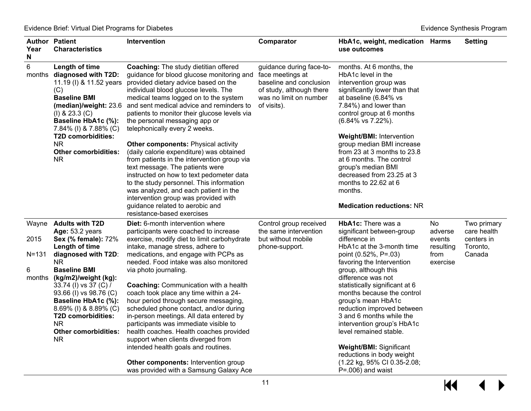| Year<br>N                        | <b>Author Patient</b><br><b>Characteristics</b>                                                                                                                                                                                                                                                                                                                      | Intervention                                                                                                                                                                                                                                                                                                                                                                                                                                                                                                                                                                                                                                                                                                                                                                                           | Comparator                                                                                                                                   | HbA1c, weight, medication Harms<br>use outcomes                                                                                                                                                                                                                                                                                                                                                                                                                                                                                         |                                                           | <b>Setting</b>                                                 |
|----------------------------------|----------------------------------------------------------------------------------------------------------------------------------------------------------------------------------------------------------------------------------------------------------------------------------------------------------------------------------------------------------------------|--------------------------------------------------------------------------------------------------------------------------------------------------------------------------------------------------------------------------------------------------------------------------------------------------------------------------------------------------------------------------------------------------------------------------------------------------------------------------------------------------------------------------------------------------------------------------------------------------------------------------------------------------------------------------------------------------------------------------------------------------------------------------------------------------------|----------------------------------------------------------------------------------------------------------------------------------------------|-----------------------------------------------------------------------------------------------------------------------------------------------------------------------------------------------------------------------------------------------------------------------------------------------------------------------------------------------------------------------------------------------------------------------------------------------------------------------------------------------------------------------------------------|-----------------------------------------------------------|----------------------------------------------------------------|
| 6                                | Length of time<br>months diagnosed with T2D:<br>11.19 (I) & 11.52 years<br>(C)<br><b>Baseline BMI</b><br>(median)/weight: 23.6<br>$(I)$ & 23.3 $(C)$<br>Baseline HbA1c (%):<br>7.84% (I) & 7.88% (C)<br><b>T2D comorbidities:</b><br>NR.<br><b>Other comorbidities:</b><br><b>NR</b>                                                                                 | <b>Coaching: The study dietitian offered</b><br>guidance for blood glucose monitoring and<br>provided dietary advice based on the<br>individual blood glucose levels. The<br>medical teams logged on to the system<br>and sent medical advice and reminders to<br>patients to monitor their glucose levels via<br>the personal messaging app or<br>telephonically every 2 weeks.<br><b>Other components: Physical activity</b><br>(daily calorie expenditure) was obtained<br>from patients in the intervention group via<br>text message. The patients were<br>instructed on how to text pedometer data<br>to the study personnel. This information<br>was analyzed, and each patient in the<br>intervention group was provided with<br>guidance related to aerobic and<br>resistance-based exercises | guidance during face-to-<br>face meetings at<br>baseline and conclusion<br>of study, although there<br>was no limit on number<br>of visits). | months. At 6 months, the<br>HbA1c level in the<br>intervention group was<br>significantly lower than that<br>at baseline (6.84% vs<br>7.84%) and lower than<br>control group at 6 months<br>$(6.84\% \text{ vs } 7.22\%).$<br><b>Weight/BMI: Intervention</b><br>group median BMI increase<br>from 23 at 3 months to 23.8<br>at 6 months. The control<br>group's median BMI<br>decreased from 23.25 at 3<br>months to 22.62 at 6<br>months.<br><b>Medication reductions: NR</b>                                                         |                                                           |                                                                |
| 2015<br>$N = 131$<br>6<br>months | Wayne Adults with T2D<br><b>Age: 53.2 years</b><br><b>Sex (% female): 72%</b><br>Length of time<br>diagnosed with T2D:<br><b>NR</b><br><b>Baseline BMI</b><br>(kg/m2)/weight (kg):<br>33.74 (I) vs 37 (C) /<br>93.66 (I) vs 98.76 (C)<br>Baseline HbA1c (%):<br>8.69% (I) & 8.89% (C)<br>T2D comorbidities:<br><b>NR</b><br><b>Other comorbidities:</b><br><b>NR</b> | <b>Diet:</b> 6-month intervention where<br>participants were coached to increase<br>exercise, modify diet to limit carbohydrate<br>intake, manage stress, adhere to<br>medications, and engage with PCPs as<br>needed. Food intake was also monitored<br>via photo journaling.<br><b>Coaching: Communication with a health</b><br>coach took place any time within a 24-<br>hour period through secure messaging,<br>scheduled phone contact, and/or during<br>in-person meetings. All data entered by<br>participants was immediate visible to<br>health coaches. Health coaches provided<br>support when clients diverged from<br>intended health goals and routines.<br>Other components: Intervention group<br>was provided with a Samsung Galaxy Ace                                              | Control group received<br>the same intervention<br>but without mobile<br>phone-support.                                                      | <b>HbA1c:</b> There was a<br>significant between-group<br>difference in<br>HbA1c at the 3-month time<br>point (0.52%, P=.03)<br>favoring the Intervention<br>group, although this<br>difference was not<br>statistically significant at 6<br>months because the control<br>group's mean HbA1c<br>reduction improved between<br>3 and 6 months while the<br>intervention group's HbA1c<br>level remained stable.<br><b>Weight/BMI: Significant</b><br>reductions in body weight<br>(1.22 kg, 95% CI 0.35-2.08;<br>$P = .006$ ) and waist | No.<br>adverse<br>events<br>resulting<br>from<br>exercise | Two primary<br>care health<br>centers in<br>Toronto,<br>Canada |

 $\overline{\mathbf{M}}$  $\blacktriangleright$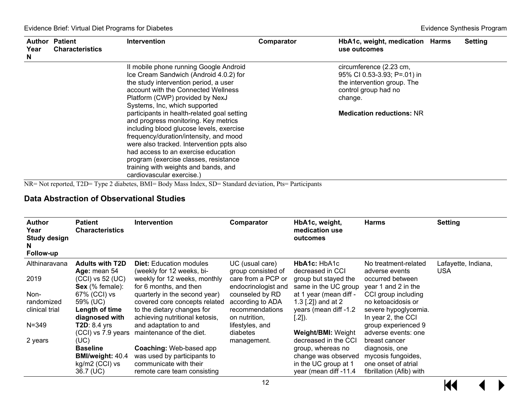| Year<br>N | <b>Author Patient</b><br><b>Characteristics</b> | <b>Intervention</b>                                                                                                                                                                                                                                                                                                         | Comparator | HbA1c, weight, medication Harms<br>use outcomes                                                                                                              | <b>Setting</b> |
|-----------|-------------------------------------------------|-----------------------------------------------------------------------------------------------------------------------------------------------------------------------------------------------------------------------------------------------------------------------------------------------------------------------------|------------|--------------------------------------------------------------------------------------------------------------------------------------------------------------|----------------|
|           |                                                 | II mobile phone running Google Android<br>Ice Cream Sandwich (Android 4.0.2) for<br>the study intervention period, a user<br>account with the Connected Wellness<br>Platform (CWP) provided by NexJ<br>Systems, Inc, which supported<br>participants in health-related goal setting<br>and progress monitoring. Key metrics |            | circumference (2.23 cm,<br>95% CI 0.53-3.93; P=.01) in<br>the intervention group. The<br>control group had no<br>change.<br><b>Medication reductions: NR</b> |                |
|           |                                                 | including blood glucose levels, exercise<br>frequency/duration/intensity, and mood<br>were also tracked. Intervention ppts also<br>had access to an exercise education<br>program (exercise classes, resistance<br>training with weights and bands, and<br>cardiovascular exercise.)                                        |            |                                                                                                                                                              |                |

NR= Not reported, T2D= Type 2 diabetes, BMI= Body Mass Index, SD= Standard deviation, Pts= Participants

#### **Data Abstraction of Observational Studies**

| <b>Author</b><br>Year<br><b>Study design</b><br>N<br>Follow-up | Patient<br><b>Characteristics</b>                       | <b>Intervention</b>                                                                 | Comparator                                                      | HbA1c, weight,<br>medication use<br>outcomes                     | <b>Harms</b>                                              | <b>Setting</b>      |
|----------------------------------------------------------------|---------------------------------------------------------|-------------------------------------------------------------------------------------|-----------------------------------------------------------------|------------------------------------------------------------------|-----------------------------------------------------------|---------------------|
| Althinaravana                                                  | <b>Adults with T2D</b>                                  | <b>Diet:</b> Education modules                                                      | UC (usual care)                                                 | HbA1c: HbA1c                                                     | No treatment-related                                      | Lafayette, Indiana, |
| 2019                                                           | Age: mean 54<br>$(CCI)$ vs 52 $(UC)$<br>Sex (% female): | (weekly for 12 weeks, bi-<br>weekly for 12 weeks, monthly<br>for 6 months, and then | group consisted of<br>care from a PCP or<br>endocrinologist and | decreased in CCI<br>group but stayed the<br>same in the UC group | adverse events<br>occurred between<br>year 1 and 2 in the | <b>USA</b>          |
| Non-                                                           | 67% (CCI) vs                                            | quarterly in the second year)                                                       | counseled by RD                                                 | at 1 year (mean diff -                                           | CCI group including                                       |                     |
| randomized                                                     | 59% (UC)                                                | covered core concepts related                                                       | according to ADA                                                | 1.3 [.2]) and at 2                                               | no ketoacidosis or                                        |                     |
| clinical trial                                                 | Length of time                                          | to the dietary changes for                                                          | recommendations                                                 | years (mean diff -1.2                                            | severe hypoglycemia.                                      |                     |
|                                                                | diagnosed with                                          | achieving nutritional ketosis,                                                      | on nutrition,                                                   | $[.2]$ ).                                                        | In year 2, the CCI                                        |                     |
| $N = 349$                                                      | $TD: 8.4$ yrs                                           | and adaptation to and                                                               | lifestyles, and                                                 |                                                                  | group experienced 9                                       |                     |
|                                                                |                                                         | (CCI) vs 7.9 years maintenance of the diet.                                         | diabetes                                                        | <b>Weight/BMI: Weight</b>                                        | adverse events: one                                       |                     |
| 2 years                                                        | (UC)                                                    |                                                                                     | management.                                                     | decreased in the CCI                                             | breast cancer                                             |                     |
|                                                                | <b>Baseline</b>                                         | <b>Coaching: Web-based app</b>                                                      |                                                                 | group, whereas no                                                | diagnosis, one                                            |                     |
|                                                                | <b>BMI/weight: 40.4</b>                                 | was used by participants to                                                         |                                                                 | change was observed                                              | mycosis fungoides,                                        |                     |
|                                                                | kg/m2 (CCI) vs                                          | communicate with their                                                              |                                                                 | in the UC group at 1                                             | one onset of atrial                                       |                     |
|                                                                | 36.7 (UC)                                               | remote care team consisting                                                         |                                                                 | year (mean diff -11.4                                            | fibrillation (Afib) with                                  |                     |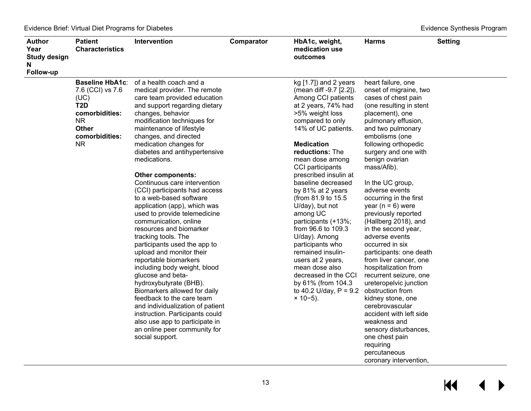$M \rightarrow$ 

| <b>Author</b><br>Year<br><b>Study design</b><br>N<br>Follow-up | <b>Patient</b><br><b>Characteristics</b>                                                                                                             | Intervention                                                                                                                                                                                                                                                                                                                                                                                                                                                                                                                                                                                                                                                                                                                                                                                                                                                                                                                                                                 | Comparator | HbA1c, weight,<br>medication use<br>outcomes                                                                                                                                                                                                                                                                                                                                                                                                                                                                                                                                                                   | <b>Harms</b>                                                                                                                                                                                                                                                                                                                                                                                                                                                                                                                                                                                                                                                                                                                                                                                                   | <b>Setting</b> |
|----------------------------------------------------------------|------------------------------------------------------------------------------------------------------------------------------------------------------|------------------------------------------------------------------------------------------------------------------------------------------------------------------------------------------------------------------------------------------------------------------------------------------------------------------------------------------------------------------------------------------------------------------------------------------------------------------------------------------------------------------------------------------------------------------------------------------------------------------------------------------------------------------------------------------------------------------------------------------------------------------------------------------------------------------------------------------------------------------------------------------------------------------------------------------------------------------------------|------------|----------------------------------------------------------------------------------------------------------------------------------------------------------------------------------------------------------------------------------------------------------------------------------------------------------------------------------------------------------------------------------------------------------------------------------------------------------------------------------------------------------------------------------------------------------------------------------------------------------------|----------------------------------------------------------------------------------------------------------------------------------------------------------------------------------------------------------------------------------------------------------------------------------------------------------------------------------------------------------------------------------------------------------------------------------------------------------------------------------------------------------------------------------------------------------------------------------------------------------------------------------------------------------------------------------------------------------------------------------------------------------------------------------------------------------------|----------------|
|                                                                | <b>Baseline HbA1c:</b><br>7.6 (CCI) vs 7.6<br>(UC)<br>T <sub>2</sub> D<br>comorbidities:<br><b>NR</b><br><b>Other</b><br>comorbidities:<br><b>NR</b> | of a health coach and a<br>medical provider. The remote<br>care team provided education<br>and support regarding dietary<br>changes, behavior<br>modification techniques for<br>maintenance of lifestyle<br>changes, and directed<br>medication changes for<br>diabetes and antihypertensive<br>medications.<br><b>Other components:</b><br>Continuous care intervention<br>(CCI) participants had access<br>to a web-based software<br>application (app), which was<br>used to provide telemedicine<br>communication, online<br>resources and biomarker<br>tracking tools. The<br>participants used the app to<br>upload and monitor their<br>reportable biomarkers<br>including body weight, blood<br>glucose and beta-<br>hydroxybutyrate (BHB).<br>Biomarkers allowed for daily<br>feedback to the care team<br>and individualization of patient<br>instruction. Participants could<br>also use app to participate in<br>an online peer community for<br>social support. |            | kg $[1.7]$ ) and 2 years<br>(mean diff -9.7 [2.2]).<br>Among CCI patients<br>at 2 years, 74% had<br>>5% weight loss<br>compared to only<br>14% of UC patients.<br><b>Medication</b><br>reductions: The<br>mean dose among<br>CCI participants<br>prescribed insulin at<br>baseline decreased<br>by 81% at 2 years<br>(from 81.9 to 15.5)<br>U/day), but not<br>among UC<br>participants (+13%;<br>from 96.6 to 109.3<br>U/day). Among<br>participants who<br>remained insulin-<br>users at 2 years,<br>mean dose also<br>decreased in the CCI<br>by 61% (from 104.3<br>to 40.2 U/day, $P = 9.2$<br>$× 10-5$ ). | heart failure, one<br>onset of migraine, two<br>cases of chest pain<br>(one resulting in stent<br>placement), one<br>pulmonary effusion,<br>and two pulmonary<br>embolisms (one<br>following orthopedic<br>surgery and one with<br>benign ovarian<br>mass/Afib).<br>In the UC group,<br>adverse events<br>occurring in the first<br>year ( $n = 6$ ) were<br>previously reported<br>(Hallberg 2018), and<br>in the second year,<br>adverse events<br>occurred in six<br>participants: one death<br>from liver cancer, one<br>hospitalization from<br>recurrent seizure, one<br>ureteropelvic junction<br>obstruction from<br>kidney stone, one<br>cerebrovascular<br>accident with left side<br>weakness and<br>sensory disturbances,<br>one chest pain<br>requiring<br>percutaneous<br>coronary intervention, |                |

13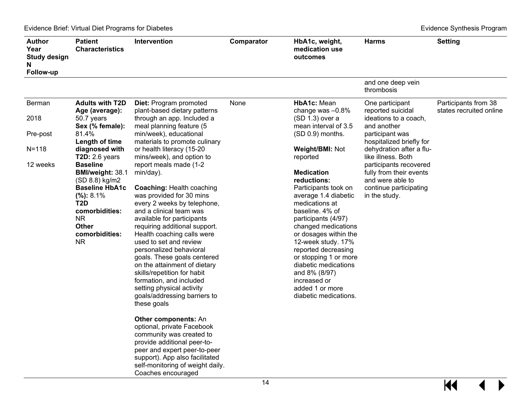| <b>Author</b><br>Year<br><b>Study design</b><br>N<br>Follow-up | <b>Patient</b><br><b>Characteristics</b>                                                                                                                                                       | Intervention                                                                                                                                                                                                                                                                                                    | Comparator | HbA1c, weight,<br>medication use<br>outcomes                                                                                                                                                                                              | <b>Harms</b>                                                                                                     | <b>Setting</b>                                  |
|----------------------------------------------------------------|------------------------------------------------------------------------------------------------------------------------------------------------------------------------------------------------|-----------------------------------------------------------------------------------------------------------------------------------------------------------------------------------------------------------------------------------------------------------------------------------------------------------------|------------|-------------------------------------------------------------------------------------------------------------------------------------------------------------------------------------------------------------------------------------------|------------------------------------------------------------------------------------------------------------------|-------------------------------------------------|
|                                                                |                                                                                                                                                                                                |                                                                                                                                                                                                                                                                                                                 |            |                                                                                                                                                                                                                                           | and one deep vein<br>thrombosis                                                                                  |                                                 |
| Berman                                                         | <b>Adults with T2D</b><br>Age (average):                                                                                                                                                       | <b>Diet: Program promoted</b><br>plant-based dietary patterns                                                                                                                                                                                                                                                   | None       | HbA1c: Mean<br>change was $-0.8\%$                                                                                                                                                                                                        | One participant<br>reported suicidal                                                                             | Participants from 38<br>states recruited online |
| 2018                                                           | 50.7 years<br>Sex (% female):                                                                                                                                                                  | through an app. Included a<br>meal planning feature (5                                                                                                                                                                                                                                                          |            | $(SD 1.3)$ over a<br>mean interval of 3.5                                                                                                                                                                                                 | ideations to a coach.<br>and another                                                                             |                                                 |
| Pre-post                                                       | 81.4%<br>Length of time                                                                                                                                                                        | min/week), educational<br>materials to promote culinary                                                                                                                                                                                                                                                         |            | (SD 0.9) months.                                                                                                                                                                                                                          | participant was<br>hospitalized briefly for                                                                      |                                                 |
| $N = 118$                                                      | diagnosed with<br>T2D: $2.6$ years                                                                                                                                                             | or health literacy (15-20<br>mins/week), and option to                                                                                                                                                                                                                                                          |            | <b>Weight/BMI: Not</b><br>reported                                                                                                                                                                                                        | dehydration after a flu-<br>like illness. Both                                                                   |                                                 |
| 12 weeks                                                       | <b>Baseline</b><br><b>BMI/weight: 38.1</b><br>(SD 8.8) kg/m2<br><b>Baseline HbA1c</b><br>(%): 8.1%<br>T <sub>2</sub> D<br>comorbidities:<br><b>NR</b><br><b>Other</b><br>comorbidities:<br>NR. | report meals made (1-2<br>min/day).<br><b>Coaching: Health coaching</b><br>was provided for 30 mins<br>every 2 weeks by telephone,<br>and a clinical team was<br>available for participants<br>requiring additional support.<br>Health coaching calls were<br>used to set and review<br>personalized behavioral |            | <b>Medication</b><br>reductions:<br>Participants took on<br>average 1.4 diabetic<br>medications at<br>baseline. 4% of<br>participants (4/97)<br>changed medications<br>or dosages within the<br>12-week study. 17%<br>reported decreasing | participants recovered<br>fully from their events<br>and were able to<br>continue participating<br>in the study. |                                                 |
|                                                                |                                                                                                                                                                                                | goals. These goals centered<br>on the attainment of dietary<br>skills/repetition for habit<br>formation, and included<br>setting physical activity<br>goals/addressing barriers to<br>these goals                                                                                                               |            | or stopping 1 or more<br>diabetic medications<br>and 8% (8/97)<br>increased or<br>added 1 or more<br>diabetic medications.                                                                                                                |                                                                                                                  |                                                 |
|                                                                |                                                                                                                                                                                                | <b>Other components: An</b><br>optional, private Facebook<br>community was created to<br>provide additional peer-to-<br>peer and expert peer-to-peer<br>support). App also facilitated<br>self-monitoring of weight daily.<br>Coaches encouraged                                                                |            |                                                                                                                                                                                                                                           |                                                                                                                  |                                                 |
|                                                                |                                                                                                                                                                                                |                                                                                                                                                                                                                                                                                                                 | 14         |                                                                                                                                                                                                                                           |                                                                                                                  | KI                                              |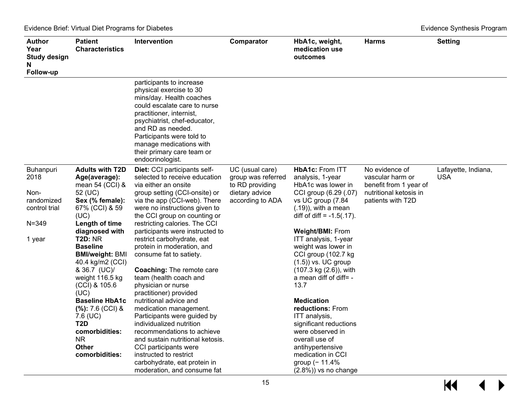| Author<br>Year<br><b>Study design</b><br>N<br>Follow-up                         | <b>Patient</b><br><b>Characteristics</b>                                                                                                                                                                                                                                                              | Intervention                                                                                                                                                                                                                                                                                                                                                                                                                                                                                     | Comparator                                                                                     | HbA1c, weight,<br>medication use<br>outcomes                                                                                                                                                                                                                                                                                                                                   | <b>Harms</b>                                                                                                | <b>Setting</b>                    |
|---------------------------------------------------------------------------------|-------------------------------------------------------------------------------------------------------------------------------------------------------------------------------------------------------------------------------------------------------------------------------------------------------|--------------------------------------------------------------------------------------------------------------------------------------------------------------------------------------------------------------------------------------------------------------------------------------------------------------------------------------------------------------------------------------------------------------------------------------------------------------------------------------------------|------------------------------------------------------------------------------------------------|--------------------------------------------------------------------------------------------------------------------------------------------------------------------------------------------------------------------------------------------------------------------------------------------------------------------------------------------------------------------------------|-------------------------------------------------------------------------------------------------------------|-----------------------------------|
|                                                                                 |                                                                                                                                                                                                                                                                                                       | participants to increase<br>physical exercise to 30<br>mins/day. Health coaches<br>could escalate care to nurse<br>practitioner, internist,<br>psychiatrist, chef-educator,<br>and RD as needed.<br>Participants were told to<br>manage medications with<br>their primary care team or<br>endocrinologist.                                                                                                                                                                                       |                                                                                                |                                                                                                                                                                                                                                                                                                                                                                                |                                                                                                             |                                   |
| Buhanpuri<br>2018<br>Non-<br>randomized<br>control trial<br>$N = 349$<br>1 year | <b>Adults with T2D</b><br>Age(average):<br>mean 54 (CCI) &<br>52 (UC)<br>Sex (% female):<br>67% (CCI) & 59<br>(UC)<br>Length of time<br>diagnosed with<br><b>T2D: NR</b><br><b>Baseline</b><br><b>BMI/weight: BMI</b><br>40.4 kg/m2 (CCI)<br>& 36.7 (UC)/<br>weight 116.5 kg<br>(CCI) & 105.6<br>(UC) | Diet: CCI participants self-<br>selected to receive education<br>via either an onsite<br>group setting (CCI-onsite) or<br>via the app (CCI-web). There<br>were no instructions given to<br>the CCI group on counting or<br>restricting calories. The CCI<br>participants were instructed to<br>restrict carbohydrate, eat<br>protein in moderation, and<br>consume fat to satiety.<br><b>Coaching: The remote care</b><br>team (health coach and<br>physician or nurse<br>practitioner) provided | UC (usual care)<br>group was referred<br>to RD providing<br>dietary advice<br>according to ADA | <b>HbA1c: From ITT</b><br>analysis, 1-year<br>HbA1c was lower in<br>CCI group (6.29 (.07)<br>vs UC group (7.84<br>$(.19)$ , with a mean<br>diff of diff = $-1.5(.17)$ .<br>Weight/BMI: From<br>ITT analysis, 1-year<br>weight was lower in<br>CCI group (102.7 kg<br>$(1.5)$ ) vs. UC group<br>(107.3 kg (2.6)), with<br>a mean diff of diff= $-$<br>13.7<br><b>Medication</b> | No evidence of<br>vascular harm or<br>benefit from 1 year of<br>nutritional ketosis in<br>patients with T2D | Lafayette, Indiana,<br><b>USA</b> |
|                                                                                 | <b>Baseline HbA1c</b><br>$(\%): 7.6$ (CCI) &<br>7.6 (UC)<br>T <sub>2</sub> D<br>comorbidities:<br><b>NR</b><br><b>Other</b><br>comorbidities:                                                                                                                                                         | nutritional advice and<br>medication management.<br>Participants were guided by<br>individualized nutrition<br>recommendations to achieve<br>and sustain nutritional ketosis.<br>CCI participants were<br>instructed to restrict<br>carbohydrate, eat protein in<br>moderation, and consume fat                                                                                                                                                                                                  |                                                                                                | reductions: From<br>ITT analysis,<br>significant reductions<br>were observed in<br>overall use of<br>antihypertensive<br>medication in CCI<br>group $(-11.4%$<br>$(2.8%)$ ) vs no change                                                                                                                                                                                       |                                                                                                             |                                   |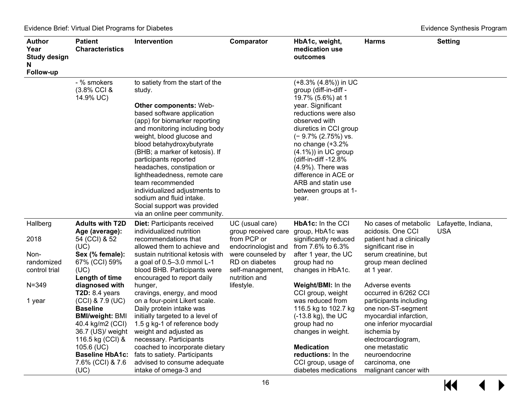| <b>Author</b><br>Year<br><b>Study design</b><br>N<br>Follow-up | <b>Patient</b><br><b>Characteristics</b>                                                                                                                                                       | Intervention                                                                                                                                                                                                                                                                                                                                                                                                                                                                                                    | Comparator                                                                                                          | HbA1c, weight,<br>medication use<br>outcomes                                                                                                                                                                                                                                                                                                                        | <b>Harms</b>                                                                                                                                                                                                          | <b>Setting</b>                    |
|----------------------------------------------------------------|------------------------------------------------------------------------------------------------------------------------------------------------------------------------------------------------|-----------------------------------------------------------------------------------------------------------------------------------------------------------------------------------------------------------------------------------------------------------------------------------------------------------------------------------------------------------------------------------------------------------------------------------------------------------------------------------------------------------------|---------------------------------------------------------------------------------------------------------------------|---------------------------------------------------------------------------------------------------------------------------------------------------------------------------------------------------------------------------------------------------------------------------------------------------------------------------------------------------------------------|-----------------------------------------------------------------------------------------------------------------------------------------------------------------------------------------------------------------------|-----------------------------------|
|                                                                | - % smokers<br>$(3.8\%$ CCI &<br>14.9% UC)                                                                                                                                                     | to satiety from the start of the<br>study.<br><b>Other components: Web-</b><br>based software application<br>(app) for biomarker reporting<br>and monitoring including body<br>weight, blood glucose and<br>blood betahydroxybutyrate<br>(BHB; a marker of ketosis). If<br>participants reported<br>headaches, constipation or<br>lightheadedness, remote care<br>team recommended<br>individualized adjustments to<br>sodium and fluid intake.<br>Social support was provided<br>via an online peer community. |                                                                                                                     | (+8.3% (4.8%)) in UC<br>group (diff-in-diff -<br>19.7% (5.6%) at 1<br>year. Significant<br>reductions were also<br>observed with<br>diuretics in CCI group<br>$(-9.7\% (2.75\%)$ vs.<br>no change (+3.2%<br>$(4.1\%)$ ) in UC group<br>(diff-in-diff -12.8%<br>$(4.9\%)$ . There was<br>difference in ACE or<br>ARB and statin use<br>between groups at 1-<br>year. |                                                                                                                                                                                                                       |                                   |
| Hallberg<br>2018<br>Non-<br>randomized                         | <b>Adults with T2D</b><br>Age (average):<br>54 (CCI) & 52<br>(UC)<br>Sex (% female):<br>67% (CCI) 59%                                                                                          | <b>Diet: Participants received</b><br>individualized nutrition<br>recommendations that<br>allowed them to achieve and<br>sustain nutritional ketosis with<br>a goal of 0.5-3.0 mmol L-1                                                                                                                                                                                                                                                                                                                         | UC (usual care)<br>group received care<br>from PCP or<br>endocrinologist and<br>were counseled by<br>RD on diabetes | HbA1c: In the CCI<br>group, HbA1c was<br>significantly reduced<br>from 7.6% to 6.3%<br>after 1 year, the UC<br>group had no                                                                                                                                                                                                                                         | No cases of metabolic<br>acidosis, One CCI<br>patient had a clinically<br>significant rise in<br>serum creatinine, but<br>group mean declined                                                                         | Lafayette, Indiana,<br><b>USA</b> |
| control trial                                                  | (UC)<br>Length of time                                                                                                                                                                         | blood BHB. Participants were<br>encouraged to report daily                                                                                                                                                                                                                                                                                                                                                                                                                                                      | self-management,<br>nutrition and                                                                                   | changes in HbA1c.                                                                                                                                                                                                                                                                                                                                                   | at 1 year.                                                                                                                                                                                                            |                                   |
| $N = 349$                                                      | diagnosed with<br>T2D: $8.4$ years                                                                                                                                                             | hunger,<br>cravings, energy, and mood                                                                                                                                                                                                                                                                                                                                                                                                                                                                           | lifestyle.                                                                                                          | Weight/BMI: In the<br>CCI group, weight                                                                                                                                                                                                                                                                                                                             | Adverse events<br>occurred in 6/262 CCI                                                                                                                                                                               |                                   |
| 1 year                                                         | (CCI) & 7.9 (UC)<br><b>Baseline</b><br><b>BMI/weight: BMI</b><br>40.4 kg/m2 (CCI)<br>36.7 (US)/ weight<br>116.5 kg (CCI) &<br>105.6 (UC)<br><b>Baseline HbA1c:</b><br>7.6% (CCI) & 7.6<br>(UC) | on a four-point Likert scale.<br>Daily protein intake was<br>initially targeted to a level of<br>1.5 g kg-1 of reference body<br>weight and adjusted as<br>necessary. Participants<br>coached to incorporate dietary<br>fats to satiety. Participants<br>advised to consume adequate<br>intake of omega-3 and                                                                                                                                                                                                   |                                                                                                                     | was reduced from<br>116.5 kg to 102.7 kg<br>$(-13.8 \text{ kg})$ , the UC<br>group had no<br>changes in weight.<br><b>Medication</b><br>reductions: In the<br>CCI group, usage of<br>diabetes medications                                                                                                                                                           | participants including<br>one non-ST-segment<br>myocardial infarction,<br>one inferior myocardial<br>ischemia by<br>electrocardiogram,<br>one metastatic<br>neuroendocrine<br>carcinoma, one<br>malignant cancer with |                                   |

 $M$  $\leftrightarrow$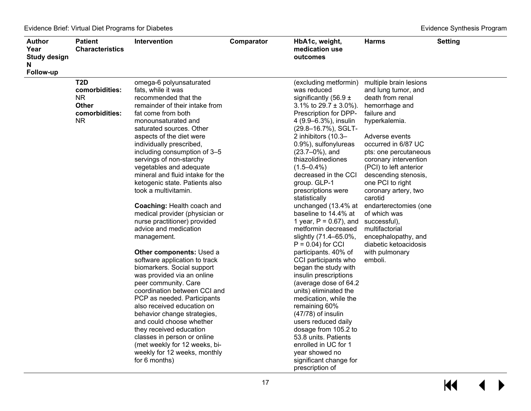| <b>Author</b><br>Year<br><b>Study design</b><br>N<br>Follow-up | <b>Patient</b><br><b>Characteristics</b>                                           | Intervention                                                                                                                                                                                                                                                                                                                                                                                                                                                                                                                                                                                                                                                                                                                                                                                                                                                                                                                                                                                                                     | Comparator | HbA1c, weight,<br>medication use<br>outcomes                                                                                                                                                                                                                                                                                                                                                                                                                                                                                                                                                                                                                                                                                                                                                                                                                                                                    | <b>Harms</b>                                                                                                                                                                                                                                                                                                                                                                                                                                                                    | <b>Setting</b> |
|----------------------------------------------------------------|------------------------------------------------------------------------------------|----------------------------------------------------------------------------------------------------------------------------------------------------------------------------------------------------------------------------------------------------------------------------------------------------------------------------------------------------------------------------------------------------------------------------------------------------------------------------------------------------------------------------------------------------------------------------------------------------------------------------------------------------------------------------------------------------------------------------------------------------------------------------------------------------------------------------------------------------------------------------------------------------------------------------------------------------------------------------------------------------------------------------------|------------|-----------------------------------------------------------------------------------------------------------------------------------------------------------------------------------------------------------------------------------------------------------------------------------------------------------------------------------------------------------------------------------------------------------------------------------------------------------------------------------------------------------------------------------------------------------------------------------------------------------------------------------------------------------------------------------------------------------------------------------------------------------------------------------------------------------------------------------------------------------------------------------------------------------------|---------------------------------------------------------------------------------------------------------------------------------------------------------------------------------------------------------------------------------------------------------------------------------------------------------------------------------------------------------------------------------------------------------------------------------------------------------------------------------|----------------|
|                                                                | T <sub>2</sub> D<br>comorbidities:<br>NR.<br><b>Other</b><br>comorbidities:<br>NR. | omega-6 polyunsaturated<br>fats, while it was<br>recommended that the<br>remainder of their intake from<br>fat come from both<br>monounsaturated and<br>saturated sources. Other<br>aspects of the diet were<br>individually prescribed,<br>including consumption of 3-5<br>servings of non-starchy<br>vegetables and adequate<br>mineral and fluid intake for the<br>ketogenic state. Patients also<br>took a multivitamin.<br><b>Coaching: Health coach and</b><br>medical provider (physician or<br>nurse practitioner) provided<br>advice and medication<br>management.<br>Other components: Used a<br>software application to track<br>biomarkers. Social support<br>was provided via an online<br>peer community. Care<br>coordination between CCI and<br>PCP as needed. Participants<br>also received education on<br>behavior change strategies,<br>and could choose whether<br>they received education<br>classes in person or online<br>(met weekly for 12 weeks, bi-<br>weekly for 12 weeks, monthly<br>for 6 months) |            | (excluding metformin)<br>was reduced<br>significantly (56.9 $\pm$<br>3.1% to $29.7 \pm 3.0$ %).<br>Prescription for DPP-<br>4 (9.9-6.3%), insulin<br>(29.8-16.7%), SGLT-<br>2 inhibitors (10.3-<br>0.9%), sulfonylureas<br>$(23.7 - 0\%)$ , and<br>thiazolidinediones<br>$(1.5 - 0.4\%)$<br>decreased in the CCI<br>group. GLP-1<br>prescriptions were<br>statistically<br>unchanged (13.4% at<br>baseline to 14.4% at<br>1 year, $P = 0.67$ ), and<br>metformin decreased<br>slightly (71.4-65.0%,<br>$P = 0.04$ ) for CCI<br>participants. 40% of<br>CCI participants who<br>began the study with<br>insulin prescriptions<br>(average dose of 64.2)<br>units) eliminated the<br>medication, while the<br>remaining 60%<br>$(47/78)$ of insulin<br>users reduced daily<br>dosage from 105.2 to<br>53.8 units. Patients<br>enrolled in UC for 1<br>year showed no<br>significant change for<br>prescription of | multiple brain lesions<br>and lung tumor, and<br>death from renal<br>hemorrhage and<br>failure and<br>hyperkalemia.<br>Adverse events<br>occurred in 6/87 UC<br>pts: one percutaneous<br>coronary intervention<br>(PCI) to left anterior<br>descending stenosis,<br>one PCI to right<br>coronary artery, two<br>carotid<br>endarterectomies (one<br>of which was<br>successful),<br>multifactorial<br>encephalopathy, and<br>diabetic ketoacidosis<br>with pulmonary<br>emboli. |                |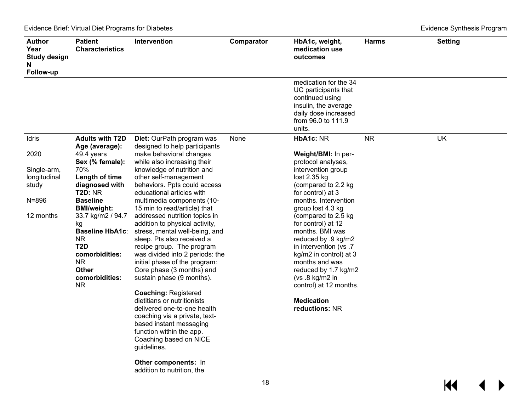| Author<br>Year<br><b>Study design</b><br>N<br>Follow-up                | <b>Patient</b><br><b>Characteristics</b>                                                                                                                                                                                                                                                                                  | Intervention                                                                                                                                                                                                                                                                                                                                                                                                                                                                                                                                                                                                                                                                                                                                                                                          | Comparator | HbA1c, weight,<br>medication use<br>outcomes                                                                                                                                                                                                                                                                                                                                                                                                       | <b>Harms</b> | <b>Setting</b> |
|------------------------------------------------------------------------|---------------------------------------------------------------------------------------------------------------------------------------------------------------------------------------------------------------------------------------------------------------------------------------------------------------------------|-------------------------------------------------------------------------------------------------------------------------------------------------------------------------------------------------------------------------------------------------------------------------------------------------------------------------------------------------------------------------------------------------------------------------------------------------------------------------------------------------------------------------------------------------------------------------------------------------------------------------------------------------------------------------------------------------------------------------------------------------------------------------------------------------------|------------|----------------------------------------------------------------------------------------------------------------------------------------------------------------------------------------------------------------------------------------------------------------------------------------------------------------------------------------------------------------------------------------------------------------------------------------------------|--------------|----------------|
|                                                                        |                                                                                                                                                                                                                                                                                                                           |                                                                                                                                                                                                                                                                                                                                                                                                                                                                                                                                                                                                                                                                                                                                                                                                       |            | medication for the 34<br>UC participants that<br>continued using<br>insulin, the average<br>daily dose increased<br>from 96.0 to 111.9<br>units.                                                                                                                                                                                                                                                                                                   |              |                |
| Idris                                                                  | <b>Adults with T2D</b>                                                                                                                                                                                                                                                                                                    | Diet: OurPath program was                                                                                                                                                                                                                                                                                                                                                                                                                                                                                                                                                                                                                                                                                                                                                                             | None       | HbA1c: NR                                                                                                                                                                                                                                                                                                                                                                                                                                          | <b>NR</b>    | <b>UK</b>      |
| 2020<br>Single-arm,<br>longitudinal<br>study<br>$N = 896$<br>12 months | Age (average):<br>49.4 years<br>Sex (% female):<br>70%<br>Length of time<br>diagnosed with<br><b>T2D: NR</b><br><b>Baseline</b><br><b>BMI/weight:</b><br>33.7 kg/m2 / 94.7<br>kg<br><b>Baseline HbA1c:</b><br><b>NR</b><br>T <sub>2</sub> D<br>comorbidities:<br><b>NR</b><br><b>Other</b><br>comorbidities:<br><b>NR</b> | designed to help participants<br>make behavioral changes<br>while also increasing their<br>knowledge of nutrition and<br>other self-management<br>behaviors. Ppts could access<br>educational articles with<br>multimedia components (10-<br>15 min to read/article) that<br>addressed nutrition topics in<br>addition to physical activity,<br>stress, mental well-being, and<br>sleep. Pts also received a<br>recipe group. The program<br>was divided into 2 periods: the<br>initial phase of the program:<br>Core phase (3 months) and<br>sustain phase (9 months).<br><b>Coaching: Registered</b><br>dietitians or nutritionists<br>delivered one-to-one health<br>coaching via a private, text-<br>based instant messaging<br>function within the app.<br>Coaching based on NICE<br>guidelines. |            | Weight/BMI: In per-<br>protocol analyses,<br>intervention group<br>lost 2.35 kg<br>(compared to 2.2 kg<br>for control) at 3<br>months. Intervention<br>group lost 4.3 kg<br>(compared to 2.5 kg<br>for control) at 12<br>months. BMI was<br>reduced by .9 kg/m2<br>in intervention (vs.7<br>kg/m2 in control) at 3<br>months and was<br>reduced by 1.7 kg/m2<br>( $vs.8$ kg/m2 in<br>control) at 12 months.<br><b>Medication</b><br>reductions: NR |              |                |
|                                                                        |                                                                                                                                                                                                                                                                                                                           | Other components: In                                                                                                                                                                                                                                                                                                                                                                                                                                                                                                                                                                                                                                                                                                                                                                                  |            |                                                                                                                                                                                                                                                                                                                                                                                                                                                    |              |                |

addition to nutrition, the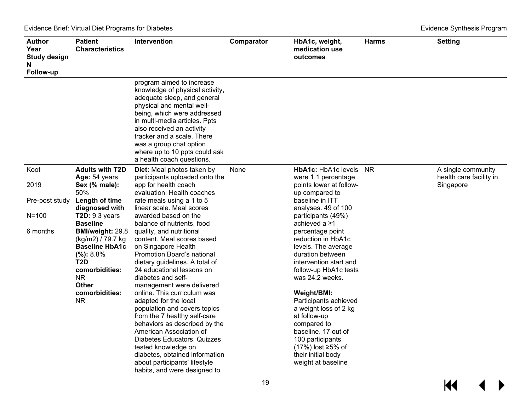| Author<br>Year<br><b>Study design</b><br>N<br>Follow-up | <b>Patient</b><br><b>Characteristics</b>                                                                                                                                     | <b>Intervention</b>                                                                                                                                                                                                                                                                                                                          | Comparator     | HbA1c, weight,<br>medication use<br>outcomes                                                                                                                                                             | <b>Harms</b> | <b>Setting</b>                                |
|---------------------------------------------------------|------------------------------------------------------------------------------------------------------------------------------------------------------------------------------|----------------------------------------------------------------------------------------------------------------------------------------------------------------------------------------------------------------------------------------------------------------------------------------------------------------------------------------------|----------------|----------------------------------------------------------------------------------------------------------------------------------------------------------------------------------------------------------|--------------|-----------------------------------------------|
|                                                         |                                                                                                                                                                              | program aimed to increase<br>knowledge of physical activity,<br>adequate sleep, and general<br>physical and mental well-<br>being, which were addressed<br>in multi-media articles. Ppts<br>also received an activity<br>tracker and a scale. There<br>was a group chat option<br>where up to 10 ppts could ask<br>a health coach questions. |                |                                                                                                                                                                                                          |              |                                               |
| Koot                                                    | <b>Adults with T2D</b><br>Age: 54 years                                                                                                                                      | <b>Diet:</b> Meal photos taken by<br>participants uploaded onto the                                                                                                                                                                                                                                                                          | None           | HbA1c: HbA1c levels<br>were 1.1 percentage                                                                                                                                                               | NR.          | A single community<br>health care facility in |
| 2019                                                    | Sex (% male):<br>50%                                                                                                                                                         | app for health coach<br>evaluation. Health coaches                                                                                                                                                                                                                                                                                           | up compared to | points lower at follow-                                                                                                                                                                                  |              | Singapore                                     |
| Pre-post study                                          | Length of time                                                                                                                                                               | rate meals using a 1 to 5<br>linear scale. Meal scores                                                                                                                                                                                                                                                                                       |                | baseline in ITT                                                                                                                                                                                          |              |                                               |
| $N = 100$                                               | diagnosed with<br>T2D: $9.3$ years                                                                                                                                           | awarded based on the                                                                                                                                                                                                                                                                                                                         |                | analyses. 49 of 100<br>participants (49%)                                                                                                                                                                |              |                                               |
| 6 months                                                | <b>Baseline</b><br><b>BMI/weight: 29.8</b><br>(kg/m2) / 79.7 kg<br><b>Baseline HbA1c</b><br>$(\%): 8.8\%$<br>T <sub>2</sub> D<br>comorbidities:<br><b>NR</b><br><b>Other</b> | balance of nutrients, food<br>quality, and nutritional<br>content. Meal scores based<br>on Singapore Health<br>Promotion Board's national<br>dietary guidelines. A total of<br>24 educational lessons on<br>diabetes and self-<br>management were delivered                                                                                  |                | achieved a ≥1<br>percentage point<br>reduction in HbA1c<br>levels. The average<br>duration between<br>intervention start and<br>follow-up HbA1c tests<br>was 24.2 weeks.                                 |              |                                               |
|                                                         | comorbidities:<br><b>NR</b>                                                                                                                                                  | online. This curriculum was<br>adapted for the local<br>population and covers topics<br>from the 7 healthy self-care<br>behaviors as described by the<br>American Association of<br>Diabetes Educators. Quizzes<br>tested knowledge on<br>diabetes, obtained information<br>about participants' lifestyle<br>habits, and were designed to    |                | Weight/BMI:<br>Participants achieved<br>a weight loss of 2 kg<br>at follow-up<br>compared to<br>baseline, 17 out of<br>100 participants<br>(17%) lost ≥5% of<br>their initial body<br>weight at baseline |              |                                               |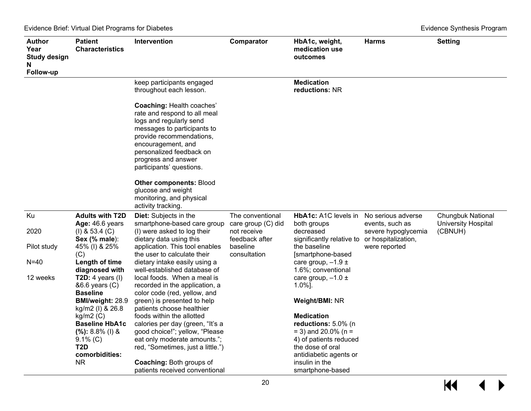| Author<br>Year<br><b>Study design</b><br>N<br>Follow-up | <b>Patient</b><br><b>Characteristics</b>                        | Intervention                                                                                                                                                                                                                                                | Comparator                                            | HbA1c, weight,<br>medication use<br>outcomes                   | <b>Harms</b>                                                 | <b>Setting</b>                                                    |
|---------------------------------------------------------|-----------------------------------------------------------------|-------------------------------------------------------------------------------------------------------------------------------------------------------------------------------------------------------------------------------------------------------------|-------------------------------------------------------|----------------------------------------------------------------|--------------------------------------------------------------|-------------------------------------------------------------------|
|                                                         |                                                                 | keep participants engaged<br>throughout each lesson.                                                                                                                                                                                                        |                                                       | <b>Medication</b><br>reductions: NR                            |                                                              |                                                                   |
|                                                         |                                                                 | <b>Coaching: Health coaches'</b><br>rate and respond to all meal<br>logs and regularly send<br>messages to participants to<br>provide recommendations,<br>encouragement, and<br>personalized feedback on<br>progress and answer<br>participants' questions. |                                                       |                                                                |                                                              |                                                                   |
|                                                         |                                                                 | <b>Other components: Blood</b><br>glucose and weight<br>monitoring, and physical<br>activity tracking.                                                                                                                                                      |                                                       |                                                                |                                                              |                                                                   |
| Ku<br>2020                                              | <b>Adults with T2D</b><br>Age: 46.6 years<br>$(I)$ & 53.4 $(C)$ | Diet: Subjects in the<br>smartphone-based care group<br>(I) were asked to log their                                                                                                                                                                         | The conventional<br>care group (C) did<br>not receive | <b>HbA1c: A1C levels in</b><br>both groups<br>decreased        | No serious adverse<br>events, such as<br>severe hypoglycemia | <b>Chungbuk National</b><br><b>University Hospital</b><br>(CBNUH) |
| Pilot study                                             | Sex (% male):<br>45% (I) & 25%<br>(C)                           | dietary data using this<br>application. This tool enables<br>the user to calculate their                                                                                                                                                                    | feedback after<br>baseline<br>consultation            | significantly relative to<br>the baseline<br>[smartphone-based | or hospitalization,<br>were reported                         |                                                                   |
| $N = 40$                                                | Length of time<br>diagnosed with                                | dietary intake easily using a<br>well-established database of                                                                                                                                                                                               |                                                       | care group, $-1.9 \pm$<br>1.6%; conventional                   |                                                              |                                                                   |
| 12 weeks                                                | T2D: 4 years $(I)$<br>&6.6 years (C)<br><b>Baseline</b>         | local foods. When a meal is<br>recorded in the application, a<br>color code (red, yellow, and                                                                                                                                                               |                                                       | care group, $-1.0 \pm$<br>$1.0\%$ ].                           |                                                              |                                                                   |
|                                                         | BMI/weight: 28.9<br>kg/m2 (I) & 26.8                            | green) is presented to help<br>patients choose healthier                                                                                                                                                                                                    |                                                       | Weight/BMI: NR                                                 |                                                              |                                                                   |
|                                                         | $kg/m2$ (C)                                                     | foods within the allotted                                                                                                                                                                                                                                   |                                                       | <b>Medication</b>                                              |                                                              |                                                                   |
|                                                         | <b>Baseline HbA1c</b><br>$(%): 8.8\%$ (l) &                     | calories per day (green, "It's a<br>good choice!"; yellow, "Please                                                                                                                                                                                          |                                                       | reductions: 5.0% (n<br>$=$ 3) and 20.0% (n =                   |                                                              |                                                                   |
|                                                         | $9.1\%$ (C)                                                     | eat only moderate amounts.";                                                                                                                                                                                                                                |                                                       | 4) of patients reduced                                         |                                                              |                                                                   |
|                                                         | T2D                                                             | red, "Sometimes, just a little.")                                                                                                                                                                                                                           |                                                       | the dose of oral                                               |                                                              |                                                                   |
|                                                         | comorbidities:                                                  |                                                                                                                                                                                                                                                             |                                                       | antidiabetic agents or<br>insulin in the                       |                                                              |                                                                   |
|                                                         | NR.                                                             | <b>Coaching: Both groups of</b><br>patients received conventional                                                                                                                                                                                           |                                                       | smartphone-based                                               |                                                              |                                                                   |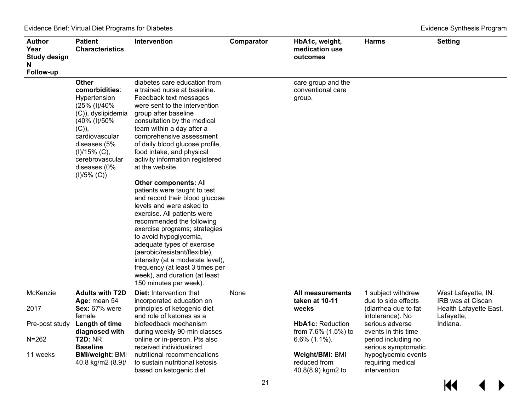| Author<br>Year<br><b>Study design</b><br>N<br>Follow-up | <b>Patient</b><br><b>Characteristics</b>                                                                                                                                                                              | Intervention                                                                                                                                                                                                                                                                                                                                                                                                                                                                                                                                                                                                                                                                                                                                                                                                        | Comparator | HbA1c, weight,<br>medication use<br>outcomes         | <b>Harms</b>                                              | <b>Setting</b>                           |
|---------------------------------------------------------|-----------------------------------------------------------------------------------------------------------------------------------------------------------------------------------------------------------------------|---------------------------------------------------------------------------------------------------------------------------------------------------------------------------------------------------------------------------------------------------------------------------------------------------------------------------------------------------------------------------------------------------------------------------------------------------------------------------------------------------------------------------------------------------------------------------------------------------------------------------------------------------------------------------------------------------------------------------------------------------------------------------------------------------------------------|------------|------------------------------------------------------|-----------------------------------------------------------|------------------------------------------|
|                                                         | <b>Other</b><br>comorbidities:<br>Hypertension<br>(25% (I)/40%<br>(C)), dyslipidemia<br>(40% (I)/50%<br>$(C)$ ),<br>cardiovascular<br>diseases (5%<br>$(I)/15%$ (C),<br>cerebrovascular<br>diseases (0%<br>(I)/5% (C) | diabetes care education from<br>a trained nurse at baseline.<br>Feedback text messages<br>were sent to the intervention<br>group after baseline<br>consultation by the medical<br>team within a day after a<br>comprehensive assessment<br>of daily blood glucose profile,<br>food intake, and physical<br>activity information registered<br>at the website.<br><b>Other components: All</b><br>patients were taught to test<br>and record their blood glucose<br>levels and were asked to<br>exercise. All patients were<br>recommended the following<br>exercise programs; strategies<br>to avoid hypoglycemia,<br>adequate types of exercise<br>(aerobic/resistant/flexible),<br>intensity (at a moderate level),<br>frequency (at least 3 times per<br>week), and duration (at least<br>150 minutes per week). |            | care group and the<br>conventional care<br>group.    |                                                           |                                          |
| McKenzie                                                | <b>Adults with T2D</b><br>Age: mean 54                                                                                                                                                                                | <b>Diet:</b> Intervention that<br>incorporated education on                                                                                                                                                                                                                                                                                                                                                                                                                                                                                                                                                                                                                                                                                                                                                         | None       | <b>All measurements</b><br>taken at 10-11            | 1 subject withdrew<br>due to side effects                 | West Lafayette, IN.<br>IRB was at Ciscan |
| 2017                                                    | <b>Sex: 67% were</b><br>female                                                                                                                                                                                        | principles of ketogenic diet<br>and role of ketones as a                                                                                                                                                                                                                                                                                                                                                                                                                                                                                                                                                                                                                                                                                                                                                            |            | weeks                                                | (diarrhea due to fat<br>intolerance). No                  | Health Lafayette East,<br>Lafayette,     |
| Pre-post study                                          | Length of time<br>diagnosed with                                                                                                                                                                                      | biofeedback mechanism<br>during weekly 90-min classes                                                                                                                                                                                                                                                                                                                                                                                                                                                                                                                                                                                                                                                                                                                                                               |            | <b>HbA1c: Reduction</b><br>from 7.6% (1.5%) to       | serious adverse<br>events in this time                    | Indiana.                                 |
| $N = 262$                                               | <b>T2D: NR</b><br><b>Baseline</b>                                                                                                                                                                                     | online or in-person. Pts also<br>received individualized                                                                                                                                                                                                                                                                                                                                                                                                                                                                                                                                                                                                                                                                                                                                                            |            | $6.6\%$ (1.1%).                                      | period including no<br>serious symptomatic                |                                          |
| 11 weeks                                                | <b>BMI/weight: BMI</b><br>40.8 kg/m2 (8.9)/                                                                                                                                                                           | nutritional recommendations<br>to sustain nutritional ketosis<br>based on ketogenic diet                                                                                                                                                                                                                                                                                                                                                                                                                                                                                                                                                                                                                                                                                                                            |            | Weight/BMI: BMI<br>reduced from<br>40.8(8.9) kgm2 to | hypoglycemic events<br>requiring medical<br>intervention. |                                          |

 $H$  $\leftrightarrow$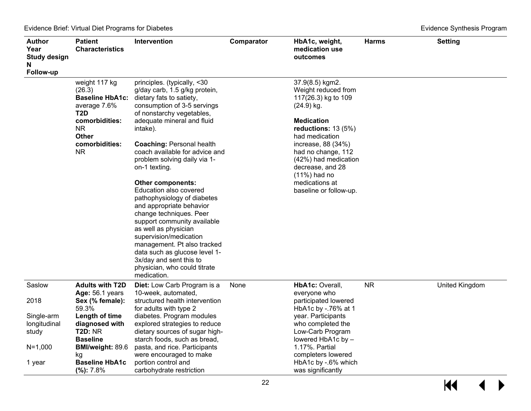| <b>Author</b><br>Year<br><b>Study design</b><br>N | <b>Patient</b><br><b>Characteristics</b>                                                                                                  | <b>Intervention</b>                                                                                                                                                                                                                                                                                                                                                                                                                                                                                                                                                                                                                                                                                                 | Comparator | HbA1c, weight,<br>medication use<br>outcomes                                                                                                                                                                                                                                                       | <b>Harms</b> | <b>Setting</b> |
|---------------------------------------------------|-------------------------------------------------------------------------------------------------------------------------------------------|---------------------------------------------------------------------------------------------------------------------------------------------------------------------------------------------------------------------------------------------------------------------------------------------------------------------------------------------------------------------------------------------------------------------------------------------------------------------------------------------------------------------------------------------------------------------------------------------------------------------------------------------------------------------------------------------------------------------|------------|----------------------------------------------------------------------------------------------------------------------------------------------------------------------------------------------------------------------------------------------------------------------------------------------------|--------------|----------------|
| Follow-up                                         | weight 117 kg<br>(26.3)<br>average 7.6%<br>T <sub>2</sub> D<br>comorbidities:<br><b>NR</b><br><b>Other</b><br>comorbidities:<br><b>NR</b> | principles. (typically, <30<br>g/day carb, 1.5 g/kg protein,<br><b>Baseline HbA1c:</b> dietary fats to satiety,<br>consumption of 3-5 servings<br>of nonstarchy vegetables,<br>adequate mineral and fluid<br>intake).<br><b>Coaching: Personal health</b><br>coach available for advice and<br>problem solving daily via 1-<br>on-1 texting.<br><b>Other components:</b><br>Education also covered<br>pathophysiology of diabetes<br>and appropriate behavior<br>change techniques. Peer<br>support community available<br>as well as physician<br>supervision/medication<br>management. Pt also tracked<br>data such as glucose level 1-<br>3x/day and sent this to<br>physician, who could titrate<br>medication. |            | 37.9(8.5) kgm2.<br>Weight reduced from<br>117(26.3) kg to 109<br>$(24.9)$ kg.<br><b>Medication</b><br>reductions: $13(5%)$<br>had medication<br>increase, 88 (34%)<br>had no change, 112<br>(42%) had medication<br>decrease, and 28<br>$(11%)$ had no<br>medications at<br>baseline or follow-up. |              |                |
| Saslow<br>2018                                    | <b>Adults with T2D</b><br><b>Age: 56.1 years</b><br>Sex (% female):<br>59.3%                                                              | Diet: Low Carb Program is a<br>10-week, automated,<br>structured health intervention<br>for adults with type 2                                                                                                                                                                                                                                                                                                                                                                                                                                                                                                                                                                                                      | None       | HbA1c: Overall,<br>everyone who<br>participated lowered<br>HbA1c by -.76% at 1                                                                                                                                                                                                                     | <b>NR</b>    | United Kingdom |
| Single-arm<br>longitudinal<br>study               | Length of time<br>diagnosed with<br><b>T2D: NR</b><br><b>Baseline</b>                                                                     | diabetes. Program modules<br>explored strategies to reduce<br>dietary sources of sugar high-<br>starch foods, such as bread,                                                                                                                                                                                                                                                                                                                                                                                                                                                                                                                                                                                        |            | year. Participants<br>who completed the<br>Low-Carb Program<br>lowered HbA1c by -                                                                                                                                                                                                                  |              |                |
| $N = 1,000$<br>1 year                             | <b>BMI/weight: 89.6</b><br>kg<br><b>Baseline HbA1c</b><br>(%): 7.8%                                                                       | pasta, and rice. Participants<br>were encouraged to make<br>portion control and<br>carbohydrate restriction                                                                                                                                                                                                                                                                                                                                                                                                                                                                                                                                                                                                         |            | 1.17%. Partial<br>completers lowered<br>HbA1c by -.6% which<br>was significantly                                                                                                                                                                                                                   |              |                |

 $M$  $\blacktriangleright$  $\blacktriangleleft$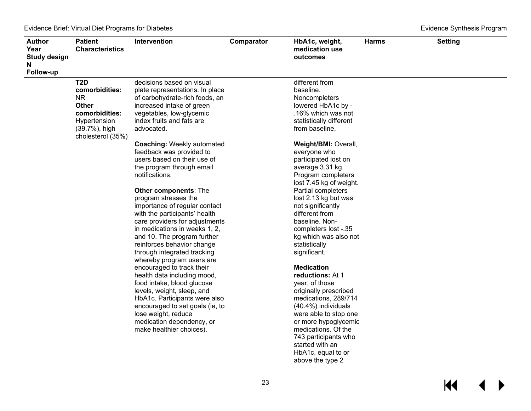| <b>Author</b><br>Year<br><b>Study design</b><br>N | <b>Patient</b><br><b>Characteristics</b> | <b>Intervention</b>               | Comparator | HbA1c, weight,<br>medication use<br>outcomes | <b>Harms</b> | <b>Setting</b> |
|---------------------------------------------------|------------------------------------------|-----------------------------------|------------|----------------------------------------------|--------------|----------------|
| Follow-up                                         |                                          |                                   |            |                                              |              |                |
|                                                   | T <sub>2</sub> D                         | decisions based on visual         |            | different from                               |              |                |
|                                                   | comorbidities:                           | plate representations. In place   |            | baseline.                                    |              |                |
|                                                   | <b>NR</b>                                | of carbohydrate-rich foods, an    |            | Noncompleters                                |              |                |
|                                                   | <b>Other</b>                             | increased intake of green         |            | lowered HbA1c by -                           |              |                |
|                                                   | comorbidities:                           | vegetables, low-glycemic          |            | .16% which was not                           |              |                |
|                                                   | Hypertension                             | index fruits and fats are         |            | statistically different                      |              |                |
|                                                   | (39.7%), high<br>cholesterol (35%)       | advocated.                        |            | from baseline.                               |              |                |
|                                                   |                                          | <b>Coaching: Weekly automated</b> |            | Weight/BMI: Overall,                         |              |                |
|                                                   |                                          | feedback was provided to          |            | everyone who                                 |              |                |
|                                                   |                                          | users based on their use of       |            | participated lost on                         |              |                |
|                                                   |                                          | the program through email         |            | average 3.31 kg.                             |              |                |
|                                                   |                                          | notifications.                    |            | Program completers                           |              |                |
|                                                   |                                          |                                   |            | lost 7.45 kg of weight.                      |              |                |
|                                                   |                                          | <b>Other components: The</b>      |            | Partial completers                           |              |                |
|                                                   |                                          | program stresses the              |            | lost 2.13 kg but was                         |              |                |
|                                                   |                                          | importance of regular contact     |            | not significantly                            |              |                |
|                                                   |                                          | with the participants' health     |            | different from                               |              |                |
|                                                   |                                          | care providers for adjustments    |            | baseline. Non-                               |              |                |
|                                                   |                                          | in medications in weeks 1, 2,     |            | completers lost -.35                         |              |                |
|                                                   |                                          | and 10. The program further       |            | kg which was also not                        |              |                |
|                                                   |                                          | reinforces behavior change        |            | statistically                                |              |                |
|                                                   |                                          | through integrated tracking       |            | significant.                                 |              |                |
|                                                   |                                          | whereby program users are         |            |                                              |              |                |
|                                                   |                                          | encouraged to track their         |            | <b>Medication</b>                            |              |                |
|                                                   |                                          | health data including mood,       |            | reductions: At 1                             |              |                |
|                                                   |                                          | food intake, blood glucose        |            | year, of those                               |              |                |
|                                                   |                                          | levels, weight, sleep, and        |            | originally prescribed                        |              |                |
|                                                   |                                          | HbA1c. Participants were also     |            | medications, 289/714                         |              |                |
|                                                   |                                          | encouraged to set goals (ie, to   |            | (40.4%) individuals                          |              |                |
|                                                   |                                          | lose weight, reduce               |            | were able to stop one                        |              |                |
|                                                   |                                          | medication dependency, or         |            | or more hypoglycemic                         |              |                |
|                                                   |                                          | make healthier choices).          |            | medications. Of the                          |              |                |
|                                                   |                                          |                                   |            | 743 participants who                         |              |                |
|                                                   |                                          |                                   |            | started with an                              |              |                |
|                                                   |                                          |                                   |            | HbA1c, equal to or                           |              |                |
|                                                   |                                          |                                   |            | above the type 2                             |              |                |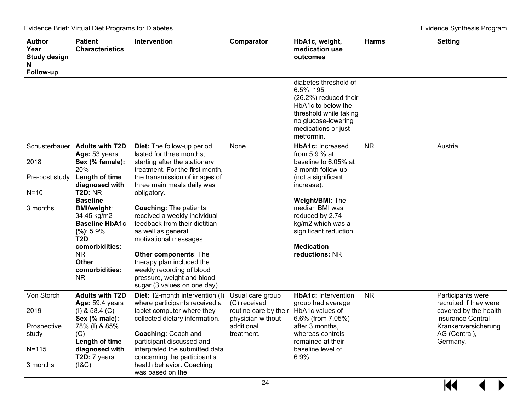| Author<br>Year<br><b>Study design</b><br>N<br>Follow-up             | <b>Patient</b><br><b>Characteristics</b>                                                                                                                                                                                                                                                                                | <b>Intervention</b>                                                                                                                                                                                                                                                                                                                                                                                                                                                                                                | Comparator                                                                                                 | HbA1c, weight,<br>medication use<br>outcomes                                                                                                                                                                                                                              | <b>Harms</b> | <b>Setting</b>                                                                                                                                |
|---------------------------------------------------------------------|-------------------------------------------------------------------------------------------------------------------------------------------------------------------------------------------------------------------------------------------------------------------------------------------------------------------------|--------------------------------------------------------------------------------------------------------------------------------------------------------------------------------------------------------------------------------------------------------------------------------------------------------------------------------------------------------------------------------------------------------------------------------------------------------------------------------------------------------------------|------------------------------------------------------------------------------------------------------------|---------------------------------------------------------------------------------------------------------------------------------------------------------------------------------------------------------------------------------------------------------------------------|--------------|-----------------------------------------------------------------------------------------------------------------------------------------------|
|                                                                     |                                                                                                                                                                                                                                                                                                                         |                                                                                                                                                                                                                                                                                                                                                                                                                                                                                                                    |                                                                                                            | diabetes threshold of<br>6.5%, 195<br>(26.2%) reduced their<br>HbA1c to below the<br>threshold while taking<br>no glucose-lowering<br>medications or just<br>metformin.                                                                                                   |              |                                                                                                                                               |
| Schusterbauer<br>2018<br>Pre-post study<br>$N=10$<br>3 months       | <b>Adults with T2D</b><br>Age: 53 years<br>Sex (% female):<br>20%<br>Length of time<br>diagnosed with<br><b>T2D: NR</b><br><b>Baseline</b><br><b>BMI/weight:</b><br>34.45 kg/m2<br><b>Baseline HbA1c</b><br>(%): 5.9%<br>T <sub>2</sub> D<br>comorbidities:<br><b>NR</b><br><b>Other</b><br>comorbidities:<br><b>NR</b> | Diet: The follow-up period<br>lasted for three months,<br>starting after the stationary<br>treatment. For the first month,<br>the transmission of images of<br>three main meals daily was<br>obligatory.<br><b>Coaching: The patients</b><br>received a weekly individual<br>feedback from their dietitian<br>as well as general<br>motivational messages.<br><b>Other components: The</b><br>therapy plan included the<br>weekly recording of blood<br>pressure, weight and blood<br>sugar (3 values on one day). | None                                                                                                       | <b>HbA1c: Increased</b><br>from 5.9 $%$ at<br>baseline to 6.05% at<br>3-month follow-up<br>(not a significant<br>increase).<br>Weight/BMI: The<br>median BMI was<br>reduced by 2.74<br>kg/m2 which was a<br>significant reduction.<br><b>Medication</b><br>reductions: NR | <b>NR</b>    | Austria                                                                                                                                       |
| Von Storch<br>2019<br>Prospective<br>study<br>$N = 115$<br>3 months | <b>Adults with T2D</b><br>Age: 59.4 years<br>$(I)$ & 58.4 $(C)$<br>Sex (% male):<br>78% (I) & 85%<br>(C)<br>Length of time<br>diagnosed with<br>T2D: 7 years<br>(18C)                                                                                                                                                   | Diet: 12-month intervention (I)<br>where participants received a<br>tablet computer where they<br>collected dietary information.<br><b>Coaching: Coach and</b><br>participant discussed and<br>interpreted the submitted data<br>concerning the participant's<br>health behavior. Coaching<br>was based on the                                                                                                                                                                                                     | Usual care group<br>(C) received<br>routine care by their<br>physician without<br>additional<br>treatment. | <b>HbA1c: Intervention</b><br>group had average<br>HbA1c values of<br>6.6% (from 7.05%)<br>after 3 months,<br>whereas controls<br>remained at their<br>baseline level of<br>6.9%.                                                                                         | <b>NR</b>    | Participants were<br>recruited if they were<br>covered by the health<br>insurance Central<br>Krankenversicherung<br>AG (Central),<br>Germany. |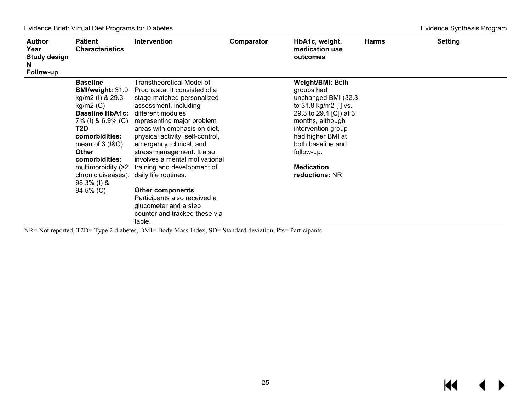| <b>Author</b><br>Year<br><b>Study design</b><br>N.<br>Follow-up | <b>Patient</b><br><b>Characteristics</b>                                                                                                                                                                                                              | Intervention                                                                                                                                                                                                                                                                                                                                                                                                                                                                                                                        | Comparator | HbA1c, weight,<br>medication use<br>outcomes                                                                                                                                                                                                      | <b>Harms</b> | <b>Setting</b> |
|-----------------------------------------------------------------|-------------------------------------------------------------------------------------------------------------------------------------------------------------------------------------------------------------------------------------------------------|-------------------------------------------------------------------------------------------------------------------------------------------------------------------------------------------------------------------------------------------------------------------------------------------------------------------------------------------------------------------------------------------------------------------------------------------------------------------------------------------------------------------------------------|------------|---------------------------------------------------------------------------------------------------------------------------------------------------------------------------------------------------------------------------------------------------|--------------|----------------|
|                                                                 | <b>Baseline</b><br>kg/m2 (l) & 29.3<br>$kg/m2$ (C)<br><b>Baseline HbA1c:</b> different modules<br>T2D<br>comorbidities:<br>mean of $3$ ( $18C$ )<br>Other<br>comorbidities:<br>chronic diseases): daily life routines.<br>$98.3\%$ (l) &<br>94.5% (C) | Transtheoretical Model of<br><b>BMI/weight:</b> 31.9 Prochaska. It consisted of a<br>stage-matched personalized<br>assessment, including<br>7% (I) & 6.9% (C) representing major problem<br>areas with emphasis on diet,<br>physical activity, self-control,<br>emergency, clinical, and<br>stress management. It also<br>involves a mental motivational<br>multimorbidity (>2 training and development of<br>Other components:<br>Participants also received a<br>glucometer and a step<br>counter and tracked these via<br>table. |            | Weight/BMI: Both<br>groups had<br>unchanged BMI (32.3<br>to 31.8 kg/m2 [I] vs.<br>29.3 to 29.4 [C]) at 3<br>months, although<br>intervention group<br>had higher BMI at<br>both baseline and<br>follow-up.<br><b>Medication</b><br>reductions: NR |              |                |

NR= Not reported, T2D= Type 2 diabetes, BMI= Body Mass Index, SD= Standard deviation, Pts= Participants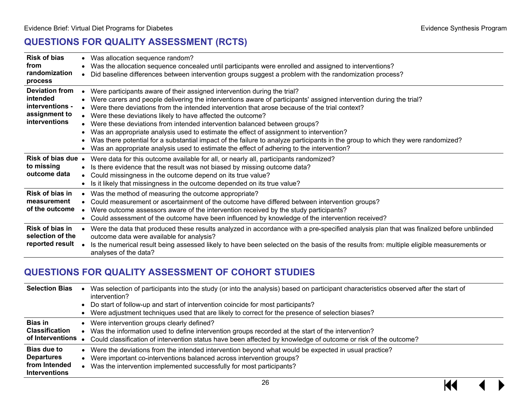# **QUESTIONS FOR QUALITY ASSESSMENT (RCTS)**

<span id="page-27-0"></span>

| <b>Risk of bias</b><br>from<br>randomization<br>process                                |           | Was allocation sequence random?<br>Was the allocation sequence concealed until participants were enrolled and assigned to interventions?<br>Did baseline differences between intervention groups suggest a problem with the randomization process?                                                                                                                                                                                                                                                                                                                                                                                                                                                                                                                  |
|----------------------------------------------------------------------------------------|-----------|---------------------------------------------------------------------------------------------------------------------------------------------------------------------------------------------------------------------------------------------------------------------------------------------------------------------------------------------------------------------------------------------------------------------------------------------------------------------------------------------------------------------------------------------------------------------------------------------------------------------------------------------------------------------------------------------------------------------------------------------------------------------|
| <b>Deviation from</b><br>intended<br>interventions -<br>assignment to<br>interventions |           | Were participants aware of their assigned intervention during the trial?<br>Were carers and people delivering the interventions aware of participants' assigned intervention during the trial?<br>Were there deviations from the intended intervention that arose because of the trial context?<br>Were these deviations likely to have affected the outcome?<br>Were these deviations from intended intervention balanced between groups?<br>Was an appropriate analysis used to estimate the effect of assignment to intervention?<br>Was there potential for a substantial impact of the failure to analyze participants in the group to which they were randomized?<br>Was an appropriate analysis used to estimate the effect of adhering to the intervention? |
| Risk of bias due •<br>to missing<br>outcome data                                       | $\bullet$ | Were data for this outcome available for all, or nearly all, participants randomized?<br>Is there evidence that the result was not biased by missing outcome data?<br>Could missingness in the outcome depend on its true value?<br>Is it likely that missingness in the outcome depended on its true value?                                                                                                                                                                                                                                                                                                                                                                                                                                                        |
| Risk of bias in<br>measurement<br>of the outcome                                       |           | Was the method of measuring the outcome appropriate?<br>Could measurement or ascertainment of the outcome have differed between intervention groups?<br>Were outcome assessors aware of the intervention received by the study participants?<br>Could assessment of the outcome have been influenced by knowledge of the intervention received?                                                                                                                                                                                                                                                                                                                                                                                                                     |
| Risk of bias in<br>selection of the<br>reported result                                 |           | Were the data that produced these results analyzed in accordance with a pre-specified analysis plan that was finalized before unblinded<br>outcome data were available for analysis?<br>Is the numerical result being assessed likely to have been selected on the basis of the results from: multiple eligible measurements or<br>analyses of the data?                                                                                                                                                                                                                                                                                                                                                                                                            |

## **QUESTIONS FOR QUALITY ASSESSMENT OF COHORT STUDIES**

<span id="page-27-1"></span>

| <b>Selection Bias</b>                                                            | Was selection of participants into the study (or into the analysis) based on participant characteristics observed after the start of<br>intervention?<br>Do start of follow-up and start of intervention coincide for most participants?<br>Were adjustment techniques used that are likely to correct for the presence of selection biases? |
|----------------------------------------------------------------------------------|----------------------------------------------------------------------------------------------------------------------------------------------------------------------------------------------------------------------------------------------------------------------------------------------------------------------------------------------|
| <b>Bias in</b><br><b>Classification</b><br>of Interventions .                    | Were intervention groups clearly defined?<br>Was the information used to define intervention groups recorded at the start of the intervention?<br>Could classification of intervention status have been affected by knowledge of outcome or risk of the outcome?                                                                             |
| <b>Bias due to</b><br><b>Departures</b><br>from Intended<br><b>Interventions</b> | Were the deviations from the intended intervention beyond what would be expected in usual practice?<br>$\bullet$<br>Were important co-interventions balanced across intervention groups?<br>٠<br>Was the intervention implemented successfully for most participants?                                                                        |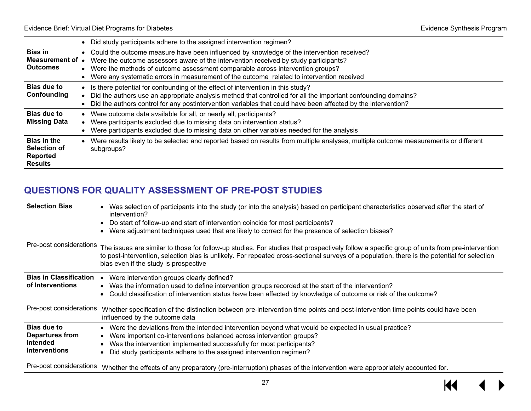$\overline{\mathbf{M}}$ 

|                                                                  |           | Did study participants adhere to the assigned intervention regimen?                                                                                                                                                                                                                                                                                             |
|------------------------------------------------------------------|-----------|-----------------------------------------------------------------------------------------------------------------------------------------------------------------------------------------------------------------------------------------------------------------------------------------------------------------------------------------------------------------|
| <b>Bias in</b><br>Measurement of .<br><b>Outcomes</b>            | $\bullet$ | Could the outcome measure have been influenced by knowledge of the intervention received?<br>Were the outcome assessors aware of the intervention received by study participants?<br>Were the methods of outcome assessment comparable across intervention groups?<br>Were any systematic errors in measurement of the outcome related to intervention received |
| Bias due to<br>Confounding                                       |           | Is there potential for confounding of the effect of intervention in this study?<br>Did the authors use an appropriate analysis method that controlled for all the important confounding domains?<br>Did the authors control for any postintervention variables that could have been affected by the intervention?                                               |
| Bias due to<br><b>Missing Data</b>                               | $\bullet$ | Were outcome data available for all, or nearly all, participants?<br>Were participants excluded due to missing data on intervention status?<br>Were participants excluded due to missing data on other variables needed for the analysis                                                                                                                        |
| <b>Bias in the</b><br>Selection of<br>Reported<br><b>Results</b> |           | Were results likely to be selected and reported based on results from multiple analyses, multiple outcome measurements or different<br>subgroups?                                                                                                                                                                                                               |

# **QUESTIONS FOR QUALITY ASSESSMENT OF PRE-POST STUDIES**

<span id="page-28-0"></span>

| <b>Selection Bias</b>         | Was selection of participants into the study (or into the analysis) based on participant characteristics observed after the start of<br>intervention?                                                                                                                                                                                 |
|-------------------------------|---------------------------------------------------------------------------------------------------------------------------------------------------------------------------------------------------------------------------------------------------------------------------------------------------------------------------------------|
|                               | Do start of follow-up and start of intervention coincide for most participants?                                                                                                                                                                                                                                                       |
|                               | Were adjustment techniques used that are likely to correct for the presence of selection biases?                                                                                                                                                                                                                                      |
| Pre-post considerations       | The issues are similar to those for follow-up studies. For studies that prospectively follow a specific group of units from pre-intervention<br>to post-intervention, selection bias is unlikely. For repeated cross-sectional surveys of a population, there is the potential for selection<br>bias even if the study is prospective |
| <b>Bias in Classification</b> | Were intervention groups clearly defined?                                                                                                                                                                                                                                                                                             |
| of Interventions              | Was the information used to define intervention groups recorded at the start of the intervention?                                                                                                                                                                                                                                     |
|                               | Could classification of intervention status have been affected by knowledge of outcome or risk of the outcome?                                                                                                                                                                                                                        |
| Pre-post considerations       | Whether specification of the distinction between pre-intervention time points and post-intervention time points could have been<br>influenced by the outcome data                                                                                                                                                                     |
| <b>Bias due to</b>            | Were the deviations from the intended intervention beyond what would be expected in usual practice?                                                                                                                                                                                                                                   |
| <b>Departures from</b>        | Were important co-interventions balanced across intervention groups?                                                                                                                                                                                                                                                                  |
| Intended                      | Was the intervention implemented successfully for most participants?                                                                                                                                                                                                                                                                  |
| <b>Interventions</b>          | Did study participants adhere to the assigned intervention regimen?                                                                                                                                                                                                                                                                   |
| Pre-post considerations       | Whether the effects of any preparatory (pre-interruption) phases of the intervention were appropriately accounted for.                                                                                                                                                                                                                |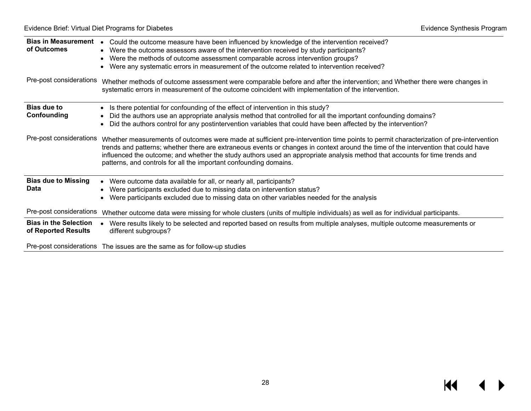| Bias in Measurement •<br>of Outcomes                | Could the outcome measure have been influenced by knowledge of the intervention received?<br>• Were the outcome assessors aware of the intervention received by study participants?<br>• Were the methods of outcome assessment comparable across intervention groups?<br>Were any systematic errors in measurement of the outcome related to intervention received?<br>$\bullet$                                                                                              |
|-----------------------------------------------------|--------------------------------------------------------------------------------------------------------------------------------------------------------------------------------------------------------------------------------------------------------------------------------------------------------------------------------------------------------------------------------------------------------------------------------------------------------------------------------|
| Pre-post considerations                             | Whether methods of outcome assessment were comparable before and after the intervention; and Whether there were changes in<br>systematic errors in measurement of the outcome coincident with implementation of the intervention.                                                                                                                                                                                                                                              |
| <b>Bias due to</b><br>Confounding                   | Is there potential for confounding of the effect of intervention in this study?<br>Did the authors use an appropriate analysis method that controlled for all the important confounding domains?<br>Did the authors control for any postintervention variables that could have been affected by the intervention?                                                                                                                                                              |
| Pre-post considerations                             | Whether measurements of outcomes were made at sufficient pre-intervention time points to permit characterization of pre-intervention<br>trends and patterns; whether there are extraneous events or changes in context around the time of the intervention that could have<br>influenced the outcome; and whether the study authors used an appropriate analysis method that accounts for time trends and<br>patterns, and controls for all the important confounding domains. |
| <b>Bias due to Missing</b>                          | Were outcome data available for all, or nearly all, participants?<br>$\bullet$                                                                                                                                                                                                                                                                                                                                                                                                 |
| <b>Data</b>                                         | Were participants excluded due to missing data on intervention status?<br>Were participants excluded due to missing data on other variables needed for the analysis                                                                                                                                                                                                                                                                                                            |
| Pre-post considerations                             | Whether outcome data were missing for whole clusters (units of multiple individuals) as well as for individual participants.                                                                                                                                                                                                                                                                                                                                                   |
| <b>Bias in the Selection</b><br>of Reported Results | Were results likely to be selected and reported based on results from multiple analyses, multiple outcome measurements or<br>different subgroups?                                                                                                                                                                                                                                                                                                                              |
|                                                     | Pre-post considerations The issues are the same as for follow-up studies                                                                                                                                                                                                                                                                                                                                                                                                       |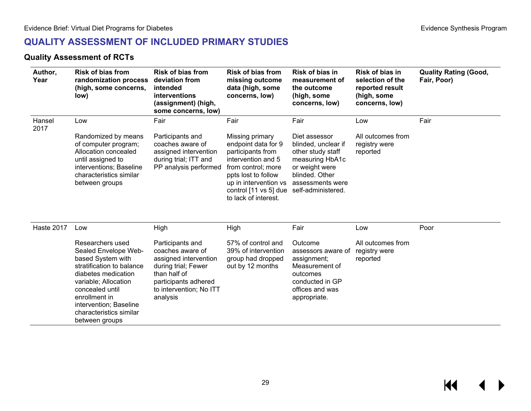# **QUALITY ASSESSMENT OF INCLUDED PRIMARY STUDIES**

#### **Quality Assessment of RCTs**

| Author,<br>Year | <b>Risk of bias from</b><br>randomization process<br>(high, some concerns,<br>low)                                                                               | <b>Risk of bias from</b><br>deviation from<br>intended<br>interventions<br>(assignment) (high,<br>some concerns, low) | <b>Risk of bias from</b><br>missing outcome<br>data (high, some<br>concerns, low)                                                                                                                                           | Risk of bias in<br>measurement of<br>the outcome<br>(high, some<br>concerns, low)                                                    | Risk of bias in<br>selection of the<br>reported result<br>(high, some<br>concerns, low) | <b>Quality Rating (Good,</b><br>Fair, Poor) |
|-----------------|------------------------------------------------------------------------------------------------------------------------------------------------------------------|-----------------------------------------------------------------------------------------------------------------------|-----------------------------------------------------------------------------------------------------------------------------------------------------------------------------------------------------------------------------|--------------------------------------------------------------------------------------------------------------------------------------|-----------------------------------------------------------------------------------------|---------------------------------------------|
| Hansel<br>2017  | Low                                                                                                                                                              | Fair                                                                                                                  | Fair                                                                                                                                                                                                                        | Fair                                                                                                                                 | Low                                                                                     | Fair                                        |
|                 | Randomized by means<br>of computer program;<br>Allocation concealed<br>until assigned to<br>interventions; Baseline<br>characteristics similar<br>between groups | Participants and<br>coaches aware of<br>assigned intervention<br>during trial; ITT and<br>PP analysis performed       | Missing primary<br>endpoint data for 9<br>participants from<br>intervention and 5<br>from control; more<br>ppts lost to follow<br>up in intervention vs<br>control [11 vs 5] due self-administered.<br>to lack of interest. | Diet assessor<br>blinded, unclear if<br>other study staff<br>measuring HbA1c<br>or weight were<br>blinded. Other<br>assessments were | All outcomes from<br>registry were<br>reported                                          |                                             |
| Haste 2017      | Low                                                                                                                                                              | High                                                                                                                  | High                                                                                                                                                                                                                        | Fair                                                                                                                                 | Low                                                                                     | Poor                                        |

<span id="page-30-0"></span>

| Researchers used<br>Sealed Envelope Web-<br>based System with<br>stratification to balance<br>diabetes medication<br>variable; Allocation<br>concealed until<br>enrollment in<br>intervention; Baseline<br>characteristics similar<br>between groups | Participants and<br>coaches aware of<br>assigned intervention<br>during trial; Fewer<br>than half of<br>participants adhered<br>to intervention; No ITT<br>analysis | 57% of control and<br>39% of intervention<br>group had dropped<br>out by 12 months | Outcome<br>assessors aware of<br>assignment;<br>Measurement of<br>outcomes<br>conducted in GP<br>offices and was<br>appropriate. | All outcomes from<br>registry were<br>reported |  |
|------------------------------------------------------------------------------------------------------------------------------------------------------------------------------------------------------------------------------------------------------|---------------------------------------------------------------------------------------------------------------------------------------------------------------------|------------------------------------------------------------------------------------|----------------------------------------------------------------------------------------------------------------------------------|------------------------------------------------|--|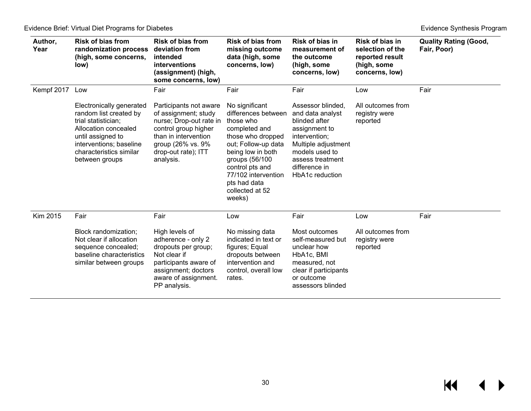| Author,<br>Year | <b>Risk of bias from</b><br>randomization process<br>(high, some concerns,<br>low)                                                                                                             | <b>Risk of bias from</b><br>deviation from<br>intended<br>interventions<br>(assignment) (high,<br>some concerns, low)                                                              | <b>Risk of bias from</b><br>missing outcome<br>data (high, some<br>concerns, low)                                                                                                                                                             | Risk of bias in<br>measurement of<br>the outcome<br>(high, some<br>concerns, low)                                                                                                         | Risk of bias in<br>selection of the<br>reported result<br>(high, some<br>concerns, low) | <b>Quality Rating (Good,</b><br>Fair, Poor) |
|-----------------|------------------------------------------------------------------------------------------------------------------------------------------------------------------------------------------------|------------------------------------------------------------------------------------------------------------------------------------------------------------------------------------|-----------------------------------------------------------------------------------------------------------------------------------------------------------------------------------------------------------------------------------------------|-------------------------------------------------------------------------------------------------------------------------------------------------------------------------------------------|-----------------------------------------------------------------------------------------|---------------------------------------------|
| Kempf 2017      | Low                                                                                                                                                                                            | Fair                                                                                                                                                                               | Fair                                                                                                                                                                                                                                          | Fair                                                                                                                                                                                      | Low                                                                                     | Fair                                        |
|                 | Electronically generated<br>random list created by<br>trial statistician;<br>Allocation concealed<br>until assigned to<br>interventions; baseline<br>characteristics similar<br>between groups | Participants not aware<br>of assignment; study<br>nurse; Drop-out rate in<br>control group higher<br>than in intervention<br>group (26% vs. 9%<br>drop-out rate); ITT<br>analysis. | No significant<br>differences between<br>those who<br>completed and<br>those who dropped<br>out; Follow-up data<br>being low in both<br>groups (56/100<br>control pts and<br>77/102 intervention<br>pts had data<br>collected at 52<br>weeks) | Assessor blinded.<br>and data analyst<br>blinded after<br>assignment to<br>intervention;<br>Multiple adjustment<br>models used to<br>assess treatment<br>difference in<br>HbA1c reduction | All outcomes from<br>registry were<br>reported                                          |                                             |
| Kim 2015        | Fair                                                                                                                                                                                           | Fair                                                                                                                                                                               | Low                                                                                                                                                                                                                                           | Fair                                                                                                                                                                                      | Low                                                                                     | Fair                                        |
|                 | Block randomization;<br>Not clear if allocation<br>sequence concealed;<br>baseline characteristics<br>similar between groups                                                                   | High levels of<br>adherence - only 2<br>dropouts per group;<br>Not clear if<br>participants aware of<br>assignment; doctors<br>aware of assignment.<br>PP analysis.                | No missing data<br>indicated in text or<br>figures; Equal<br>dropouts between<br>intervention and<br>control, overall low<br>rates.                                                                                                           | Most outcomes<br>self-measured but<br>unclear how<br>HbA1c, BMI<br>measured, not<br>clear if participants<br>or outcome<br>assessors blinded                                              | All outcomes from<br>registry were<br>reported                                          |                                             |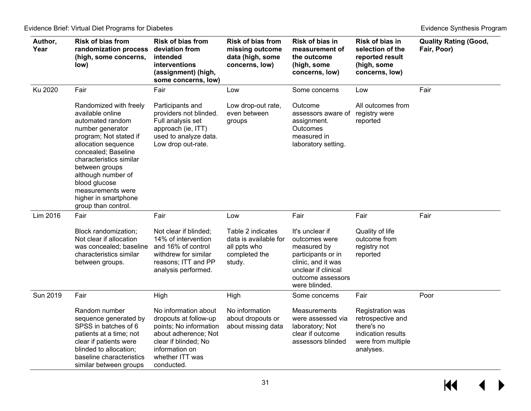| Author,<br>Year | <b>Risk of bias from</b><br>randomization process<br>(high, some concerns,<br>low)                                                                                                                                                                                                                                 | Risk of bias from<br>deviation from<br>intended<br>interventions<br>(assignment) (high,<br>some concerns, low)                                                             | <b>Risk of bias from</b><br>missing outcome<br>data (high, some<br>concerns, low)     | Risk of bias in<br>measurement of<br>the outcome<br>(high, some<br>concerns, low)                                                                        | Risk of bias in<br>selection of the<br>reported result<br>(high, some<br>concerns, low)                      | <b>Quality Rating (Good,</b><br>Fair, Poor) |
|-----------------|--------------------------------------------------------------------------------------------------------------------------------------------------------------------------------------------------------------------------------------------------------------------------------------------------------------------|----------------------------------------------------------------------------------------------------------------------------------------------------------------------------|---------------------------------------------------------------------------------------|----------------------------------------------------------------------------------------------------------------------------------------------------------|--------------------------------------------------------------------------------------------------------------|---------------------------------------------|
| Ku 2020         | Fair                                                                                                                                                                                                                                                                                                               | Fair                                                                                                                                                                       | Low                                                                                   | Some concerns                                                                                                                                            | Low                                                                                                          | Fair                                        |
|                 | Randomized with freely<br>available online<br>automated random<br>number generator<br>program; Not stated if<br>allocation sequence<br>concealed; Baseline<br>characteristics similar<br>between groups<br>although number of<br>blood glucose<br>measurements were<br>higher in smartphone<br>group than control. | Participants and<br>providers not blinded.<br>Full analysis set<br>approach (ie, ITT)<br>used to analyze data.<br>Low drop out-rate.                                       | Low drop-out rate,<br>even between<br>groups                                          | Outcome<br>assessors aware of<br>assignment.<br>Outcomes<br>measured in<br>laboratory setting.                                                           | All outcomes from<br>registry were<br>reported                                                               |                                             |
| Lim 2016        | Fair                                                                                                                                                                                                                                                                                                               | Fair                                                                                                                                                                       | Low                                                                                   | Fair                                                                                                                                                     | Fair                                                                                                         | Fair                                        |
|                 | Block randomization;<br>Not clear if allocation<br>was concealed; baseline<br>characteristics similar<br>between groups.                                                                                                                                                                                           | Not clear if blinded;<br>14% of intervention<br>and 16% of control<br>withdrew for similar<br>reasons; ITT and PP<br>analysis performed.                                   | Table 2 indicates<br>data is available for<br>all ppts who<br>completed the<br>study. | It's unclear if<br>outcomes were<br>measured by<br>participants or in<br>clinic, and it was<br>unclear if clinical<br>outcome assessors<br>were blinded. | Quality of life<br>outcome from<br>registry not<br>reported                                                  |                                             |
| Sun 2019        | Fair                                                                                                                                                                                                                                                                                                               | High                                                                                                                                                                       | High                                                                                  | Some concerns                                                                                                                                            | Fair                                                                                                         | Poor                                        |
|                 | Random number<br>sequence generated by<br>SPSS in batches of 6<br>patients at a time; not<br>clear if patients were<br>blinded to allocation;<br>baseline characteristics<br>similar between groups                                                                                                                | No information about<br>dropouts at follow-up<br>points; No information<br>about adherence; Not<br>clear if blinded; No<br>information on<br>whether ITT was<br>conducted. | No information<br>about dropouts or<br>about missing data                             | <b>Measurements</b><br>were assessed via<br>laboratory; Not<br>clear if outcome<br>assessors blinded                                                     | Registration was<br>retrospective and<br>there's no<br>indication results<br>were from multiple<br>analyses. |                                             |

 $M \leftarrow \leftarrow$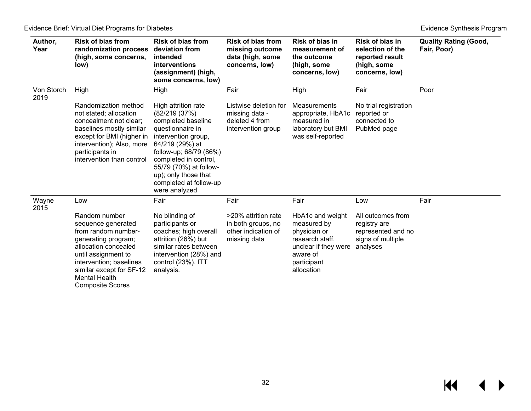| Author,<br>Year    | <b>Risk of bias from</b><br>randomization process<br>(high, some concerns,<br>low)                                                                                                                                                  | <b>Risk of bias from</b><br>deviation from<br>intended<br>interventions<br>(assignment) (high,<br>some concerns, low)                                                                                                                                                   | <b>Risk of bias from</b><br>missing outcome<br>data (high, some<br>concerns, low) | Risk of bias in<br>measurement of<br>the outcome<br>(high, some<br>concerns, low)                                                   | Risk of bias in<br>selection of the<br>reported result<br>(high, some<br>concerns, low)  | <b>Quality Rating (Good,</b><br>Fair, Poor) |
|--------------------|-------------------------------------------------------------------------------------------------------------------------------------------------------------------------------------------------------------------------------------|-------------------------------------------------------------------------------------------------------------------------------------------------------------------------------------------------------------------------------------------------------------------------|-----------------------------------------------------------------------------------|-------------------------------------------------------------------------------------------------------------------------------------|------------------------------------------------------------------------------------------|---------------------------------------------|
| Von Storch<br>2019 | High                                                                                                                                                                                                                                | High                                                                                                                                                                                                                                                                    | Fair                                                                              | High                                                                                                                                | Fair                                                                                     | Poor                                        |
|                    | Randomization method<br>not stated; allocation<br>concealment not clear;<br>baselines mostly similar<br>except for BMI (higher in<br>intervention); Also, more<br>participants in<br>intervention than control                      | High attrition rate<br>(82/219(37%)<br>completed baseline<br>questionnaire in<br>intervention group,<br>64/219 (29%) at<br>follow-up; 68/79 (86%)<br>completed in control,<br>55/79 (70%) at follow-<br>up); only those that<br>completed at follow-up<br>were analyzed | Listwise deletion for<br>missing data -<br>deleted 4 from<br>intervention group   | Measurements<br>appropriate, HbA1c<br>measured in<br>laboratory but BMI<br>was self-reported                                        | No trial registration<br>reported or<br>connected to<br>PubMed page                      |                                             |
| Wayne<br>2015      | Low                                                                                                                                                                                                                                 | Fair                                                                                                                                                                                                                                                                    | Fair                                                                              | Fair                                                                                                                                | Low                                                                                      | Fair                                        |
|                    | Random number<br>sequence generated<br>from random number-<br>generating program;<br>allocation concealed<br>until assignment to<br>intervention; baselines<br>similar except for SF-12<br>Mental Health<br><b>Composite Scores</b> | No blinding of<br>participants or<br>coaches; high overall<br>attrition (26%) but<br>similar rates between<br>intervention (28%) and<br>control (23%). ITT<br>analysis.                                                                                                 | >20% attrition rate<br>in both groups, no<br>other indication of<br>missing data  | HbA1c and weight<br>measured by<br>physician or<br>research staff,<br>unclear if they were<br>aware of<br>participant<br>allocation | All outcomes from<br>registry are<br>represented and no<br>signs of multiple<br>analyses |                                             |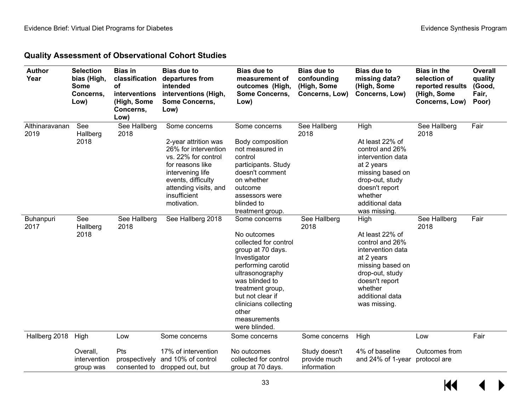## **Quality Assessment of Observational Cohort Studies**

| <b>Author</b><br>Year    | <b>Selection</b><br>bias (High,<br><b>Some</b><br>Concerns,<br>Low) | <b>Bias in</b><br>classification<br>οf<br>interventions<br>(High, Some<br>Concerns,<br>Low) | <b>Bias due to</b><br>departures from<br>intended<br>interventions (High,<br><b>Some Concerns,</b><br>Low)                                                                                                 | <b>Bias due to</b><br>measurement of<br>outcomes (High,<br><b>Some Concerns,</b><br>Low)                                                                                                                                                                         | <b>Bias due to</b><br>confounding<br>(High, Some<br>Concerns, Low) | <b>Bias due to</b><br>missing data?<br>(High, Some<br>Concerns, Low)                                                                                                                 | <b>Bias in the</b><br>selection of<br>reported results<br>(High, Some<br>Concerns, Low) | Overall<br>quality<br>(Good,<br>Fair,<br>Poor) |
|--------------------------|---------------------------------------------------------------------|---------------------------------------------------------------------------------------------|------------------------------------------------------------------------------------------------------------------------------------------------------------------------------------------------------------|------------------------------------------------------------------------------------------------------------------------------------------------------------------------------------------------------------------------------------------------------------------|--------------------------------------------------------------------|--------------------------------------------------------------------------------------------------------------------------------------------------------------------------------------|-----------------------------------------------------------------------------------------|------------------------------------------------|
| Althinaravanan<br>2019   | See<br>Hallberg<br>2018                                             | See Hallberg<br>2018                                                                        | Some concerns<br>2-year attrition was<br>26% for intervention<br>vs. 22% for control<br>for reasons like<br>intervening life<br>events, difficulty<br>attending visits, and<br>insufficient<br>motivation. | Some concerns<br>Body composition<br>not measured in<br>control<br>participants. Study<br>doesn't comment<br>on whether<br>outcome<br>assessors were<br>blinded to<br>treatment group.                                                                           | See Hallberg<br>2018                                               | High<br>At least 22% of<br>control and 26%<br>intervention data<br>at 2 years<br>missing based on<br>drop-out, study<br>doesn't report<br>whether<br>additional data<br>was missing. | See Hallberg<br>2018                                                                    | Fair                                           |
| <b>Buhanpuri</b><br>2017 | See<br>Hallberg<br>2018                                             | See Hallberg<br>2018                                                                        | See Hallberg 2018                                                                                                                                                                                          | Some concerns<br>No outcomes<br>collected for control<br>group at 70 days.<br>Investigator<br>performing carotid<br>ultrasonography<br>was blinded to<br>treatment group,<br>but not clear if<br>clinicians collecting<br>other<br>measurements<br>were blinded. | See Hallberg<br>2018                                               | High<br>At least 22% of<br>control and 26%<br>intervention data<br>at 2 years<br>missing based on<br>drop-out, study<br>doesn't report<br>whether<br>additional data<br>was missing. | See Hallberg<br>2018                                                                    | Fair                                           |
| Hallberg 2018            | High                                                                | Low                                                                                         | Some concerns                                                                                                                                                                                              | Some concerns                                                                                                                                                                                                                                                    | Some concerns                                                      | High                                                                                                                                                                                 | Low                                                                                     | Fair                                           |
|                          | Overall,<br>intervention<br>group was                               | Pts                                                                                         | 17% of intervention<br>prospectively and 10% of control<br>consented to dropped out, but                                                                                                                   | No outcomes<br>collected for control<br>group at 70 days.                                                                                                                                                                                                        | Study doesn't<br>provide much<br>information                       | 4% of baseline<br>and 24% of 1-year                                                                                                                                                  | Outcomes from<br>protocol are                                                           |                                                |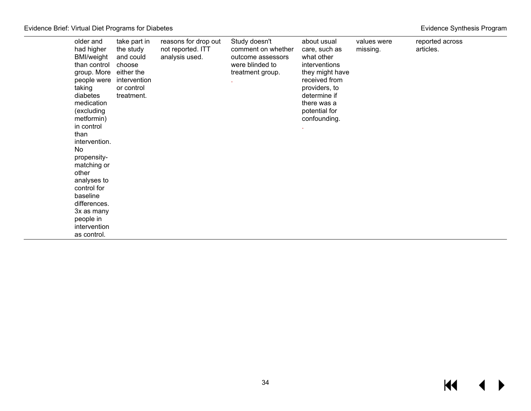|  | Evidence Synthesis Program |  |
|--|----------------------------|--|
|--|----------------------------|--|

| older and<br>had higher<br><b>BMI/weight</b><br>than control<br>group. More<br>people were<br>taking<br>diabetes<br>medication<br>(excluding<br>metformin)<br>in control<br>than<br>intervention.<br>No<br>propensity-<br>matching or<br>other<br>analyses to<br>control for<br>baseline<br>differences.<br>3x as many<br>people in<br>intervention<br>as control. | take part in<br>the study<br>and could<br>choose<br>either the<br>intervention<br>or control<br>treatment. | reasons for drop out<br>not reported. ITT<br>analysis used. | Study doesn't<br>comment on whether<br>outcome assessors<br>were blinded to<br>treatment group. | about usual<br>care, such as<br>what other<br>interventions<br>they might have<br>received from<br>providers, to<br>determine if<br>there was a<br>potential for<br>confounding. | values were<br>missing. | reported across<br>articles. |  |
|--------------------------------------------------------------------------------------------------------------------------------------------------------------------------------------------------------------------------------------------------------------------------------------------------------------------------------------------------------------------|------------------------------------------------------------------------------------------------------------|-------------------------------------------------------------|-------------------------------------------------------------------------------------------------|----------------------------------------------------------------------------------------------------------------------------------------------------------------------------------|-------------------------|------------------------------|--|
|--------------------------------------------------------------------------------------------------------------------------------------------------------------------------------------------------------------------------------------------------------------------------------------------------------------------------------------------------------------------|------------------------------------------------------------------------------------------------------------|-------------------------------------------------------------|-------------------------------------------------------------------------------------------------|----------------------------------------------------------------------------------------------------------------------------------------------------------------------------------|-------------------------|------------------------------|--|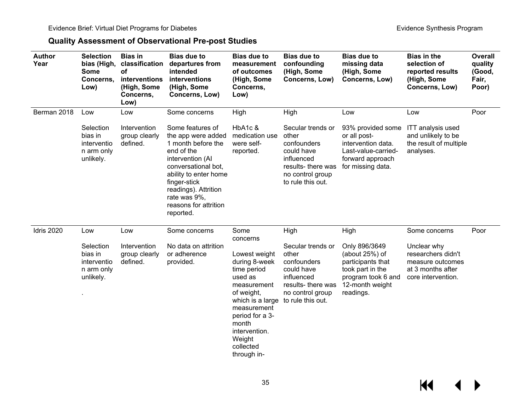## **Quality Assessment of Observational Pre-post Studies**

| <b>Author</b><br>Year | <b>Selection</b><br>bias (High,<br>Some<br>Concerns,<br>Low)   | <b>Bias in</b><br>classification<br>of<br>interventions<br>(High, Some<br>Concerns,<br>Low) | <b>Bias due to</b><br>departures from<br>intended<br>interventions<br>(High, Some<br>Concerns, Low)                                                                                                                                          | <b>Bias due to</b><br>measurement<br>of outcomes<br>(High, Some<br>Concerns,<br>Low)                                                                                                                                    | <b>Bias due to</b><br>confounding<br>(High, Some<br>Concerns, Low)                                                                   | <b>Bias due to</b><br>missing data<br>(High, Some<br>Concerns, Low)                                                               | <b>Bias in the</b><br>selection of<br>reported results<br>(High, Some<br>Concerns, Low)          | <b>Overall</b><br>quality<br>(Good,<br>Fair,<br>Poor) |
|-----------------------|----------------------------------------------------------------|---------------------------------------------------------------------------------------------|----------------------------------------------------------------------------------------------------------------------------------------------------------------------------------------------------------------------------------------------|-------------------------------------------------------------------------------------------------------------------------------------------------------------------------------------------------------------------------|--------------------------------------------------------------------------------------------------------------------------------------|-----------------------------------------------------------------------------------------------------------------------------------|--------------------------------------------------------------------------------------------------|-------------------------------------------------------|
| Berman 2018           | Low                                                            | Low                                                                                         | Some concerns                                                                                                                                                                                                                                | High                                                                                                                                                                                                                    | High                                                                                                                                 | Low                                                                                                                               | Low                                                                                              | Poor                                                  |
|                       | Selection<br>bias in<br>interventio<br>n arm only<br>unlikely. | Intervention<br>group clearly<br>defined.                                                   | Some features of<br>the app were added<br>1 month before the<br>end of the<br>intervention (Al<br>conversational bot,<br>ability to enter home<br>finger-stick<br>readings). Attrition<br>rate was 9%,<br>reasons for attrition<br>reported. | HbA1c &<br>medication use<br>were self-<br>reported.                                                                                                                                                                    | Secular trends or<br>other<br>confounders<br>could have<br>influenced<br>results-there was<br>no control group<br>to rule this out.  | 93% provided some<br>or all post-<br>intervention data.<br>Last-value-carried-<br>forward approach<br>for missing data.           | <b>ITT</b> analysis used<br>and unlikely to be<br>the result of multiple<br>analyses.            |                                                       |
| <b>Idris 2020</b>     | Low                                                            | Low                                                                                         | Some concerns                                                                                                                                                                                                                                | Some                                                                                                                                                                                                                    | High                                                                                                                                 | High                                                                                                                              | Some concerns                                                                                    | Poor                                                  |
|                       | Selection<br>bias in<br>interventio<br>n arm only<br>unlikely. | Intervention<br>group clearly<br>defined.                                                   | No data on attrition<br>or adherence<br>provided.                                                                                                                                                                                            | concerns<br>Lowest weight<br>during 8-week<br>time period<br>used as<br>measurement<br>of weight,<br>which is a large<br>measurement<br>period for a 3-<br>month<br>intervention.<br>Weight<br>collected<br>through in- | Secular trends or<br>other<br>confounders<br>could have<br>influenced<br>results- there was<br>no control group<br>to rule this out. | Only 896/3649<br>(about $25%$ ) of<br>participants that<br>took part in the<br>program took 6 and<br>12-month weight<br>readings. | Unclear why<br>researchers didn't<br>measure outcomes<br>at 3 months after<br>core intervention. |                                                       |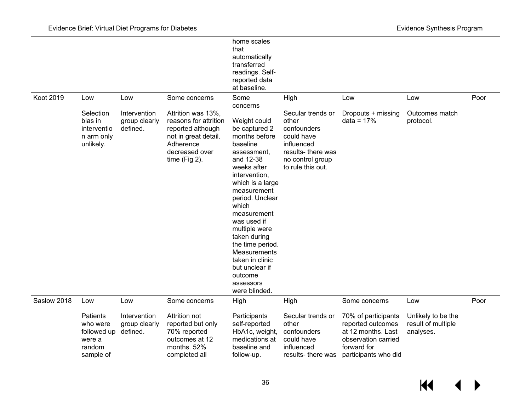|                  |                                                                             |                                           |                                                                                                                                             | home scales<br>that<br>automatically<br>transferred<br>readings. Self-<br>reported data<br>at baseline.                                                                                                                                                                                                                                                                       |                                                                                                                                      |                                                                                                                              |                                                       |      |
|------------------|-----------------------------------------------------------------------------|-------------------------------------------|---------------------------------------------------------------------------------------------------------------------------------------------|-------------------------------------------------------------------------------------------------------------------------------------------------------------------------------------------------------------------------------------------------------------------------------------------------------------------------------------------------------------------------------|--------------------------------------------------------------------------------------------------------------------------------------|------------------------------------------------------------------------------------------------------------------------------|-------------------------------------------------------|------|
| <b>Koot 2019</b> | Low                                                                         | Low                                       | Some concerns                                                                                                                               | Some<br>concerns                                                                                                                                                                                                                                                                                                                                                              | High                                                                                                                                 | Low                                                                                                                          | Low                                                   | Poor |
|                  | Selection<br>bias in<br>interventio<br>n arm only<br>unlikely.              | Intervention<br>group clearly<br>defined. | Attrition was 13%,<br>reasons for attrition<br>reported although<br>not in great detail.<br>Adherence<br>decreased over<br>time $(Fig 2)$ . | Weight could<br>be captured 2<br>months before<br>baseline<br>assessment,<br>and 12-38<br>weeks after<br>intervention,<br>which is a large<br>measurement<br>period. Unclear<br>which<br>measurement<br>was used if<br>multiple were<br>taken during<br>the time period.<br><b>Measurements</b><br>taken in clinic<br>but unclear if<br>outcome<br>assessors<br>were blinded. | Secular trends or<br>other<br>confounders<br>could have<br>influenced<br>results- there was<br>no control group<br>to rule this out. | Dropouts + missing<br>$data = 17%$                                                                                           | Outcomes match<br>protocol.                           |      |
| Saslow 2018      | Low                                                                         | Low                                       | Some concerns                                                                                                                               | High                                                                                                                                                                                                                                                                                                                                                                          | High                                                                                                                                 | Some concerns                                                                                                                | Low                                                   | Poor |
|                  | <b>Patients</b><br>who were<br>followed up<br>were a<br>random<br>sample of | Intervention<br>group clearly<br>defined. | Attrition not<br>reported but only<br>70% reported<br>outcomes at 12<br>months. 52%<br>completed all                                        | Participants<br>self-reported<br>HbA1c, weight,<br>medications at<br>baseline and<br>follow-up.                                                                                                                                                                                                                                                                               | Secular trends or<br>other<br>confounders<br>could have<br>influenced<br>results- there was                                          | 70% of participants<br>reported outcomes<br>at 12 months, Last<br>observation carried<br>forward for<br>participants who did | Unlikely to be the<br>result of multiple<br>analyses. |      |

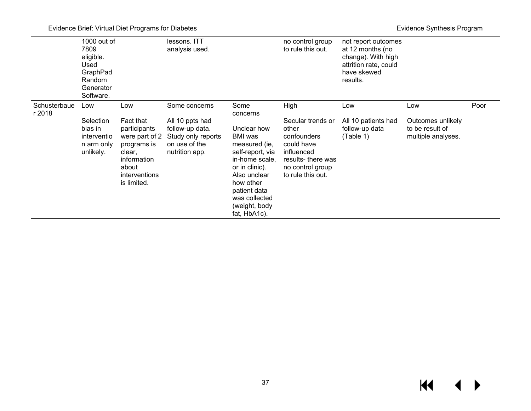|                        | $1000$ out of<br>7809<br>eligible.<br>Used<br>GraphPad<br>Random<br>Generator<br>Software. |                                                                                                                                     | lessons. ITT<br>analysis used.                                                                               |                                                                                                                                                                                                                    | no control group<br>to rule this out.                                                                                                       | not report outcomes<br>at 12 months (no<br>change). With high<br>attrition rate, could<br>have skewed<br>results. |                                                                   |      |
|------------------------|--------------------------------------------------------------------------------------------|-------------------------------------------------------------------------------------------------------------------------------------|--------------------------------------------------------------------------------------------------------------|--------------------------------------------------------------------------------------------------------------------------------------------------------------------------------------------------------------------|---------------------------------------------------------------------------------------------------------------------------------------------|-------------------------------------------------------------------------------------------------------------------|-------------------------------------------------------------------|------|
| Schusterbaue<br>r 2018 | Low<br>Selection<br>bias in<br>interventio<br>n arm only<br>unlikely.                      | Low<br>Fact that<br>participants<br>were part of 2<br>programs is<br>clear,<br>information<br>about<br>interventions<br>is limited. | Some concerns<br>All 10 ppts had<br>follow-up data.<br>Study only reports<br>on use of the<br>nutrition app. | Some<br>concerns<br>Unclear how<br>BMI was<br>measured (ie,<br>self-report, via<br>in-home scale,<br>or in clinic).<br>Also unclear<br>how other<br>patient data<br>was collected<br>(weight, body<br>fat, HbA1c). | High<br>Secular trends or<br>other<br>confounders<br>could have<br>influenced<br>results-there was<br>no control group<br>to rule this out. | Low<br>All 10 patients had<br>follow-up data<br>(Table 1)                                                         | Low<br>Outcomes unlikely<br>to be result of<br>multiple analyses. | Poor |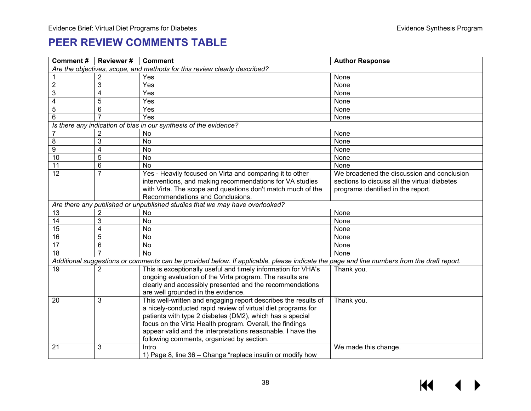# **PEER REVIEW COMMENTS TABLE**

<span id="page-39-0"></span>

| Comment#        | <b>Reviewer#</b> | <b>Comment</b>                                                                                                                            | <b>Author Response</b>                       |
|-----------------|------------------|-------------------------------------------------------------------------------------------------------------------------------------------|----------------------------------------------|
|                 |                  | Are the objectives, scope, and methods for this review clearly described?                                                                 |                                              |
|                 | 2                | Yes                                                                                                                                       | None                                         |
| $\overline{2}$  | 3                | Yes                                                                                                                                       | None                                         |
| $\overline{3}$  | 4                | Yes                                                                                                                                       | None                                         |
| $\overline{4}$  | 5                | Yes                                                                                                                                       | None                                         |
| $\overline{5}$  | 6                | Yes                                                                                                                                       | None                                         |
| $\overline{6}$  |                  | Yes                                                                                                                                       | None                                         |
|                 |                  | Is there any indication of bias in our synthesis of the evidence?                                                                         |                                              |
| $\overline{7}$  | 2                | No                                                                                                                                        | None                                         |
| $\overline{8}$  | 3                | <b>No</b>                                                                                                                                 | None                                         |
| $\overline{9}$  | $\overline{4}$   | <b>No</b>                                                                                                                                 | None                                         |
| 10              | 5                | $\overline{N}$                                                                                                                            | None                                         |
| 11              | 6                | <b>No</b>                                                                                                                                 | None                                         |
| 12              | $\overline{7}$   | Yes - Heavily focused on Virta and comparing it to other                                                                                  | We broadened the discussion and conclusion   |
|                 |                  | interventions, and making recommendations for VA studies                                                                                  | sections to discuss all the virtual diabetes |
|                 |                  | with Virta. The scope and questions don't match much of the                                                                               | programs identified in the report.           |
|                 |                  | Recommendations and Conclusions.                                                                                                          |                                              |
|                 |                  | Are there any published or unpublished studies that we may have overlooked?                                                               |                                              |
| 13              | $\overline{2}$   | No                                                                                                                                        | None                                         |
| 14              | 3                | <b>No</b>                                                                                                                                 | None                                         |
| 15              | 4                | No                                                                                                                                        | None                                         |
| 16              | 5                | <b>No</b>                                                                                                                                 | None                                         |
| 17              | 6                | <b>No</b>                                                                                                                                 | None                                         |
| $\overline{18}$ |                  | $\overline{N}$                                                                                                                            | None                                         |
|                 |                  | Additional suggestions or comments can be provided below. If applicable, please indicate the page and line numbers from the draft report. |                                              |
| 19              | 2                | This is exceptionally useful and timely information for VHA's                                                                             | Thank you.                                   |
|                 |                  | ongoing evaluation of the Virta program. The results are                                                                                  |                                              |
|                 |                  | clearly and accessibly presented and the recommendations                                                                                  |                                              |
|                 |                  | are well grounded in the evidence.                                                                                                        |                                              |
| 20              | 3                | This well-written and engaging report describes the results of                                                                            | Thank you.                                   |
|                 |                  | a nicely-conducted rapid review of virtual diet programs for                                                                              |                                              |
|                 |                  | patients with type 2 diabetes (DM2), which has a special                                                                                  |                                              |
|                 |                  | focus on the Virta Health program. Overall, the findings                                                                                  |                                              |
|                 |                  | appear valid and the interpretations reasonable. I have the                                                                               |                                              |
|                 |                  | following comments, organized by section.                                                                                                 |                                              |
| 21              | 3                | Intro                                                                                                                                     | We made this change.                         |
|                 |                  | 1) Page 8, line 36 – Change "replace insulin or modify how                                                                                |                                              |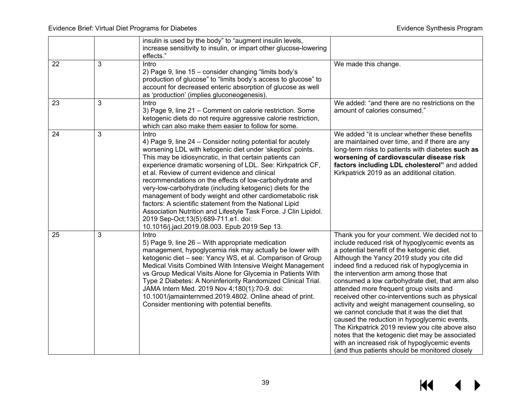|                 |   | insulin is used by the body" to "augment insulin levels,<br>increase sensitivity to insulin, or impart other glucose-lowering<br>effects."                                                                                                                                                                                                                                                                                                                                                                                                                                                                                                                                                                               |                                                                                                                                                                                                                                                                                                                                                                                                                                                                                                                                                                                                                                                                                                                                                                                                   |
|-----------------|---|--------------------------------------------------------------------------------------------------------------------------------------------------------------------------------------------------------------------------------------------------------------------------------------------------------------------------------------------------------------------------------------------------------------------------------------------------------------------------------------------------------------------------------------------------------------------------------------------------------------------------------------------------------------------------------------------------------------------------|---------------------------------------------------------------------------------------------------------------------------------------------------------------------------------------------------------------------------------------------------------------------------------------------------------------------------------------------------------------------------------------------------------------------------------------------------------------------------------------------------------------------------------------------------------------------------------------------------------------------------------------------------------------------------------------------------------------------------------------------------------------------------------------------------|
| 22              | 3 | Intro<br>2) Page 9, line 15 - consider changing "limits body's<br>production of glucose" to "limits body's access to glucose" to<br>account for decreased enteric absorption of glucose as well<br>as 'production' (implies gluconeogenesis).                                                                                                                                                                                                                                                                                                                                                                                                                                                                            | We made this change.                                                                                                                                                                                                                                                                                                                                                                                                                                                                                                                                                                                                                                                                                                                                                                              |
| 23              | 3 | Intro<br>3) Page 9, line 21 – Comment on calorie restriction. Some<br>ketogenic diets do not require aggressive calorie restriction,<br>which can also make them easier to follow for some.                                                                                                                                                                                                                                                                                                                                                                                                                                                                                                                              | We added: "and there are no restrictions on the<br>amount of calories consumed."                                                                                                                                                                                                                                                                                                                                                                                                                                                                                                                                                                                                                                                                                                                  |
| $\overline{24}$ | 3 | Intro<br>4) Page 9, line 24 – Consider noting potential for acutely<br>worsening LDL with ketogenic diet under 'skeptics' points.<br>This may be idiosyncratic, in that certain patients can<br>experience dramatic worsening of LDL. See: Kirkpatrick CF,<br>et al. Review of current evidence and clinical<br>recommendations on the effects of low-carbohydrate and<br>very-low-carbohydrate (including ketogenic) diets for the<br>management of body weight and other cardiometabolic risk<br>factors: A scientific statement from the National Lipid<br>Association Nutrition and Lifestyle Task Force. J Clin Lipidol.<br>2019 Sep-Oct; 13(5): 689-711. e1. doi:<br>10.1016/j.jacl.2019.08.003. Epub 2019 Sep 13. | We added "it is unclear whether these benefits<br>are maintained over time, and if there are any<br>long-term risks to patients with diabetes such as<br>worsening of cardiovascular disease risk<br>factors including LDL cholesterol" and added<br>Kirkpatrick 2019 as an additional citation.                                                                                                                                                                                                                                                                                                                                                                                                                                                                                                  |
| 25              | 3 | Intro<br>5) Page 9, line 26 - With appropriate medication<br>management, hypoglycemia risk may actually be lower with<br>ketogenic diet - see: Yancy WS, et al. Comparison of Group<br>Medical Visits Combined With Intensive Weight Management<br>vs Group Medical Visits Alone for Glycemia in Patients With<br>Type 2 Diabetes: A Noninferiority Randomized Clinical Trial.<br>JAMA Intern Med. 2019 Nov 4;180(1):70-9. doi:<br>10.1001/jamainternmed.2019.4802. Online ahead of print.<br>Consider mentioning with potential benefits.                                                                                                                                                                               | Thank you for your comment. We decided not to<br>include reduced risk of hypoglycemic events as<br>a potential benefit of the ketogenic diet.<br>Although the Yancy 2019 study you cite did<br>indeed find a reduced risk of hypoglycemia in<br>the intervention arm among those that<br>consumed a low carbohydrate diet, that arm also<br>attended more frequent group visits and<br>received other co-interventions such as physical<br>activity and weight management counseling, so<br>we cannot conclude that it was the diet that<br>caused the reduction in hypoglycemic events.<br>The Kirkpatrick 2019 review you cite above also<br>notes that the ketogenic diet may be associated<br>with an increased risk of hypoglycemic events<br>(and thus patients should be monitored closely |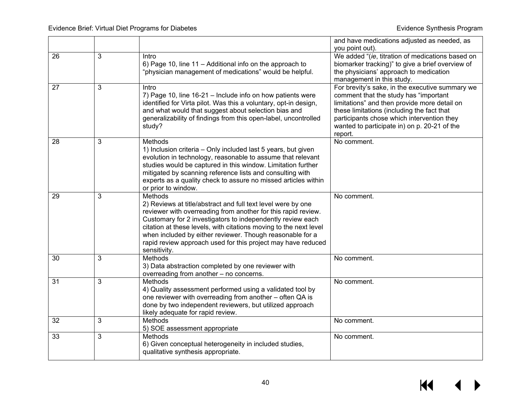|    |   |                                                                                       | and have medications adjusted as needed, as                                                |
|----|---|---------------------------------------------------------------------------------------|--------------------------------------------------------------------------------------------|
|    | 3 | Intro                                                                                 | you point out).<br>We added "(ie, titration of medications based on                        |
| 26 |   | 6) Page 10, line 11 - Additional info on the approach to                              | biomarker tracking)" to give a brief overview of                                           |
|    |   | "physician management of medications" would be helpful.                               | the physicians' approach to medication                                                     |
|    |   |                                                                                       | management in this study.                                                                  |
| 27 | 3 | Intro                                                                                 | For brevity's sake, in the executive summary we                                            |
|    |   | 7) Page 10, line 16-21 - Include info on how patients were                            | comment that the study has "important                                                      |
|    |   | identified for Virta pilot. Was this a voluntary, opt-in design,                      | limitations" and then provide more detail on                                               |
|    |   | and what would that suggest about selection bias and                                  | these limitations (including the fact that                                                 |
|    |   | generalizability of findings from this open-label, uncontrolled<br>study?             | participants chose which intervention they<br>wanted to participate in) on p. 20-21 of the |
|    |   |                                                                                       | report.                                                                                    |
| 28 | 3 | <b>Methods</b>                                                                        | No comment.                                                                                |
|    |   | 1) Inclusion criteria - Only included last 5 years, but given                         |                                                                                            |
|    |   | evolution in technology, reasonable to assume that relevant                           |                                                                                            |
|    |   | studies would be captured in this window. Limitation further                          |                                                                                            |
|    |   | mitigated by scanning reference lists and consulting with                             |                                                                                            |
|    |   | experts as a quality check to assure no missed articles within<br>or prior to window. |                                                                                            |
| 29 | 3 | <b>Methods</b>                                                                        | No comment.                                                                                |
|    |   | 2) Reviews at title/abstract and full text level were by one                          |                                                                                            |
|    |   | reviewer with overreading from another for this rapid review.                         |                                                                                            |
|    |   | Customary for 2 investigators to independently review each                            |                                                                                            |
|    |   | citation at these levels, with citations moving to the next level                     |                                                                                            |
|    |   | when included by either reviewer. Though reasonable for a                             |                                                                                            |
|    |   | rapid review approach used for this project may have reduced<br>sensitivity.          |                                                                                            |
| 30 | 3 | Methods                                                                               | No comment.                                                                                |
|    |   | 3) Data abstraction completed by one reviewer with                                    |                                                                                            |
|    |   | overreading from another - no concerns.                                               |                                                                                            |
| 31 | 3 | <b>Methods</b>                                                                        | No comment.                                                                                |
|    |   | 4) Quality assessment performed using a validated tool by                             |                                                                                            |
|    |   | one reviewer with overreading from another - often QA is                              |                                                                                            |
|    |   | done by two independent reviewers, but utilized approach                              |                                                                                            |
| 32 | 3 | likely adequate for rapid review.<br>Methods                                          | No comment.                                                                                |
|    |   | 5) SOE assessment appropriate                                                         |                                                                                            |
| 33 | 3 | <b>Methods</b>                                                                        | No comment.                                                                                |
|    |   | 6) Given conceptual heterogeneity in included studies,                                |                                                                                            |
|    |   | qualitative synthesis appropriate.                                                    |                                                                                            |
|    |   |                                                                                       |                                                                                            |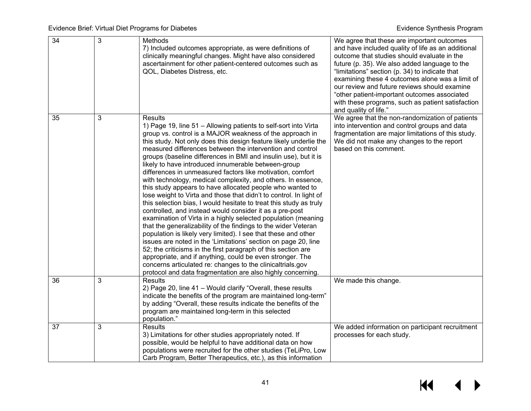| $\overline{34}$ | 3 | Methods<br>7) Included outcomes appropriate, as were definitions of<br>clinically meaningful changes. Might have also considered<br>ascertainment for other patient-centered outcomes such as<br>QOL, Diabetes Distress, etc.                                                                                                                                                                                                                                                                                                                                                                                                                                                                                                                                                                                                                                                                                                                                                                                                                                                                                                                                                                                                                                                                                                                 | We agree that these are important outcomes<br>and have included quality of life as an additional<br>outcome that studies should evaluate in the<br>future (p. 35). We also added language to the<br>"limitations" section (p. 34) to indicate that<br>examining these 4 outcomes alone was a limit of<br>our review and future reviews should examine<br>"other patient-important outcomes associated<br>with these programs, such as patient satisfaction<br>and quality of life." |
|-----------------|---|-----------------------------------------------------------------------------------------------------------------------------------------------------------------------------------------------------------------------------------------------------------------------------------------------------------------------------------------------------------------------------------------------------------------------------------------------------------------------------------------------------------------------------------------------------------------------------------------------------------------------------------------------------------------------------------------------------------------------------------------------------------------------------------------------------------------------------------------------------------------------------------------------------------------------------------------------------------------------------------------------------------------------------------------------------------------------------------------------------------------------------------------------------------------------------------------------------------------------------------------------------------------------------------------------------------------------------------------------|-------------------------------------------------------------------------------------------------------------------------------------------------------------------------------------------------------------------------------------------------------------------------------------------------------------------------------------------------------------------------------------------------------------------------------------------------------------------------------------|
| 35              | 3 | <b>Results</b><br>1) Page 19, line 51 - Allowing patients to self-sort into Virta<br>group vs. control is a MAJOR weakness of the approach in<br>this study. Not only does this design feature likely underlie the<br>measured differences between the intervention and control<br>groups (baseline differences in BMI and insulin use), but it is<br>likely to have introduced innumerable between-group<br>differences in unmeasured factors like motivation, comfort<br>with technology, medical complexity, and others. In essence,<br>this study appears to have allocated people who wanted to<br>lose weight to Virta and those that didn't to control. In light of<br>this selection bias, I would hesitate to treat this study as truly<br>controlled, and instead would consider it as a pre-post<br>examination of Virta in a highly selected population (meaning<br>that the generalizability of the findings to the wider Veteran<br>population is likely very limited). I see that these and other<br>issues are noted in the 'Limitations' section on page 20, line<br>52; the criticisms in the first paragraph of this section are<br>appropriate, and if anything, could be even stronger. The<br>concerns articulated re: changes to the clinicaltrials.gov<br>protocol and data fragmentation are also highly concerning. | We agree that the non-randomization of patients<br>into intervention and control groups and data<br>fragmentation are major limitations of this study.<br>We did not make any changes to the report<br>based on this comment.                                                                                                                                                                                                                                                       |
| 36              | 3 | Results<br>2) Page 20, line 41 - Would clarify "Overall, these results<br>indicate the benefits of the program are maintained long-term"<br>by adding "Overall, these results indicate the benefits of the<br>program are maintained long-term in this selected<br>population."                                                                                                                                                                                                                                                                                                                                                                                                                                                                                                                                                                                                                                                                                                                                                                                                                                                                                                                                                                                                                                                               | We made this change.                                                                                                                                                                                                                                                                                                                                                                                                                                                                |
| 37              | 3 | <b>Results</b><br>3) Limitations for other studies appropriately noted. If<br>possible, would be helpful to have additional data on how<br>populations were recruited for the other studies (TeLiPro, Low<br>Carb Program, Better Therapeutics, etc.), as this information                                                                                                                                                                                                                                                                                                                                                                                                                                                                                                                                                                                                                                                                                                                                                                                                                                                                                                                                                                                                                                                                    | We added information on participant recruitment<br>processes for each study.                                                                                                                                                                                                                                                                                                                                                                                                        |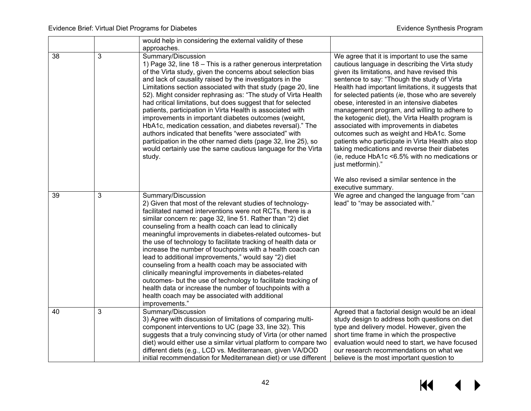|    |   | would help in considering the external validity of these<br>approaches.                                                                                                                                                                                                                                                                                                                                                                                                                                                                                                                                                                                                                                                                                                                                                                      |                                                                                                                                                                                                                                                                                                                                                                                                                                                                                                                                                                                                                                                                                                                                                                                                      |
|----|---|----------------------------------------------------------------------------------------------------------------------------------------------------------------------------------------------------------------------------------------------------------------------------------------------------------------------------------------------------------------------------------------------------------------------------------------------------------------------------------------------------------------------------------------------------------------------------------------------------------------------------------------------------------------------------------------------------------------------------------------------------------------------------------------------------------------------------------------------|------------------------------------------------------------------------------------------------------------------------------------------------------------------------------------------------------------------------------------------------------------------------------------------------------------------------------------------------------------------------------------------------------------------------------------------------------------------------------------------------------------------------------------------------------------------------------------------------------------------------------------------------------------------------------------------------------------------------------------------------------------------------------------------------------|
| 38 | 3 | Summary/Discussion<br>1) Page 32, line 18 - This is a rather generous interpretation<br>of the Virta study, given the concerns about selection bias<br>and lack of causality raised by the investigators in the<br>Limitations section associated with that study (page 20, line<br>52). Might consider rephrasing as: "The study of Virta Health<br>had critical limitations, but does suggest that for selected<br>patients, participation in Virta Health is associated with<br>improvements in important diabetes outcomes (weight,<br>HbA1c, medication cessation, and diabetes reversal)." The<br>authors indicated that benefits "were associated" with<br>participation in the other named diets (page 32, line 25), so<br>would certainly use the same cautious language for the Virta<br>study.                                    | We agree that it is important to use the same<br>cautious language in describing the Virta study<br>given its limitations, and have revised this<br>sentence to say: "Though the study of Virta<br>Health had important limitations, it suggests that<br>for selected patients (ie, those who are severely<br>obese, interested in an intensive diabetes<br>management program, and willing to adhere to<br>the ketogenic diet), the Virta Health program is<br>associated with improvements in diabetes<br>outcomes such as weight and HbA1c. Some<br>patients who participate in Virta Health also stop<br>taking medications and reverse their diabetes<br>(ie, reduce HbA1c <6.5% with no medications or<br>just metformin)."<br>We also revised a similar sentence in the<br>executive summary. |
| 39 | 3 | Summary/Discussion<br>2) Given that most of the relevant studies of technology-<br>facilitated named interventions were not RCTs, there is a<br>similar concern re: page 32, line 51. Rather than "2) diet<br>counseling from a health coach can lead to clinically<br>meaningful improvements in diabetes-related outcomes- but<br>the use of technology to facilitate tracking of health data or<br>increase the number of touchpoints with a health coach can<br>lead to additional improvements," would say "2) diet<br>counseling from a health coach may be associated with<br>clinically meaningful improvements in diabetes-related<br>outcomes- but the use of technology to facilitate tracking of<br>health data or increase the number of touchpoints with a<br>health coach may be associated with additional<br>improvements." | We agree and changed the language from "can<br>lead" to "may be associated with."                                                                                                                                                                                                                                                                                                                                                                                                                                                                                                                                                                                                                                                                                                                    |
| 40 | 3 | Summary/Discussion<br>3) Agree with discussion of limitations of comparing multi-<br>component interventions to UC (page 33, line 32). This<br>suggests that a truly convincing study of Virta (or other named<br>diet) would either use a similar virtual platform to compare two<br>different diets (e.g., LCD vs. Mediterranean, given VA/DOD<br>initial recommendation for Mediterranean diet) or use different                                                                                                                                                                                                                                                                                                                                                                                                                          | Agreed that a factorial design would be an ideal<br>study design to address both questions on diet<br>type and delivery model. However, given the<br>short time frame in which the prospective<br>evaluation would need to start, we have focused<br>our research recommendations on what we<br>believe is the most important question to                                                                                                                                                                                                                                                                                                                                                                                                                                                            |

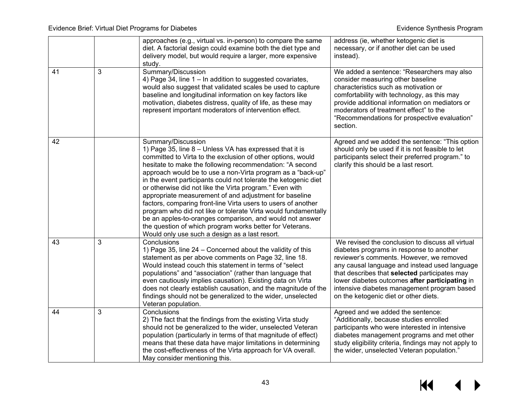|    |   | approaches (e.g., virtual vs. in-person) to compare the same<br>diet. A factorial design could examine both the diet type and<br>delivery model, but would require a larger, more expensive<br>study.                                                                                                                                                                                                                                                                                                                                                                                                                                                                                                                                                                        | address (ie, whether ketogenic diet is<br>necessary, or if another diet can be used<br>instead).                                                                                                                                                                                                                                                                                     |
|----|---|------------------------------------------------------------------------------------------------------------------------------------------------------------------------------------------------------------------------------------------------------------------------------------------------------------------------------------------------------------------------------------------------------------------------------------------------------------------------------------------------------------------------------------------------------------------------------------------------------------------------------------------------------------------------------------------------------------------------------------------------------------------------------|--------------------------------------------------------------------------------------------------------------------------------------------------------------------------------------------------------------------------------------------------------------------------------------------------------------------------------------------------------------------------------------|
| 41 | 3 | Summary/Discussion<br>4) Page 34, line 1 - In addition to suggested covariates,<br>would also suggest that validated scales be used to capture<br>baseline and longitudinal information on key factors like<br>motivation, diabetes distress, quality of life, as these may<br>represent important moderators of intervention effect.                                                                                                                                                                                                                                                                                                                                                                                                                                        | We added a sentence: "Researchers may also<br>consider measuring other baseline<br>characteristics such as motivation or<br>comfortability with technology, as this may<br>provide additional information on mediators or<br>moderators of treatment effect" to the<br>"Recommendations for prospective evaluation"<br>section.                                                      |
| 42 |   | Summary/Discussion<br>1) Page 35, line 8 - Unless VA has expressed that it is<br>committed to Virta to the exclusion of other options, would<br>hesitate to make the following recommendation: "A second<br>approach would be to use a non-Virta program as a "back-up"<br>in the event participants could not tolerate the ketogenic diet<br>or otherwise did not like the Virta program." Even with<br>appropriate measurement of and adjustment for baseline<br>factors, comparing front-line Virta users to users of another<br>program who did not like or tolerate Virta would fundamentally<br>be an apples-to-oranges comparison, and would not answer<br>the question of which program works better for Veterans.<br>Would only use such a design as a last resort. | Agreed and we added the sentence: "This option<br>should only be used if it is not feasible to let<br>participants select their preferred program." to<br>clarify this should be a last resort.                                                                                                                                                                                      |
| 43 | 3 | Conclusions<br>1) Page 35, line 24 - Concerned about the validity of this<br>statement as per above comments on Page 32, line 18.<br>Would instead couch this statement in terms of "select<br>populations" and "association" (rather than language that<br>even cautiously implies causation). Existing data on Virta<br>does not clearly establish causation, and the magnitude of the<br>findings should not be generalized to the wider, unselected<br>Veteran population.                                                                                                                                                                                                                                                                                               | We revised the conclusion to discuss all virtual<br>diabetes programs in response to another<br>reviewer's comments. However, we removed<br>any causal language and instead used language<br>that describes that selected participates may<br>lower diabetes outcomes after participating in<br>intensive diabetes management program based<br>on the ketogenic diet or other diets. |
| 44 | 3 | Conclusions<br>2) The fact that the findings from the existing Virta study<br>should not be generalized to the wider, unselected Veteran<br>population (particularly in terms of that magnitude of effect)<br>means that these data have major limitations in determining<br>the cost-effectiveness of the Virta approach for VA overall.<br>May consider mentioning this.                                                                                                                                                                                                                                                                                                                                                                                                   | Agreed and we added the sentence:<br>"Additionally, because studies enrolled<br>participants who were interested in intensive<br>diabetes management programs and met other<br>study eligibility criteria, findings may not apply to<br>the wider, unselected Veteran population."                                                                                                   |

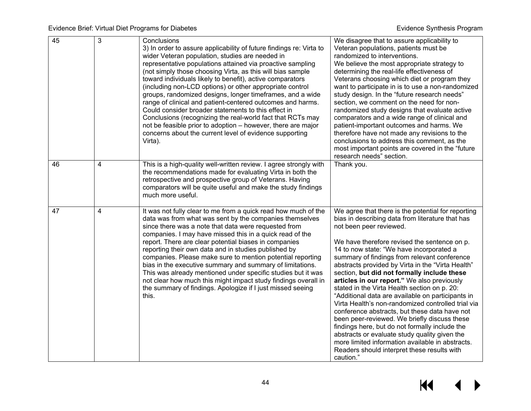| 45 | $\overline{3}$          | Conclusions<br>3) In order to assure applicability of future findings re: Virta to<br>wider Veteran population, studies are needed in<br>representative populations attained via proactive sampling<br>(not simply those choosing Virta, as this will bias sample<br>toward individuals likely to benefit), active comparators<br>(including non-LCD options) or other appropriate control<br>groups, randomized designs, longer timeframes, and a wide<br>range of clinical and patient-centered outcomes and harms.<br>Could consider broader statements to this effect in<br>Conclusions (recognizing the real-world fact that RCTs may<br>not be feasible prior to adoption - however, there are major<br>concerns about the current level of evidence supporting<br>Virta). | We disagree that to assure applicability to<br>Veteran populations, patients must be<br>randomized to interventions.<br>We believe the most appropriate strategy to<br>determining the real-life effectiveness of<br>Veterans choosing which diet or program they<br>want to participate in is to use a non-randomized<br>study design. In the "future research needs"<br>section, we comment on the need for non-<br>randomized study designs that evaluate active<br>comparators and a wide range of clinical and<br>patient-important outcomes and harms. We<br>therefore have not made any revisions to the<br>conclusions to address this comment, as the<br>most important points are covered in the "future<br>research needs" section.                                                                                                                                                                  |
|----|-------------------------|----------------------------------------------------------------------------------------------------------------------------------------------------------------------------------------------------------------------------------------------------------------------------------------------------------------------------------------------------------------------------------------------------------------------------------------------------------------------------------------------------------------------------------------------------------------------------------------------------------------------------------------------------------------------------------------------------------------------------------------------------------------------------------|-----------------------------------------------------------------------------------------------------------------------------------------------------------------------------------------------------------------------------------------------------------------------------------------------------------------------------------------------------------------------------------------------------------------------------------------------------------------------------------------------------------------------------------------------------------------------------------------------------------------------------------------------------------------------------------------------------------------------------------------------------------------------------------------------------------------------------------------------------------------------------------------------------------------|
| 46 | $\overline{\mathbf{4}}$ | This is a high-quality well-written review. I agree strongly with<br>the recommendations made for evaluating Virta in both the<br>retrospective and prospective group of Veterans. Having<br>comparators will be quite useful and make the study findings<br>much more useful.                                                                                                                                                                                                                                                                                                                                                                                                                                                                                                   | Thank you.                                                                                                                                                                                                                                                                                                                                                                                                                                                                                                                                                                                                                                                                                                                                                                                                                                                                                                      |
| 47 | 4                       | It was not fully clear to me from a quick read how much of the<br>data was from what was sent by the companies themselves<br>since there was a note that data were requested from<br>companies. I may have missed this in a quick read of the<br>report. There are clear potential biases in companies<br>reporting their own data and in studies published by<br>companies. Please make sure to mention potential reporting<br>bias in the executive summary and summary of limitations.<br>This was already mentioned under specific studies but it was<br>not clear how much this might impact study findings overall in<br>the summary of findings. Apologize if I just missed seeing<br>this.                                                                               | We agree that there is the potential for reporting<br>bias in describing data from literature that has<br>not been peer reviewed.<br>We have therefore revised the sentence on p.<br>14 to now state: "We have incorporated a<br>summary of findings from relevant conference<br>abstracts provided by Virta in the "Virta Health"<br>section, but did not formally include these<br>articles in our report." We also previously<br>stated in the Virta Health section on p. 20:<br>"Additional data are available on participants in<br>Virta Health's non-randomized controlled trial via<br>conference abstracts, but these data have not<br>been peer-reviewed. We briefly discuss these<br>findings here, but do not formally include the<br>abstracts or evaluate study quality given the<br>more limited information available in abstracts.<br>Readers should interpret these results with<br>caution." |

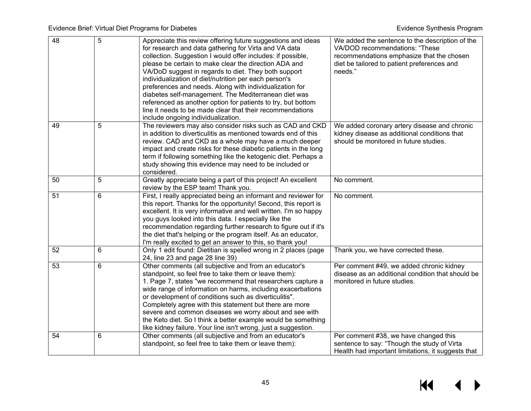| $\overline{48}$ | $\overline{5}$ | Appreciate this review offering future suggestions and ideas<br>for research and data gathering for Virta and VA data<br>collection. Suggestion I would offer includes: if possible,<br>please be certain to make clear the direction ADA and<br>VA/DoD suggest in regards to diet. They both support<br>individualization of diet/nutrition per each person's<br>preferences and needs. Along with individualization for<br>diabetes self-management. The Mediterranean diet was<br>referenced as another option for patients to try, but bottom<br>line it needs to be made clear that their recommendations<br>include ongoing individualization. | We added the sentence to the description of the<br>VA/DOD recommendations: "These<br>recommendations emphasize that the chosen<br>diet be tailored to patient preferences and<br>needs." |
|-----------------|----------------|------------------------------------------------------------------------------------------------------------------------------------------------------------------------------------------------------------------------------------------------------------------------------------------------------------------------------------------------------------------------------------------------------------------------------------------------------------------------------------------------------------------------------------------------------------------------------------------------------------------------------------------------------|------------------------------------------------------------------------------------------------------------------------------------------------------------------------------------------|
| 49              | 5              | The reviewers may also consider risks such as CAD and CKD<br>in addition to diverticulitis as mentioned towards end of this<br>review. CAD and CKD as a whole may have a much deeper<br>impact and create risks for these diabetic patients in the long<br>term if following something like the ketogenic diet. Perhaps a<br>study showing this evidence may need to be included or<br>considered.                                                                                                                                                                                                                                                   | We added coronary artery disease and chronic<br>kidney disease as additional conditions that<br>should be monitored in future studies.                                                   |
| 50              | 5              | Greatly appreciate being a part of this project! An excellent<br>review by the ESP team! Thank you.                                                                                                                                                                                                                                                                                                                                                                                                                                                                                                                                                  | No comment.                                                                                                                                                                              |
| 51              | 6              | First, I really appreciated being an informant and reviewer for<br>this report. Thanks for the opportunity! Second, this report is<br>excellent. It is very informative and well written. I'm so happy<br>you guys looked into this data. I especially like the<br>recommendation regarding further research to figure out if it's<br>the diet that's helping or the program itself. As an educator,<br>I'm really excited to get an answer to this, so thank you!                                                                                                                                                                                   | No comment.                                                                                                                                                                              |
| 52              | $6\phantom{1}$ | Only 1 edit found: Dietitian is spelled wrong in 2 places (page<br>24, line 23 and page 28 line 39)                                                                                                                                                                                                                                                                                                                                                                                                                                                                                                                                                  | Thank you, we have corrected these.                                                                                                                                                      |
| 53              | 6              | Other comments (all subjective and from an educator's<br>standpoint, so feel free to take them or leave them):<br>1. Page 7, states "we recommend that researchers capture a<br>wide range of information on harms, including exacerbations<br>or development of conditions such as diverticulitis".<br>Completely agree with this statement but there are more<br>severe and common diseases we worry about and see with<br>the Keto diet. So I think a better example would be something<br>like kidney failure. Your line isn't wrong, just a suggestion.                                                                                         | Per comment #49, we added chronic kidney<br>disease as an additional condition that should be<br>monitored in future studies.                                                            |
| 54              | 6              | Other comments (all subjective and from an educator's<br>standpoint, so feel free to take them or leave them):                                                                                                                                                                                                                                                                                                                                                                                                                                                                                                                                       | Per comment #38, we have changed this<br>sentence to say: "Though the study of Virta<br>Health had important limitations, it suggests that                                               |

# $M \rightarrow$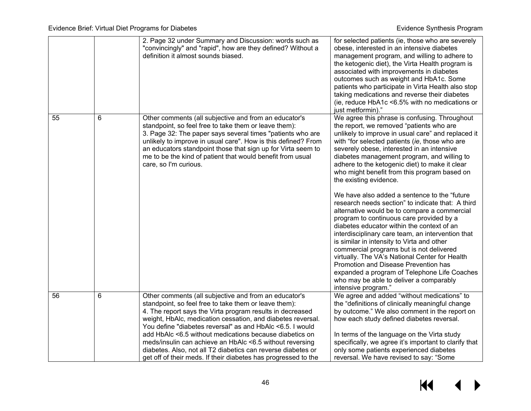|    |   | 2. Page 32 under Summary and Discussion: words such as<br>"convincingly" and "rapid", how are they defined? Without a<br>definition it almost sounds biased.                                                                                                                                                                                                                                                                                                                                                                                                     | for selected patients (ie, those who are severely<br>obese, interested in an intensive diabetes<br>management program, and willing to adhere to<br>the ketogenic diet), the Virta Health program is<br>associated with improvements in diabetes<br>outcomes such as weight and HbA1c. Some<br>patients who participate in Virta Health also stop<br>taking medications and reverse their diabetes<br>(ie, reduce HbA1c <6.5% with no medications or<br>just metformin)."                                                                                                                                                                                                                                                                                                                                                                                                                                                                                                                                                              |
|----|---|------------------------------------------------------------------------------------------------------------------------------------------------------------------------------------------------------------------------------------------------------------------------------------------------------------------------------------------------------------------------------------------------------------------------------------------------------------------------------------------------------------------------------------------------------------------|---------------------------------------------------------------------------------------------------------------------------------------------------------------------------------------------------------------------------------------------------------------------------------------------------------------------------------------------------------------------------------------------------------------------------------------------------------------------------------------------------------------------------------------------------------------------------------------------------------------------------------------------------------------------------------------------------------------------------------------------------------------------------------------------------------------------------------------------------------------------------------------------------------------------------------------------------------------------------------------------------------------------------------------|
| 55 | 6 | Other comments (all subjective and from an educator's<br>standpoint, so feel free to take them or leave them):<br>3. Page 32: The paper says several times "patients who are<br>unlikely to improve in usual care". How is this defined? From<br>an educators standpoint those that sign up for Virta seem to<br>me to be the kind of patient that would benefit from usual<br>care, so I'm curious.                                                                                                                                                             | We agree this phrase is confusing. Throughout<br>the report, we removed "patients who are<br>unlikely to improve in usual care" and replaced it<br>with "for selected patients (ie, those who are<br>severely obese, interested in an intensive<br>diabetes management program, and willing to<br>adhere to the ketogenic diet) to make it clear<br>who might benefit from this program based on<br>the existing evidence.<br>We have also added a sentence to the "future"<br>research needs section" to indicate that: A third<br>alternative would be to compare a commercial<br>program to continuous care provided by a<br>diabetes educator within the context of an<br>interdisciplinary care team, an intervention that<br>is similar in intensity to Virta and other<br>commercial programs but is not delivered<br>virtually. The VA's National Center for Health<br>Promotion and Disease Prevention has<br>expanded a program of Telephone Life Coaches<br>who may be able to deliver a comparably<br>intensive program." |
| 56 | 6 | Other comments (all subjective and from an educator's<br>standpoint, so feel free to take them or leave them):<br>4. The report says the Virta program results in decreased<br>weight, HbAlc, medication cessation, and diabetes reversal.<br>You define "diabetes reversal" as and HbAlc <6.5. I would<br>add HbAlc <6.5 without medications because diabetics on<br>meds/insulin can achieve an HbAlc <6.5 without reversing<br>diabetes. Also, not all T2 diabetics can reverse diabetes or<br>get off of their meds. If their diabetes has progressed to the | We agree and added "without medications" to<br>the "definitions of clinically meaningful change<br>by outcome." We also comment in the report on<br>how each study defined diabetes reversal.<br>In terms of the language on the Virta study<br>specifically, we agree it's important to clarify that<br>only some patients experienced diabetes<br>reversal. We have revised to say: "Some                                                                                                                                                                                                                                                                                                                                                                                                                                                                                                                                                                                                                                           |

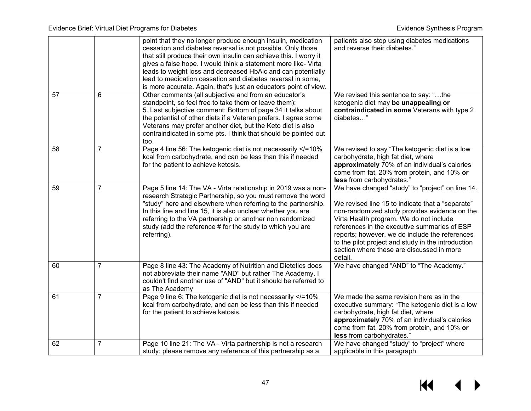|    |                | point that they no longer produce enough insulin, medication<br>cessation and diabetes reversal is not possible. Only those<br>that still produce their own insulin can achieve this. I worry it<br>gives a false hope. I would think a statement more like- Virta<br>leads to weight loss and decreased HbAlc and can potentially<br>lead to medication cessation and diabetes reversal in some,<br>is more accurate. Again, that's just an educators point of view. | patients also stop using diabetes medications<br>and reverse their diabetes."                                                                                                                                                                                                                                                                                                                                    |
|----|----------------|-----------------------------------------------------------------------------------------------------------------------------------------------------------------------------------------------------------------------------------------------------------------------------------------------------------------------------------------------------------------------------------------------------------------------------------------------------------------------|------------------------------------------------------------------------------------------------------------------------------------------------------------------------------------------------------------------------------------------------------------------------------------------------------------------------------------------------------------------------------------------------------------------|
| 57 | 6              | Other comments (all subjective and from an educator's<br>standpoint, so feel free to take them or leave them):<br>5. Last subjective comment: Bottom of page 34 it talks about<br>the potential of other diets if a Veteran prefers. I agree some<br>Veterans may prefer another diet, but the Keto diet is also<br>contraindicated in some pts. I think that should be pointed out<br>too.                                                                           | We revised this sentence to say: "the<br>ketogenic diet may be unappealing or<br>contraindicated in some Veterans with type 2<br>diabetes"                                                                                                                                                                                                                                                                       |
| 58 | $\overline{7}$ | Page 4 line 56: The ketogenic diet is not necessarily =10%<br kcal from carbohydrate, and can be less than this if needed<br>for the patient to achieve ketosis.                                                                                                                                                                                                                                                                                                      | We revised to say "The ketogenic diet is a low<br>carbohydrate, high fat diet, where<br>approximately 70% of an individual's calories<br>come from fat, 20% from protein, and 10% or<br>less from carbohydrates."                                                                                                                                                                                                |
| 59 | $\overline{7}$ | Page 5 line 14: The VA - Virta relationship in 2019 was a non-<br>research Strategic Partnership, so you must remove the word<br>"study" here and elsewhere when referring to the partnership.<br>In this line and line 15, it is also unclear whether you are<br>referring to the VA partnership or another non randomized<br>study (add the reference # for the study to which you are<br>referring).                                                               | We have changed "study" to "project" on line 14.<br>We revised line 15 to indicate that a "separate"<br>non-randomized study provides evidence on the<br>Virta Health program. We do not include<br>references in the executive summaries of ESP<br>reports; however, we do include the references<br>to the pilot project and study in the introduction<br>section where these are discussed in more<br>detail. |
| 60 | $\overline{7}$ | Page 8 line 43: The Academy of Nutrition and Dietetics does<br>not abbreviate their name "AND" but rather The Academy. I<br>couldn't find another use of "AND" but it should be referred to<br>as The Academy                                                                                                                                                                                                                                                         | We have changed "AND" to "The Academy."                                                                                                                                                                                                                                                                                                                                                                          |
| 61 | $\overline{7}$ | Page 9 line 6: The ketogenic diet is not necessarily =10%<br kcal from carbohydrate, and can be less than this if needed<br>for the patient to achieve ketosis.                                                                                                                                                                                                                                                                                                       | We made the same revision here as in the<br>executive summary: "The ketogenic diet is a low<br>carbohydrate, high fat diet, where<br>approximately 70% of an individual's calories<br>come from fat, 20% from protein, and 10% or<br>less from carbohydrates."                                                                                                                                                   |
| 62 | $\overline{7}$ | Page 10 line 21: The VA - Virta partnership is not a research<br>study; please remove any reference of this partnership as a                                                                                                                                                                                                                                                                                                                                          | We have changed "study" to "project" where<br>applicable in this paragraph.                                                                                                                                                                                                                                                                                                                                      |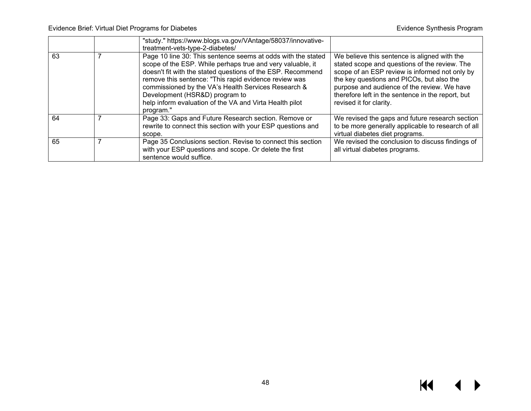|    |   | "study." https://www.blogs.va.gov/VAntage/58037/innovative-<br>treatment-vets-type-2-diabetes/                                                                                                                                                                                                                                                                                                                      |                                                                                                                                                                                                                                                                                                                             |
|----|---|---------------------------------------------------------------------------------------------------------------------------------------------------------------------------------------------------------------------------------------------------------------------------------------------------------------------------------------------------------------------------------------------------------------------|-----------------------------------------------------------------------------------------------------------------------------------------------------------------------------------------------------------------------------------------------------------------------------------------------------------------------------|
| 63 |   | Page 10 line 30: This sentence seems at odds with the stated<br>scope of the ESP. While perhaps true and very valuable, it<br>doesn't fit with the stated questions of the ESP. Recommend<br>remove this sentence: "This rapid evidence review was<br>commissioned by the VA's Health Services Research &<br>Development (HSR&D) program to<br>help inform evaluation of the VA and Virta Health pilot<br>program." | We believe this sentence is aligned with the<br>stated scope and questions of the review. The<br>scope of an ESP review is informed not only by<br>the key questions and PICOs, but also the<br>purpose and audience of the review. We have<br>therefore left in the sentence in the report, but<br>revised it for clarity. |
| 64 | 7 | Page 33: Gaps and Future Research section. Remove or<br>rewrite to connect this section with your ESP questions and<br>scope.                                                                                                                                                                                                                                                                                       | We revised the gaps and future research section<br>to be more generally applicable to research of all<br>virtual diabetes diet programs.                                                                                                                                                                                    |
| 65 | 7 | Page 35 Conclusions section. Revise to connect this section<br>with your ESP questions and scope. Or delete the first<br>sentence would suffice.                                                                                                                                                                                                                                                                    | We revised the conclusion to discuss findings of<br>all virtual diabetes programs.                                                                                                                                                                                                                                          |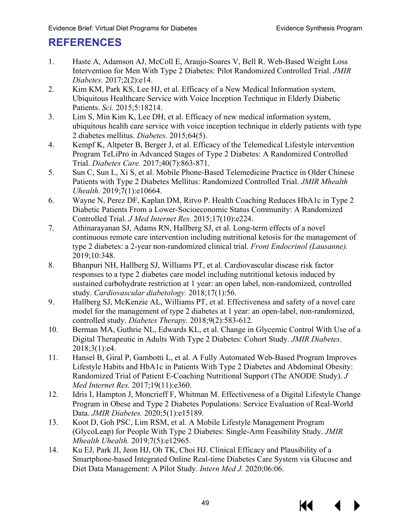# <span id="page-50-0"></span>**REFERENCES**

- 1. Haste A, Adamson AJ, McColl E, Araujo-Soares V, Bell R. Web-Based Weight Loss Intervention for Men With Type 2 Diabetes: Pilot Randomized Controlled Trial. *JMIR Diabetes.* 2017;2(2):e14.
- 2. Kim KM, Park KS, Lee HJ, et al. Efficacy of a New Medical Information system, Ubiquitous Healthcare Service with Voice Inception Technique in Elderly Diabetic Patients. *Sci.* 2015;5:18214.
- 3. Lim S, Min Kim K, Lee DH, et al. Efficacy of new medical information system, ubiquitous health care service with voice inception technique in elderly patients with type 2 diabetes mellitus. *Diabetes.* 2015;64(5).
- 4. Kempf K, Altpeter B, Berger J, et al. Efficacy of the Telemedical Lifestyle intervention Program TeLiPro in Advanced Stages of Type 2 Diabetes: A Randomized Controlled Trial. *Diabetes Care.* 2017;40(7):863-871.
- 5. Sun C, Sun L, Xi S, et al. Mobile Phone-Based Telemedicine Practice in Older Chinese Patients with Type 2 Diabetes Mellitus: Randomized Controlled Trial. *JMIR Mhealth Uhealth.* 2019;7(1):e10664.
- 6. Wayne N, Perez DF, Kaplan DM, Ritvo P. Health Coaching Reduces HbA1c in Type 2 Diabetic Patients From a Lower-Socioeconomic Status Community: A Randomized Controlled Trial. *J Med Internet Res.* 2015;17(10):e224.
- 7. Athinarayanan SJ, Adams RN, Hallberg SJ, et al. Long-term effects of a novel continuous remote care intervention including nutritional ketosis for the management of type 2 diabetes: a 2-year non-randomized clinical trial. *Front Endocrinol (Lausanne).* 2019;10:348.
- 8. Bhanpuri NH, Hallberg SJ, Williams PT, et al. Cardiovascular disease risk factor responses to a type 2 diabetes care model including nutritional ketosis induced by sustained carbohydrate restriction at 1 year: an open label, non-randomized, controlled study. *Cardiovascular diabetology.* 2018;17(1):56.
- 9. Hallberg SJ, McKenzie AL, Williams PT, et al. Effectiveness and safety of a novel care model for the management of type 2 diabetes at 1 year: an open-label, non-randomized, controlled study. *Diabetes Therapy.* 2018;9(2):583-612.
- 10. Berman MA, Guthrie NL, Edwards KL, et al. Change in Glycemic Control With Use of a Digital Therapeutic in Adults With Type 2 Diabetes: Cohort Study. *JMIR Diabetes.*  2018;3(1):e4.
- 11. Hansel B, Giral P, Gambotti L, et al. A Fully Automated Web-Based Program Improves Lifestyle Habits and HbA1c in Patients With Type 2 Diabetes and Abdominal Obesity: Randomized Trial of Patient E-Coaching Nutritional Support (The ANODE Study). *J Med Internet Res.* 2017;19(11):e360.
- 12. Idris I, Hampton J, Moncrieff F, Whitman M. Effectiveness of a Digital Lifestyle Change Program in Obese and Type 2 Diabetes Populations: Service Evaluation of Real-World Data. *JMIR Diabetes.* 2020;5(1):e15189.
- 13. Koot D, Goh PSC, Lim RSM, et al. A Mobile Lifestyle Management Program (GlycoLeap) for People With Type 2 Diabetes: Single-Arm Feasibility Study. *JMIR Mhealth Uhealth.* 2019;7(5):e12965.
- 14. Ku EJ, Park JI, Jeon HJ, Oh TK, Choi HJ. Clinical Efficacy and Plausibility of a Smartphone-based Integrated Online Real-time Diabetes Care System via Glucose and Diet Data Management: A Pilot Study. *Intern Med J.* 2020;06:06.